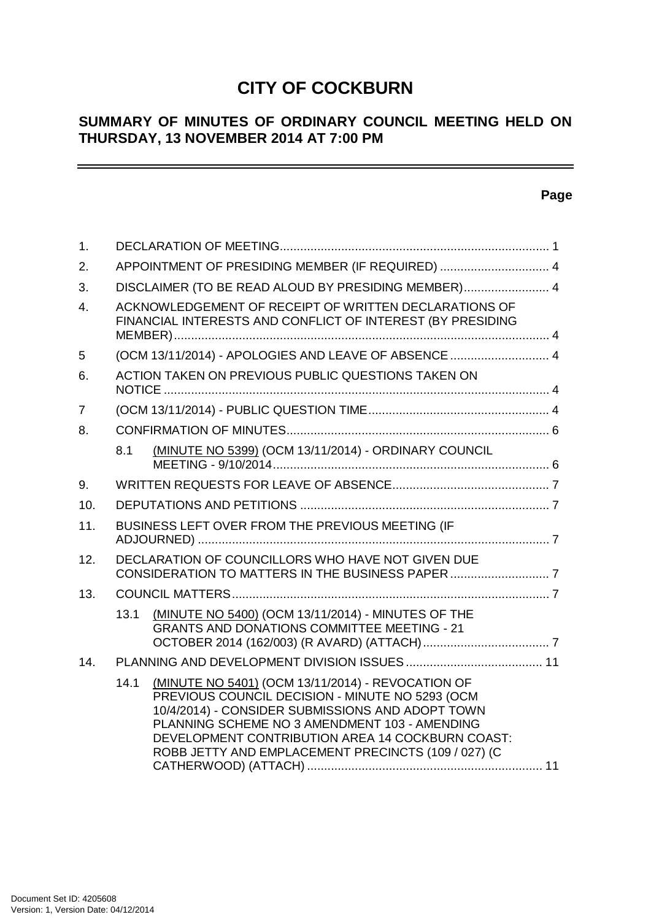# **CITY OF COCKBURN**

# **SUMMARY OF MINUTES OF ORDINARY COUNCIL MEETING HELD ON THURSDAY, 13 NOVEMBER 2014 AT 7:00 PM**

# **Page**

 $\overline{\phantom{0}}$ 

| $\mathbf{1}$ .   |                                                                                                                                                                                                                                                                                                                              |  |  |
|------------------|------------------------------------------------------------------------------------------------------------------------------------------------------------------------------------------------------------------------------------------------------------------------------------------------------------------------------|--|--|
| 2.               | APPOINTMENT OF PRESIDING MEMBER (IF REQUIRED)  4                                                                                                                                                                                                                                                                             |  |  |
| 3.               | DISCLAIMER (TO BE READ ALOUD BY PRESIDING MEMBER) 4                                                                                                                                                                                                                                                                          |  |  |
| $\overline{4}$ . | ACKNOWLEDGEMENT OF RECEIPT OF WRITTEN DECLARATIONS OF<br>FINANCIAL INTERESTS AND CONFLICT OF INTEREST (BY PRESIDING                                                                                                                                                                                                          |  |  |
| 5                | (OCM 13/11/2014) - APOLOGIES AND LEAVE OF ABSENCE  4                                                                                                                                                                                                                                                                         |  |  |
| 6.               | ACTION TAKEN ON PREVIOUS PUBLIC QUESTIONS TAKEN ON                                                                                                                                                                                                                                                                           |  |  |
| 7                |                                                                                                                                                                                                                                                                                                                              |  |  |
| 8.               |                                                                                                                                                                                                                                                                                                                              |  |  |
|                  | (MINUTE NO 5399) (OCM 13/11/2014) - ORDINARY COUNCIL<br>8.1                                                                                                                                                                                                                                                                  |  |  |
| 9.               |                                                                                                                                                                                                                                                                                                                              |  |  |
| 10.              |                                                                                                                                                                                                                                                                                                                              |  |  |
| 11.              | BUSINESS LEFT OVER FROM THE PREVIOUS MEETING (IF                                                                                                                                                                                                                                                                             |  |  |
| 12.              | DECLARATION OF COUNCILLORS WHO HAVE NOT GIVEN DUE                                                                                                                                                                                                                                                                            |  |  |
| 13.              |                                                                                                                                                                                                                                                                                                                              |  |  |
|                  | (MINUTE NO 5400) (OCM 13/11/2014) - MINUTES OF THE<br>13.1<br><b>GRANTS AND DONATIONS COMMITTEE MEETING - 21</b>                                                                                                                                                                                                             |  |  |
| 14.              |                                                                                                                                                                                                                                                                                                                              |  |  |
|                  | (MINUTE NO 5401) (OCM 13/11/2014) - REVOCATION OF<br>14.1<br>PREVIOUS COUNCIL DECISION - MINUTE NO 5293 (OCM<br>10/4/2014) - CONSIDER SUBMISSIONS AND ADOPT TOWN<br>PLANNING SCHEME NO 3 AMENDMENT 103 - AMENDING<br>DEVELOPMENT CONTRIBUTION AREA 14 COCKBURN COAST:<br>ROBB JETTY AND EMPLACEMENT PRECINCTS (109 / 027) (C |  |  |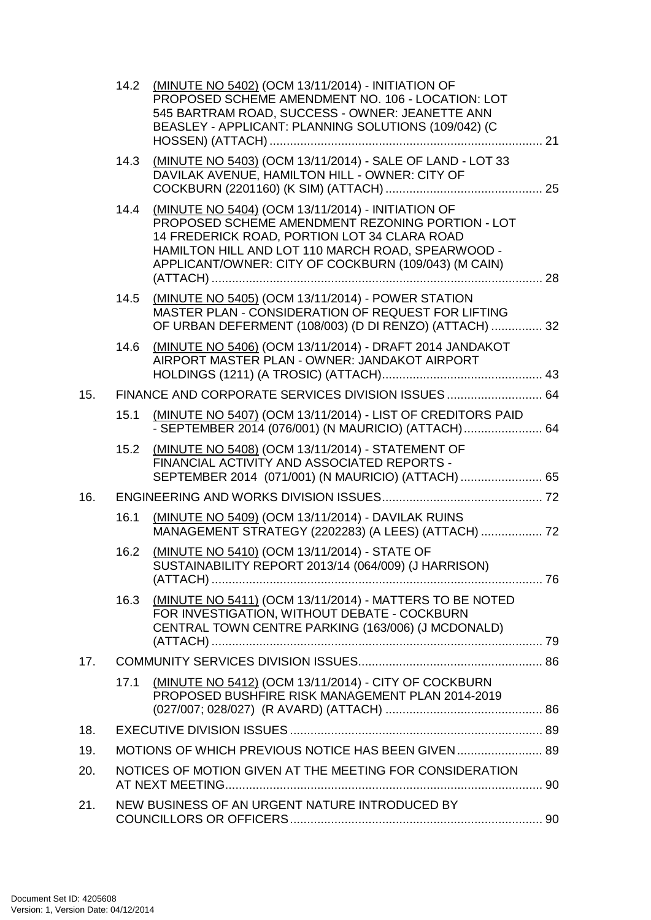|     |      | 14.2 (MINUTE NO 5402) (OCM 13/11/2014) - INITIATION OF<br>PROPOSED SCHEME AMENDMENT NO. 106 - LOCATION: LOT<br>545 BARTRAM ROAD, SUCCESS - OWNER: JEANETTE ANN<br>BEASLEY - APPLICANT: PLANNING SOLUTIONS (109/042) (C                                             |  |
|-----|------|--------------------------------------------------------------------------------------------------------------------------------------------------------------------------------------------------------------------------------------------------------------------|--|
|     | 14.3 | (MINUTE NO 5403) (OCM 13/11/2014) - SALE OF LAND - LOT 33<br>DAVILAK AVENUE, HAMILTON HILL - OWNER: CITY OF                                                                                                                                                        |  |
|     | 14.4 | (MINUTE NO 5404) (OCM 13/11/2014) - INITIATION OF<br>PROPOSED SCHEME AMENDMENT REZONING PORTION - LOT<br>14 FREDERICK ROAD, PORTION LOT 34 CLARA ROAD<br>HAMILTON HILL AND LOT 110 MARCH ROAD, SPEARWOOD -<br>APPLICANT/OWNER: CITY OF COCKBURN (109/043) (M CAIN) |  |
|     | 14.5 | (MINUTE NO 5405) (OCM 13/11/2014) - POWER STATION<br>MASTER PLAN - CONSIDERATION OF REQUEST FOR LIFTING<br>OF URBAN DEFERMENT (108/003) (D DI RENZO) (ATTACH)  32                                                                                                  |  |
|     | 14.6 | (MINUTE NO 5406) (OCM 13/11/2014) - DRAFT 2014 JANDAKOT<br>AIRPORT MASTER PLAN - OWNER: JANDAKOT AIRPORT                                                                                                                                                           |  |
| 15. |      | FINANCE AND CORPORATE SERVICES DIVISION ISSUES 64                                                                                                                                                                                                                  |  |
|     | 15.1 | (MINUTE NO 5407) (OCM 13/11/2014) - LIST OF CREDITORS PAID<br>- SEPTEMBER 2014 (076/001) (N MAURICIO) (ATTACH) 64                                                                                                                                                  |  |
|     | 15.2 | (MINUTE NO 5408) (OCM 13/11/2014) - STATEMENT OF<br>FINANCIAL ACTIVITY AND ASSOCIATED REPORTS -<br>SEPTEMBER 2014 (071/001) (N MAURICIO) (ATTACH)  65                                                                                                              |  |
| 16. |      |                                                                                                                                                                                                                                                                    |  |
|     | 16.1 | (MINUTE NO 5409) (OCM 13/11/2014) - DAVILAK RUINS<br>MANAGEMENT STRATEGY (2202283) (A LEES) (ATTACH)  72                                                                                                                                                           |  |
|     | 16.2 | (MINUTE NO 5410) (OCM 13/11/2014) - STATE OF<br>SUSTAINABILITY REPORT 2013/14 (064/009) (J HARRISON)                                                                                                                                                               |  |
|     |      | 16.3 (MINUTE NO 5411) (OCM 13/11/2014) - MATTERS TO BE NOTED<br>FOR INVESTIGATION, WITHOUT DEBATE - COCKBURN<br>CENTRAL TOWN CENTRE PARKING (163/006) (J MCDONALD)                                                                                                 |  |
| 17. |      |                                                                                                                                                                                                                                                                    |  |
|     | 17.1 | (MINUTE NO 5412) (OCM 13/11/2014) - CITY OF COCKBURN<br>PROPOSED BUSHFIRE RISK MANAGEMENT PLAN 2014-2019                                                                                                                                                           |  |
| 18. |      |                                                                                                                                                                                                                                                                    |  |
| 19. |      | MOTIONS OF WHICH PREVIOUS NOTICE HAS BEEN GIVEN 89                                                                                                                                                                                                                 |  |
| 20. |      | NOTICES OF MOTION GIVEN AT THE MEETING FOR CONSIDERATION                                                                                                                                                                                                           |  |
| 21. |      | NEW BUSINESS OF AN URGENT NATURE INTRODUCED BY                                                                                                                                                                                                                     |  |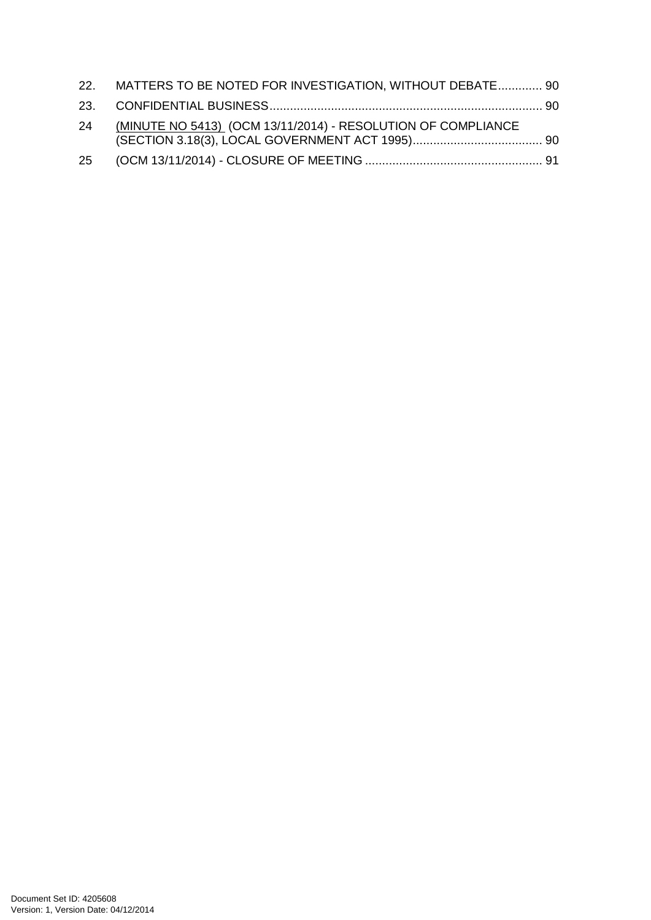|    | 22. MATTERS TO BE NOTED FOR INVESTIGATION, WITHOUT DEBATE 90 |  |
|----|--------------------------------------------------------------|--|
|    |                                                              |  |
| 24 | (MINUTE NO 5413) (OCM 13/11/2014) - RESOLUTION OF COMPLIANCE |  |
|    |                                                              |  |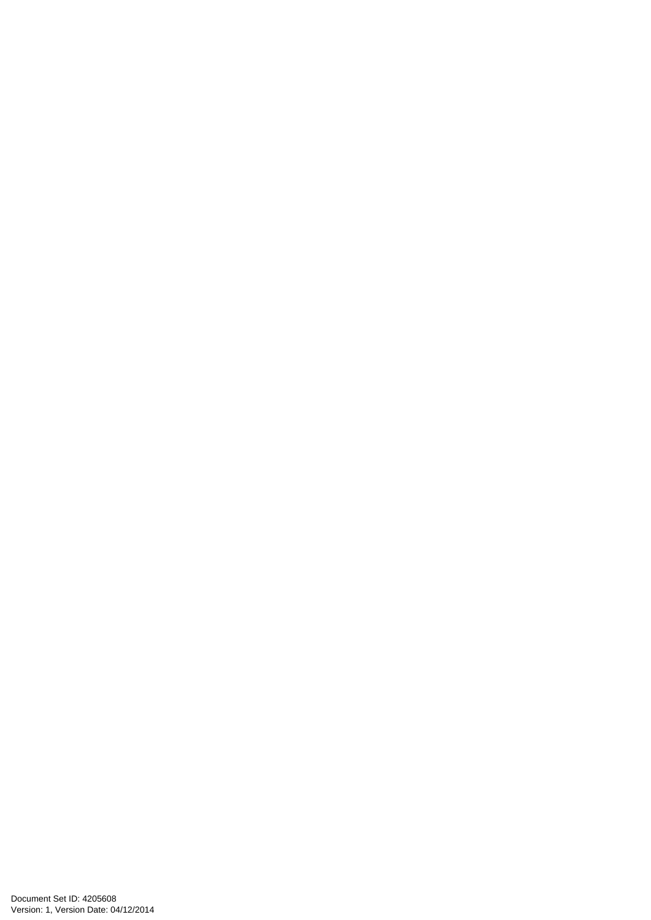Document Set ID: 4205608<br>Version: 1, Version Date: 04/12/2014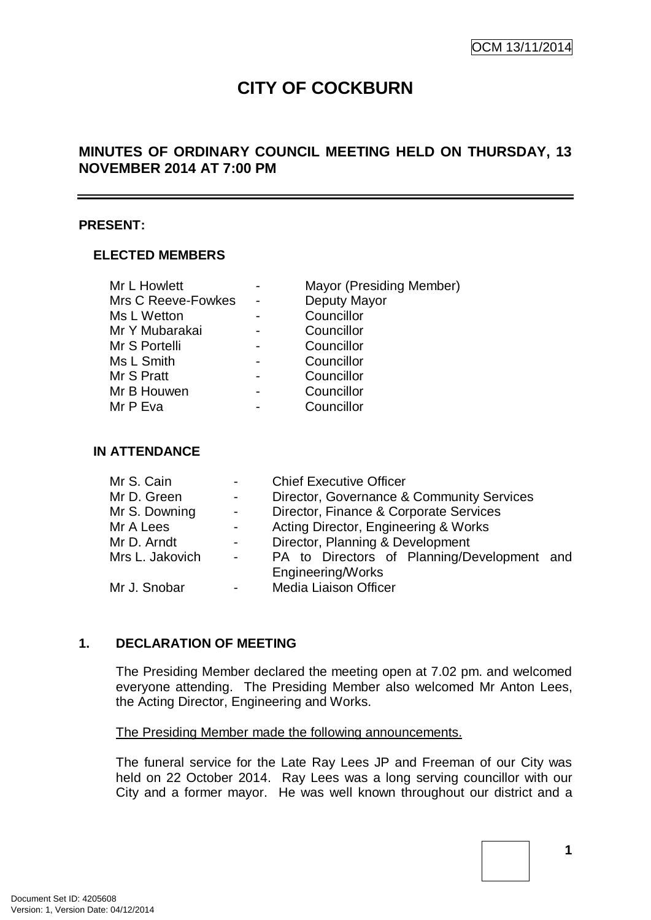# **CITY OF COCKBURN**

# **MINUTES OF ORDINARY COUNCIL MEETING HELD ON THURSDAY, 13 NOVEMBER 2014 AT 7:00 PM**

#### **PRESENT:**

#### **ELECTED MEMBERS**

| Mr L Howlett       | Mayor (Presiding Member) |
|--------------------|--------------------------|
| Mrs C Reeve-Fowkes | Deputy Mayor             |
| Ms L Wetton        | Councillor               |
| Mr Y Mubarakai     | Councillor               |
| Mr S Portelli      | Councillor               |
| Ms L Smith         | Councillor               |
| Mr S Pratt         | Councillor               |
| Mr B Houwen        | Councillor               |
| Mr P Eva           | Councillor               |
|                    |                          |

#### **IN ATTENDANCE**

| Mr S. Cain      | $\overline{\phantom{a}}$ | <b>Chief Executive Officer</b>              |  |
|-----------------|--------------------------|---------------------------------------------|--|
| Mr D. Green     | $\sim 100$               | Director, Governance & Community Services   |  |
| Mr S. Downing   | $\sim 100$               | Director, Finance & Corporate Services      |  |
| Mr A Lees       | $\sim 100$               | Acting Director, Engineering & Works        |  |
| Mr D. Arndt     | $\sim 100$ km s $^{-1}$  | Director, Planning & Development            |  |
| Mrs L. Jakovich | $\blacksquare$           | PA to Directors of Planning/Development and |  |
|                 |                          | Engineering/Works                           |  |
| Mr J. Snobar    | $\overline{\phantom{a}}$ | <b>Media Liaison Officer</b>                |  |
|                 |                          |                                             |  |

#### **1. DECLARATION OF MEETING**

The Presiding Member declared the meeting open at 7.02 pm. and welcomed everyone attending. The Presiding Member also welcomed Mr Anton Lees, the Acting Director, Engineering and Works.

#### The Presiding Member made the following announcements.

The funeral service for the Late Ray Lees JP and Freeman of our City was held on 22 October 2014. Ray Lees was a long serving councillor with our City and a former mayor. He was well known throughout our district and a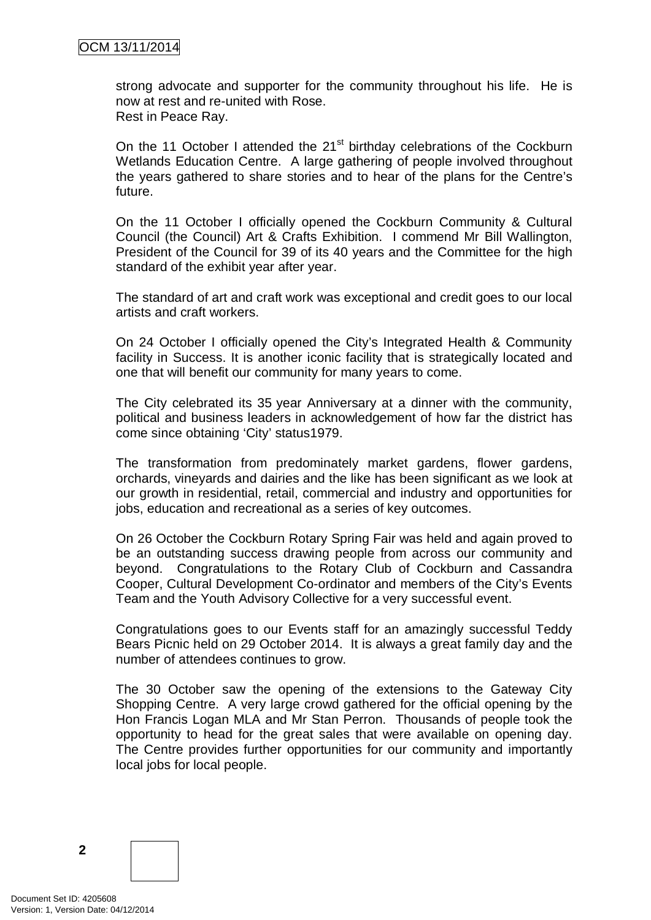strong advocate and supporter for the community throughout his life. He is now at rest and re-united with Rose. Rest in Peace Ray.

On the 11 October I attended the  $21<sup>st</sup>$  birthday celebrations of the Cockburn Wetlands Education Centre. A large gathering of people involved throughout the years gathered to share stories and to hear of the plans for the Centre's future.

On the 11 October I officially opened the Cockburn Community & Cultural Council (the Council) Art & Crafts Exhibition. I commend Mr Bill Wallington, President of the Council for 39 of its 40 years and the Committee for the high standard of the exhibit year after year.

The standard of art and craft work was exceptional and credit goes to our local artists and craft workers.

On 24 October I officially opened the City's Integrated Health & Community facility in Success. It is another iconic facility that is strategically located and one that will benefit our community for many years to come.

The City celebrated its 35 year Anniversary at a dinner with the community, political and business leaders in acknowledgement of how far the district has come since obtaining 'City' status1979.

The transformation from predominately market gardens, flower gardens, orchards, vineyards and dairies and the like has been significant as we look at our growth in residential, retail, commercial and industry and opportunities for jobs, education and recreational as a series of key outcomes.

On 26 October the Cockburn Rotary Spring Fair was held and again proved to be an outstanding success drawing people from across our community and beyond. Congratulations to the Rotary Club of Cockburn and Cassandra Cooper, Cultural Development Co-ordinator and members of the City's Events Team and the Youth Advisory Collective for a very successful event.

Congratulations goes to our Events staff for an amazingly successful Teddy Bears Picnic held on 29 October 2014. It is always a great family day and the number of attendees continues to grow.

The 30 October saw the opening of the extensions to the Gateway City Shopping Centre. A very large crowd gathered for the official opening by the Hon Francis Logan MLA and Mr Stan Perron. Thousands of people took the opportunity to head for the great sales that were available on opening day. The Centre provides further opportunities for our community and importantly local jobs for local people.

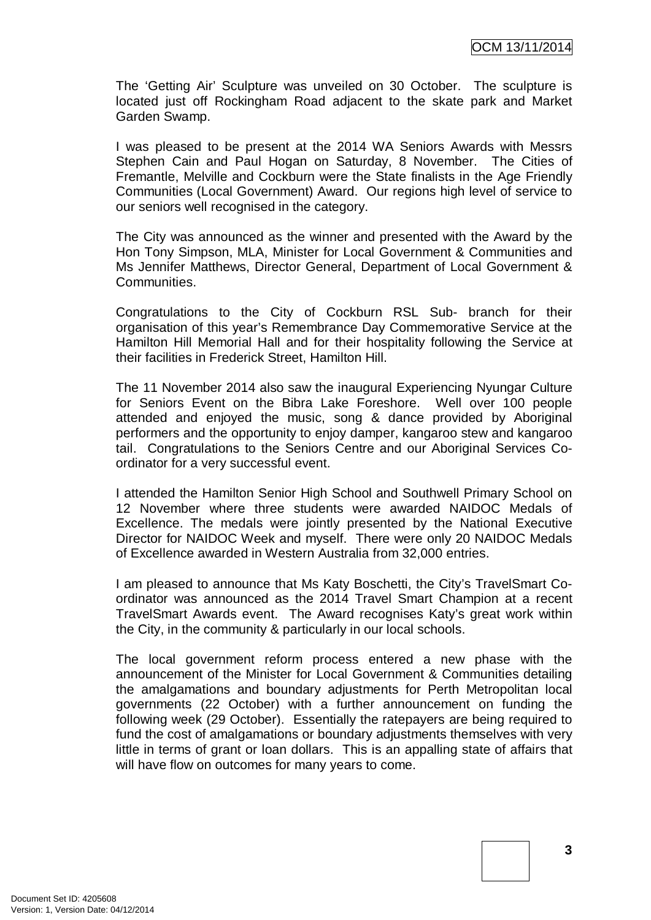The 'Getting Air' Sculpture was unveiled on 30 October. The sculpture is located just off Rockingham Road adjacent to the skate park and Market Garden Swamp.

I was pleased to be present at the 2014 WA Seniors Awards with Messrs Stephen Cain and Paul Hogan on Saturday, 8 November. The Cities of Fremantle, Melville and Cockburn were the State finalists in the Age Friendly Communities (Local Government) Award. Our regions high level of service to our seniors well recognised in the category.

The City was announced as the winner and presented with the Award by the Hon Tony Simpson, MLA, Minister for Local Government & Communities and Ms Jennifer Matthews, Director General, Department of Local Government & Communities.

Congratulations to the City of Cockburn RSL Sub- branch for their organisation of this year's Remembrance Day Commemorative Service at the Hamilton Hill Memorial Hall and for their hospitality following the Service at their facilities in Frederick Street, Hamilton Hill.

The 11 November 2014 also saw the inaugural Experiencing Nyungar Culture for Seniors Event on the Bibra Lake Foreshore. Well over 100 people attended and enjoyed the music, song & dance provided by Aboriginal performers and the opportunity to enjoy damper, kangaroo stew and kangaroo tail. Congratulations to the Seniors Centre and our Aboriginal Services Coordinator for a very successful event.

I attended the Hamilton Senior High School and Southwell Primary School on 12 November where three students were awarded NAIDOC Medals of Excellence. The medals were jointly presented by the National Executive Director for NAIDOC Week and myself. There were only 20 NAIDOC Medals of Excellence awarded in Western Australia from 32,000 entries.

I am pleased to announce that Ms Katy Boschetti, the City's TravelSmart Coordinator was announced as the 2014 Travel Smart Champion at a recent TravelSmart Awards event. The Award recognises Katy's great work within the City, in the community & particularly in our local schools.

The local government reform process entered a new phase with the announcement of the Minister for Local Government & Communities detailing the amalgamations and boundary adjustments for Perth Metropolitan local governments (22 October) with a further announcement on funding the following week (29 October). Essentially the ratepayers are being required to fund the cost of amalgamations or boundary adjustments themselves with very little in terms of grant or loan dollars. This is an appalling state of affairs that will have flow on outcomes for many years to come.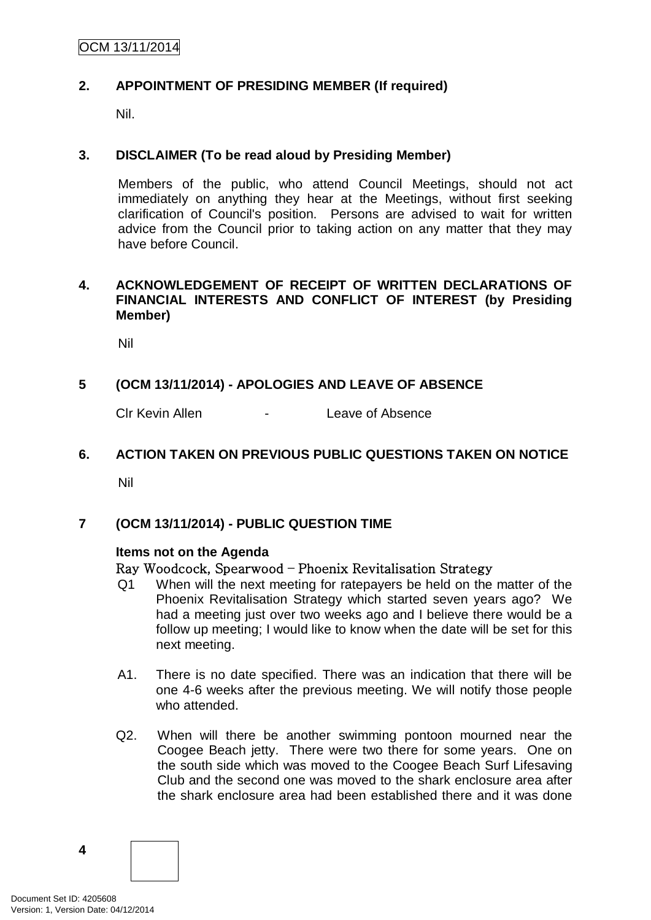### **2. APPOINTMENT OF PRESIDING MEMBER (If required)**

Nil.

#### **3. DISCLAIMER (To be read aloud by Presiding Member)**

Members of the public, who attend Council Meetings, should not act immediately on anything they hear at the Meetings, without first seeking clarification of Council's position. Persons are advised to wait for written advice from the Council prior to taking action on any matter that they may have before Council.

#### **4. ACKNOWLEDGEMENT OF RECEIPT OF WRITTEN DECLARATIONS OF FINANCIAL INTERESTS AND CONFLICT OF INTEREST (by Presiding Member)**

Nil

### **5 (OCM 13/11/2014) - APOLOGIES AND LEAVE OF ABSENCE**

Clr Kevin Allen **-** Leave of Absence

#### **6. ACTION TAKEN ON PREVIOUS PUBLIC QUESTIONS TAKEN ON NOTICE**

Nil

#### **7 (OCM 13/11/2014) - PUBLIC QUESTION TIME**

#### **Items not on the Agenda**

#### Ray Woodcock, Spearwood – Phoenix Revitalisation Strategy

- Q1 When will the next meeting for ratepayers be held on the matter of the Phoenix Revitalisation Strategy which started seven years ago? We had a meeting just over two weeks ago and I believe there would be a follow up meeting; I would like to know when the date will be set for this next meeting.
- A1. There is no date specified. There was an indication that there will be one 4-6 weeks after the previous meeting. We will notify those people who attended
- Q2. When will there be another swimming pontoon mourned near the Coogee Beach jetty. There were two there for some years. One on the south side which was moved to the Coogee Beach Surf Lifesaving Club and the second one was moved to the shark enclosure area after the shark enclosure area had been established there and it was done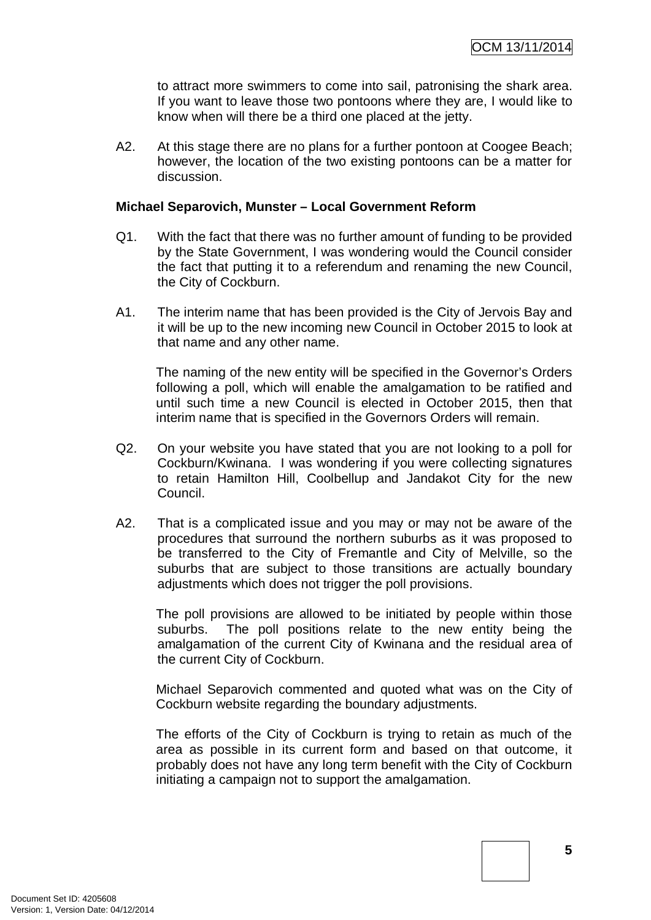to attract more swimmers to come into sail, patronising the shark area. If you want to leave those two pontoons where they are, I would like to know when will there be a third one placed at the jetty.

A2. At this stage there are no plans for a further pontoon at Coogee Beach; however, the location of the two existing pontoons can be a matter for discussion.

#### **Michael Separovich, Munster – Local Government Reform**

- Q1. With the fact that there was no further amount of funding to be provided by the State Government, I was wondering would the Council consider the fact that putting it to a referendum and renaming the new Council, the City of Cockburn.
- A1. The interim name that has been provided is the City of Jervois Bay and it will be up to the new incoming new Council in October 2015 to look at that name and any other name.

The naming of the new entity will be specified in the Governor's Orders following a poll, which will enable the amalgamation to be ratified and until such time a new Council is elected in October 2015, then that interim name that is specified in the Governors Orders will remain.

- Q2. On your website you have stated that you are not looking to a poll for Cockburn/Kwinana. I was wondering if you were collecting signatures to retain Hamilton Hill, Coolbellup and Jandakot City for the new Council.
- A2. That is a complicated issue and you may or may not be aware of the procedures that surround the northern suburbs as it was proposed to be transferred to the City of Fremantle and City of Melville, so the suburbs that are subject to those transitions are actually boundary adjustments which does not trigger the poll provisions.

The poll provisions are allowed to be initiated by people within those suburbs. The poll positions relate to the new entity being the amalgamation of the current City of Kwinana and the residual area of the current City of Cockburn.

Michael Separovich commented and quoted what was on the City of Cockburn website regarding the boundary adjustments.

The efforts of the City of Cockburn is trying to retain as much of the area as possible in its current form and based on that outcome, it probably does not have any long term benefit with the City of Cockburn initiating a campaign not to support the amalgamation.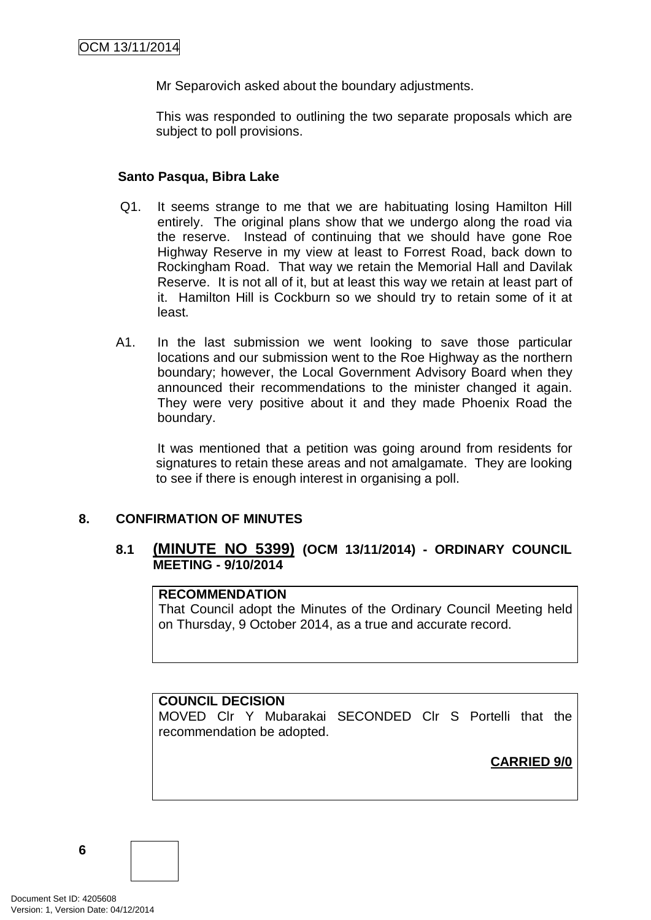Mr Separovich asked about the boundary adjustments.

This was responded to outlining the two separate proposals which are subject to poll provisions.

#### **Santo Pasqua, Bibra Lake**

- Q1. It seems strange to me that we are habituating losing Hamilton Hill entirely. The original plans show that we undergo along the road via the reserve. Instead of continuing that we should have gone Roe Highway Reserve in my view at least to Forrest Road, back down to Rockingham Road. That way we retain the Memorial Hall and Davilak Reserve. It is not all of it, but at least this way we retain at least part of it. Hamilton Hill is Cockburn so we should try to retain some of it at least.
- A1. In the last submission we went looking to save those particular locations and our submission went to the Roe Highway as the northern boundary; however, the Local Government Advisory Board when they announced their recommendations to the minister changed it again. They were very positive about it and they made Phoenix Road the boundary.

It was mentioned that a petition was going around from residents for signatures to retain these areas and not amalgamate. They are looking to see if there is enough interest in organising a poll.

#### **8. CONFIRMATION OF MINUTES**

### **8.1 (MINUTE NO 5399) (OCM 13/11/2014) - ORDINARY COUNCIL MEETING - 9/10/2014**

## **RECOMMENDATION**

That Council adopt the Minutes of the Ordinary Council Meeting held on Thursday, 9 October 2014, as a true and accurate record.

# **COUNCIL DECISION**

MOVED Clr Y Mubarakai SECONDED Clr S Portelli that the recommendation be adopted.

**CARRIED 9/0**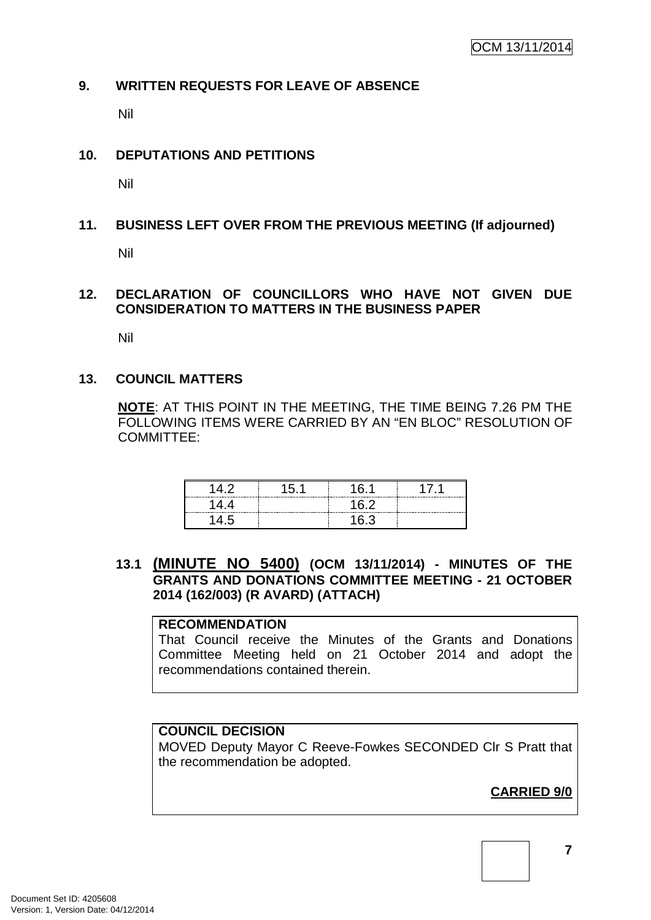#### **9. WRITTEN REQUESTS FOR LEAVE OF ABSENCE**

Nil

#### **10. DEPUTATIONS AND PETITIONS**

Nil

# **11. BUSINESS LEFT OVER FROM THE PREVIOUS MEETING (If adjourned)**

Nil

#### **12. DECLARATION OF COUNCILLORS WHO HAVE NOT GIVEN DUE CONSIDERATION TO MATTERS IN THE BUSINESS PAPER**

Nil

#### **13. COUNCIL MATTERS**

**NOTE**: AT THIS POINT IN THE MEETING, THE TIME BEING 7.26 PM THE FOLLOWING ITEMS WERE CARRIED BY AN "EN BLOC" RESOLUTION OF COMMITTEE:

| 2 ، ۱ | 15.1 | 16 1                | 1/1 |
|-------|------|---------------------|-----|
| .4.4  |      | $R^{\circ}$<br>---- |     |
|       |      | 762                 |     |

**13.1 (MINUTE NO 5400) (OCM 13/11/2014) - MINUTES OF THE GRANTS AND DONATIONS COMMITTEE MEETING - 21 OCTOBER 2014 (162/003) (R AVARD) (ATTACH)**

#### **RECOMMENDATION**

That Council receive the Minutes of the Grants and Donations Committee Meeting held on 21 October 2014 and adopt the recommendations contained therein.

#### **COUNCIL DECISION**

MOVED Deputy Mayor C Reeve-Fowkes SECONDED Clr S Pratt that the recommendation be adopted.

# **CARRIED 9/0**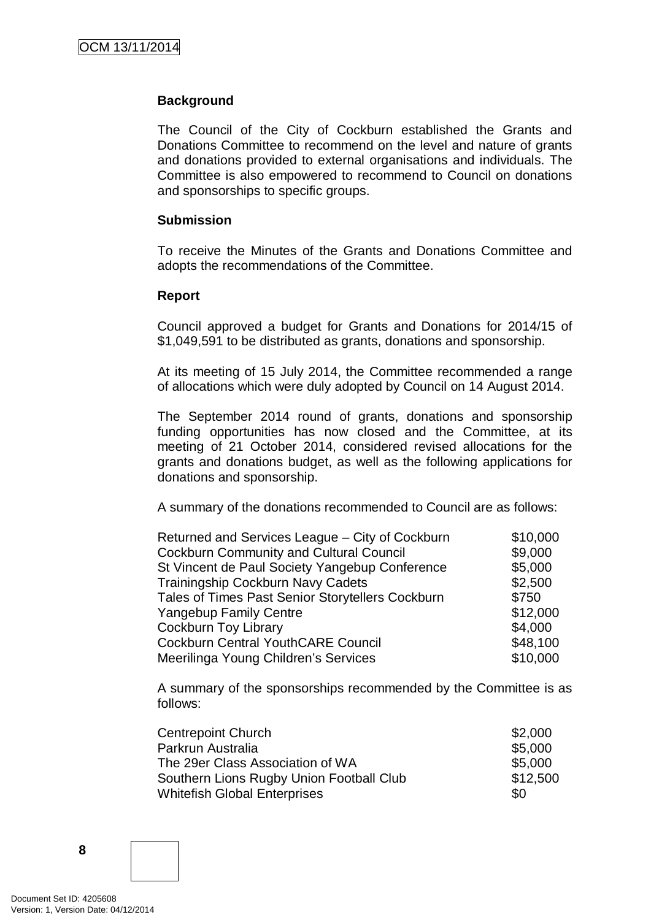### **Background**

The Council of the City of Cockburn established the Grants and Donations Committee to recommend on the level and nature of grants and donations provided to external organisations and individuals. The Committee is also empowered to recommend to Council on donations and sponsorships to specific groups.

#### **Submission**

To receive the Minutes of the Grants and Donations Committee and adopts the recommendations of the Committee.

#### **Report**

Council approved a budget for Grants and Donations for 2014/15 of \$1,049,591 to be distributed as grants, donations and sponsorship.

At its meeting of 15 July 2014, the Committee recommended a range of allocations which were duly adopted by Council on 14 August 2014.

The September 2014 round of grants, donations and sponsorship funding opportunities has now closed and the Committee, at its meeting of 21 October 2014, considered revised allocations for the grants and donations budget, as well as the following applications for donations and sponsorship.

A summary of the donations recommended to Council are as follows:

| Returned and Services League - City of Cockburn  | \$10,000 |
|--------------------------------------------------|----------|
| <b>Cockburn Community and Cultural Council</b>   | \$9,000  |
| St Vincent de Paul Society Yangebup Conference   | \$5,000  |
| <b>Trainingship Cockburn Navy Cadets</b>         | \$2,500  |
| Tales of Times Past Senior Storytellers Cockburn | \$750    |
| Yangebup Family Centre                           | \$12,000 |
| <b>Cockburn Toy Library</b>                      | \$4,000  |
| <b>Cockburn Central YouthCARE Council</b>        | \$48,100 |
| Meerilinga Young Children's Services             | \$10,000 |

A summary of the sponsorships recommended by the Committee is as follows:

| <b>Centrepoint Church</b>                | \$2,000  |
|------------------------------------------|----------|
| Parkrun Australia                        | \$5,000  |
| The 29er Class Association of WA         | \$5,000  |
| Southern Lions Rugby Union Football Club | \$12,500 |
| <b>Whitefish Global Enterprises</b>      | \$0      |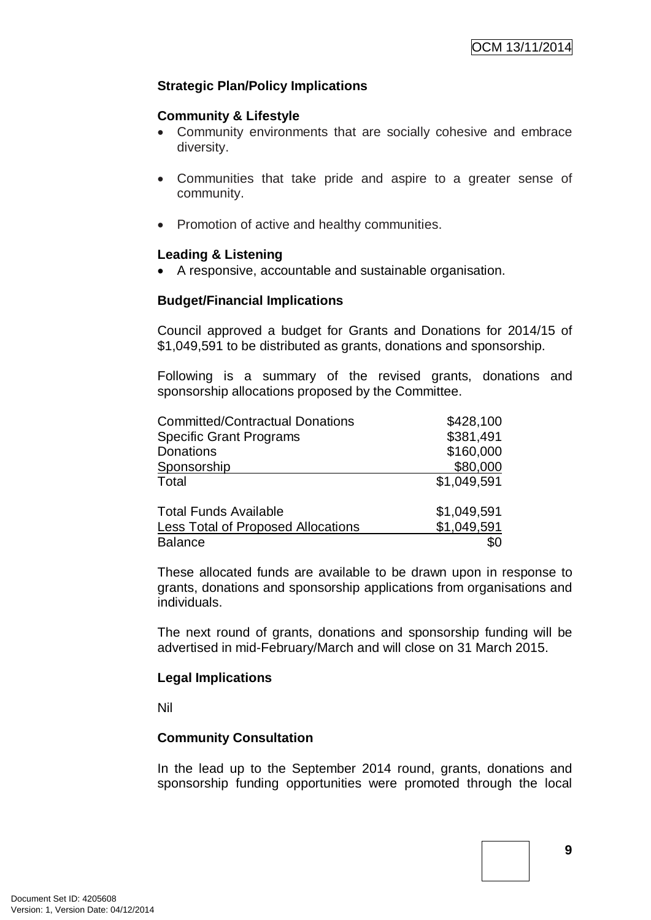### **Strategic Plan/Policy Implications**

#### **Community & Lifestyle**

- Community environments that are socially cohesive and embrace diversity.
- Communities that take pride and aspire to a greater sense of community.
- Promotion of active and healthy communities.

#### **Leading & Listening**

• A responsive, accountable and sustainable organisation.

#### **Budget/Financial Implications**

Council approved a budget for Grants and Donations for 2014/15 of \$1,049,591 to be distributed as grants, donations and sponsorship.

Following is a summary of the revised grants, donations and sponsorship allocations proposed by the Committee.

| <b>Committed/Contractual Donations</b>    | \$428,100   |
|-------------------------------------------|-------------|
| <b>Specific Grant Programs</b>            | \$381,491   |
| <b>Donations</b>                          | \$160,000   |
| Sponsorship                               | \$80,000    |
| Total                                     | \$1,049,591 |
| <b>Total Funds Available</b>              | \$1,049,591 |
| <b>Less Total of Proposed Allocations</b> | \$1,049,591 |
| <b>Balance</b>                            |             |

These allocated funds are available to be drawn upon in response to grants, donations and sponsorship applications from organisations and individuals.

The next round of grants, donations and sponsorship funding will be advertised in mid-February/March and will close on 31 March 2015.

#### **Legal Implications**

Nil

#### **Community Consultation**

In the lead up to the September 2014 round, grants, donations and sponsorship funding opportunities were promoted through the local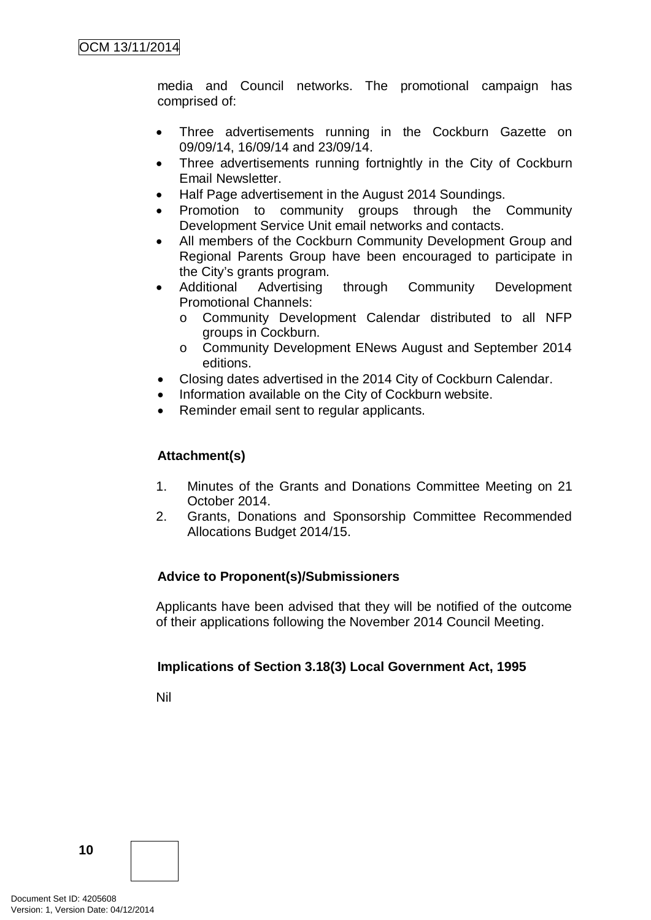media and Council networks. The promotional campaign has comprised of:

- Three advertisements running in the Cockburn Gazette on 09/09/14, 16/09/14 and 23/09/14.
- Three advertisements running fortnightly in the City of Cockburn Email Newsletter.
- Half Page advertisement in the August 2014 Soundings.
- Promotion to community groups through the Community Development Service Unit email networks and contacts.
- All members of the Cockburn Community Development Group and Regional Parents Group have been encouraged to participate in the City's grants program.
- Additional Advertising through Community Development Promotional Channels:
	- o Community Development Calendar distributed to all NFP groups in Cockburn.
	- o Community Development ENews August and September 2014 editions.
- Closing dates advertised in the 2014 City of Cockburn Calendar.
- Information available on the City of Cockburn website.
- Reminder email sent to regular applicants.

## **Attachment(s)**

- 1. Minutes of the Grants and Donations Committee Meeting on 21 October 2014.
- 2. Grants, Donations and Sponsorship Committee Recommended Allocations Budget 2014/15.

# **Advice to Proponent(s)/Submissioners**

Applicants have been advised that they will be notified of the outcome of their applications following the November 2014 Council Meeting.

#### **Implications of Section 3.18(3) Local Government Act, 1995**

Nil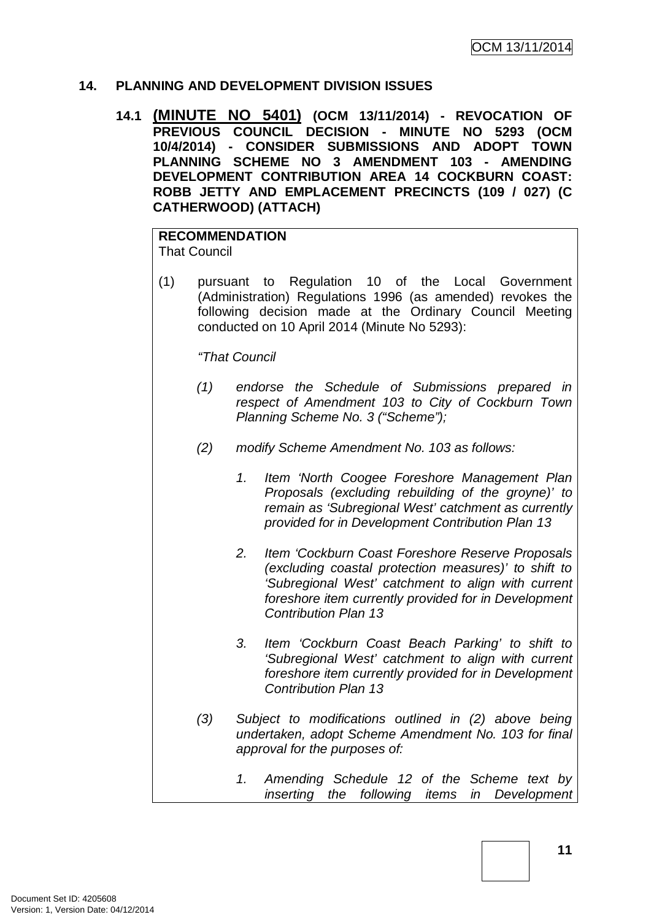#### **14. PLANNING AND DEVELOPMENT DIVISION ISSUES**

**14.1 (MINUTE NO 5401) (OCM 13/11/2014) - REVOCATION OF PREVIOUS COUNCIL DECISION - MINUTE NO 5293 (OCM 10/4/2014) - CONSIDER SUBMISSIONS AND ADOPT TOWN PLANNING SCHEME NO 3 AMENDMENT 103 - AMENDING DEVELOPMENT CONTRIBUTION AREA 14 COCKBURN COAST: ROBB JETTY AND EMPLACEMENT PRECINCTS (109 / 027) (C CATHERWOOD) (ATTACH)**

# **RECOMMENDATION**

That Council

(1) pursuant to Regulation 10 of the Local Government (Administration) Regulations 1996 (as amended) revokes the following decision made at the Ordinary Council Meeting conducted on 10 April 2014 (Minute No 5293):

*"That Council* 

- *(1) endorse the Schedule of Submissions prepared in respect of Amendment 103 to City of Cockburn Town Planning Scheme No. 3 ("Scheme");*
- *(2) modify Scheme Amendment No. 103 as follows:*
	- *1. Item 'North Coogee Foreshore Management Plan Proposals (excluding rebuilding of the groyne)' to remain as 'Subregional West' catchment as currently provided for in Development Contribution Plan 13*
	- *2. Item 'Cockburn Coast Foreshore Reserve Proposals (excluding coastal protection measures)' to shift to 'Subregional West' catchment to align with current foreshore item currently provided for in Development Contribution Plan 13*
	- *3. Item 'Cockburn Coast Beach Parking' to shift to 'Subregional West' catchment to align with current foreshore item currently provided for in Development Contribution Plan 13*
- *(3) Subject to modifications outlined in (2) above being undertaken, adopt Scheme Amendment No. 103 for final approval for the purposes of:*
	- *1. Amending Schedule 12 of the Scheme text by inserting the following items in Development*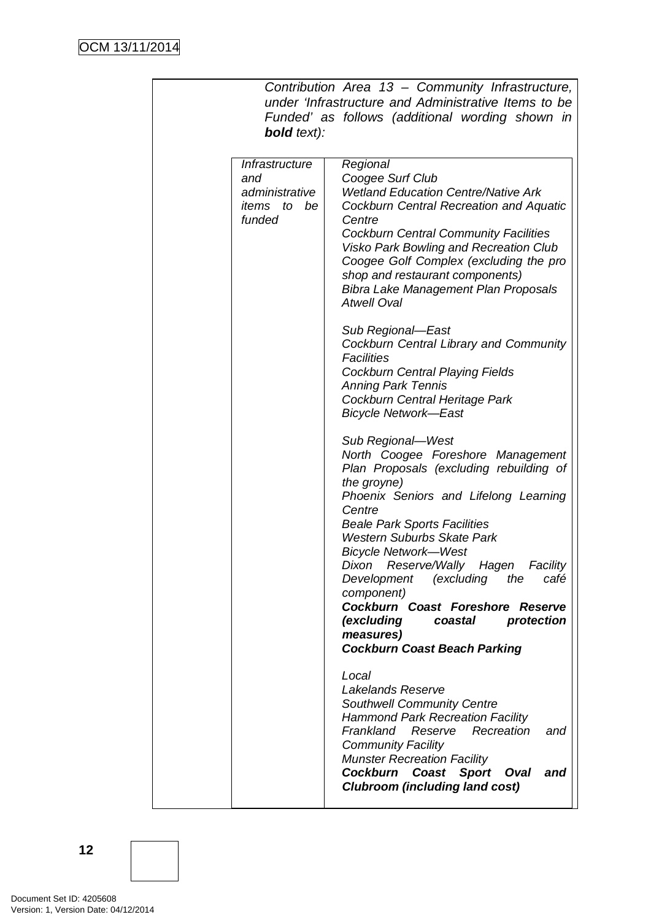| Contribution Area 13 - Community Infrastructure,<br>under 'Infrastructure and Administrative Items to be<br>Funded' as follows (additional wording shown in |                                                                                                                                                                                                                                                                                                                                                                                                                                                                                                            |  |
|-------------------------------------------------------------------------------------------------------------------------------------------------------------|------------------------------------------------------------------------------------------------------------------------------------------------------------------------------------------------------------------------------------------------------------------------------------------------------------------------------------------------------------------------------------------------------------------------------------------------------------------------------------------------------------|--|
| <b>bold</b> text):                                                                                                                                          |                                                                                                                                                                                                                                                                                                                                                                                                                                                                                                            |  |
| Infrastructure<br>and<br>administrative<br>items to<br>be<br>funded                                                                                         | Regional<br>Coogee Surf Club<br><b>Wetland Education Centre/Native Ark</b><br>Cockburn Central Recreation and Aquatic<br>Centre<br><b>Cockburn Central Community Facilities</b><br><b>Visko Park Bowling and Recreation Club</b><br>Coogee Golf Complex (excluding the pro<br>shop and restaurant components)<br>Bibra Lake Management Plan Proposals<br><b>Atwell Oval</b>                                                                                                                                |  |
|                                                                                                                                                             | Sub Regional-East<br>Cockburn Central Library and Community<br><b>Facilities</b><br><b>Cockburn Central Playing Fields</b><br><b>Anning Park Tennis</b><br>Cockburn Central Heritage Park<br><b>Bicycle Network-East</b>                                                                                                                                                                                                                                                                                   |  |
|                                                                                                                                                             | Sub Regional-West<br>North Coogee Foreshore Management<br>Plan Proposals (excluding rebuilding of<br>the groyne)<br>Phoenix Seniors and Lifelong Learning<br>Centre<br><b>Beale Park Sports Facilities</b><br><b>Western Suburbs Skate Park</b><br><b>Bicycle Network-West</b><br>Dixon Reserve/Wally Hagen Facility<br>Development (excluding<br>the<br>café<br>component)<br>Cockburn Coast Foreshore Reserve<br>(excluding<br>protection<br>coastal<br>measures)<br><b>Cockburn Coast Beach Parking</b> |  |
|                                                                                                                                                             | Local<br><b>Lakelands Reserve</b><br><b>Southwell Community Centre</b><br><b>Hammond Park Recreation Facility</b><br>Recreation<br>Frankland Reserve<br>and<br><b>Community Facility</b><br><b>Munster Recreation Facility</b><br>Cockburn Coast Sport<br>Oval<br>and<br><b>Clubroom (including land cost)</b>                                                                                                                                                                                             |  |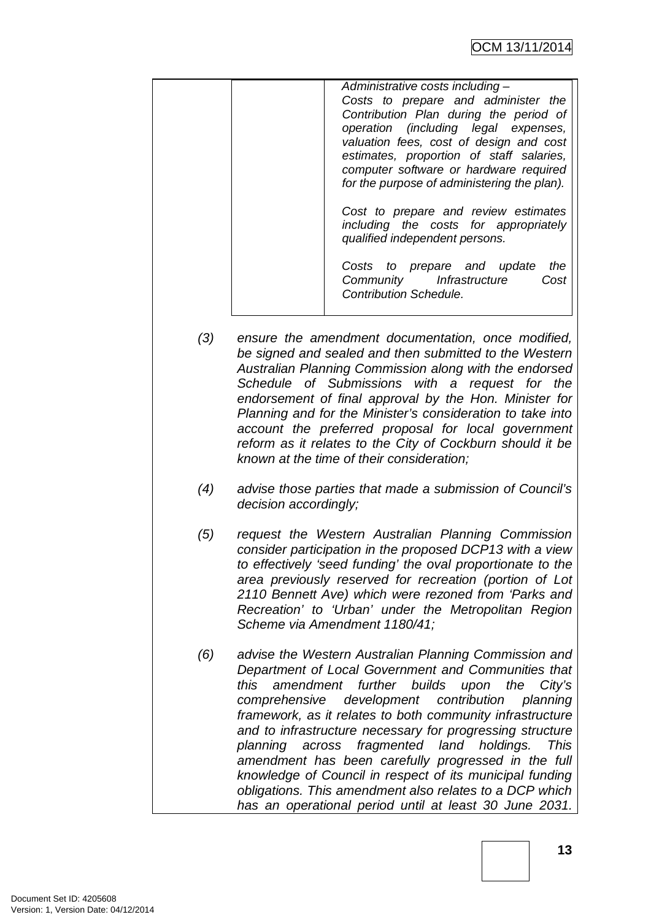| Administrative costs including -<br>Costs to prepare and administer the<br>Contribution Plan during the period of<br>operation (including legal expenses,<br>valuation fees, cost of design and cost<br>estimates, proportion of staff salaries,<br>computer software or hardware required<br>for the purpose of administering the plan). |
|-------------------------------------------------------------------------------------------------------------------------------------------------------------------------------------------------------------------------------------------------------------------------------------------------------------------------------------------|
| Cost to prepare and review estimates<br>including the costs for appropriately<br>qualified independent persons.                                                                                                                                                                                                                           |
| Costs to prepare and update<br>the<br>Community Infrastructure<br>Cost<br><b>Contribution Schedule.</b>                                                                                                                                                                                                                                   |

- *(3) ensure the amendment documentation, once modified, be signed and sealed and then submitted to the Western Australian Planning Commission along with the endorsed Schedule of Submissions with a request for the endorsement of final approval by the Hon. Minister for Planning and for the Minister's consideration to take into account the preferred proposal for local government reform as it relates to the City of Cockburn should it be known at the time of their consideration;*
- *(4) advise those parties that made a submission of Council's decision accordingly;*
- *(5) request the Western Australian Planning Commission consider participation in the proposed DCP13 with a view to effectively 'seed funding' the oval proportionate to the area previously reserved for recreation (portion of Lot 2110 Bennett Ave) which were rezoned from 'Parks and Recreation' to 'Urban' under the Metropolitan Region Scheme via Amendment 1180/41;*
- *(6) advise the Western Australian Planning Commission and Department of Local Government and Communities that this amendment further builds upon the City's comprehensive development contribution planning framework, as it relates to both community infrastructure and to infrastructure necessary for progressing structure planning across fragmented land holdings. This amendment has been carefully progressed in the full knowledge of Council in respect of its municipal funding obligations. This amendment also relates to a DCP which has an operational period until at least 30 June 2031.*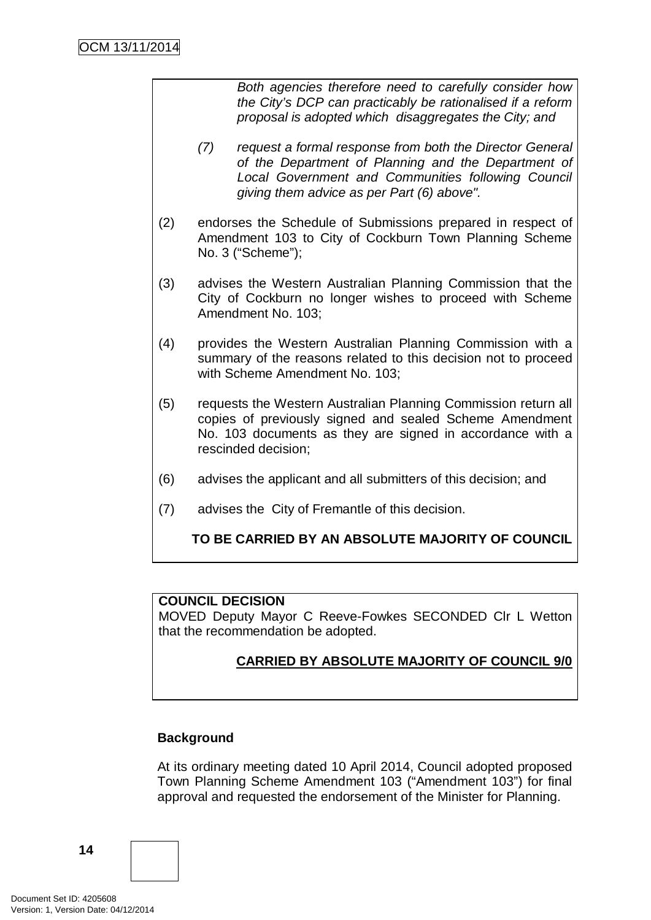*Both agencies therefore need to carefully consider how the City's DCP can practicably be rationalised if a reform proposal is adopted which disaggregates the City; and*

- *(7) request a formal response from both the Director General of the Department of Planning and the Department of Local Government and Communities following Council giving them advice as per Part (6) above".*
- (2) endorses the Schedule of Submissions prepared in respect of Amendment 103 to City of Cockburn Town Planning Scheme No. 3 ("Scheme");
- (3) advises the Western Australian Planning Commission that the City of Cockburn no longer wishes to proceed with Scheme Amendment No. 103;
- (4) provides the Western Australian Planning Commission with a summary of the reasons related to this decision not to proceed with Scheme Amendment No. 103;
- (5) requests the Western Australian Planning Commission return all copies of previously signed and sealed Scheme Amendment No. 103 documents as they are signed in accordance with a rescinded decision;
- (6) advises the applicant and all submitters of this decision; and
- (7) advises the City of Fremantle of this decision.

# **TO BE CARRIED BY AN ABSOLUTE MAJORITY OF COUNCIL**

#### **COUNCIL DECISION**

MOVED Deputy Mayor C Reeve-Fowkes SECONDED Clr L Wetton that the recommendation be adopted.

# **CARRIED BY ABSOLUTE MAJORITY OF COUNCIL 9/0**

#### **Background**

At its ordinary meeting dated 10 April 2014, Council adopted proposed Town Planning Scheme Amendment 103 ("Amendment 103") for final approval and requested the endorsement of the Minister for Planning.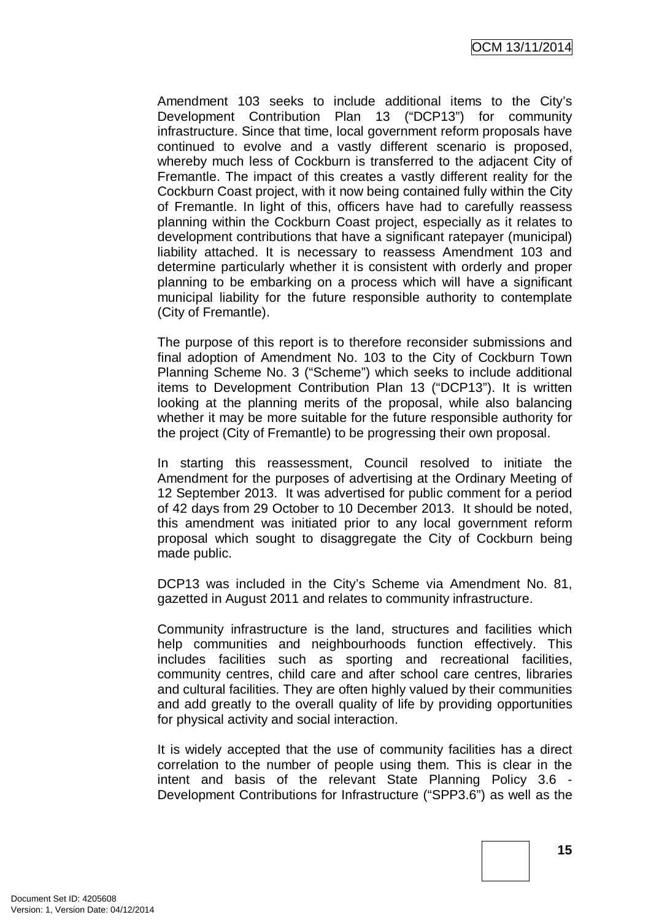OCM 13/11/2014

Amendment 103 seeks to include additional items to the City's Development Contribution Plan 13 ("DCP13") for community infrastructure. Since that time, local government reform proposals have continued to evolve and a vastly different scenario is proposed, whereby much less of Cockburn is transferred to the adjacent City of Fremantle. The impact of this creates a vastly different reality for the Cockburn Coast project, with it now being contained fully within the City of Fremantle. In light of this, officers have had to carefully reassess planning within the Cockburn Coast project, especially as it relates to development contributions that have a significant ratepayer (municipal) liability attached. It is necessary to reassess Amendment 103 and determine particularly whether it is consistent with orderly and proper planning to be embarking on a process which will have a significant municipal liability for the future responsible authority to contemplate (City of Fremantle).

The purpose of this report is to therefore reconsider submissions and final adoption of Amendment No. 103 to the City of Cockburn Town Planning Scheme No. 3 ("Scheme") which seeks to include additional items to Development Contribution Plan 13 ("DCP13"). It is written looking at the planning merits of the proposal, while also balancing whether it may be more suitable for the future responsible authority for the project (City of Fremantle) to be progressing their own proposal.

In starting this reassessment, Council resolved to initiate the Amendment for the purposes of advertising at the Ordinary Meeting of 12 September 2013. It was advertised for public comment for a period of 42 days from 29 October to 10 December 2013. It should be noted, this amendment was initiated prior to any local government reform proposal which sought to disaggregate the City of Cockburn being made public.

DCP13 was included in the City's Scheme via Amendment No. 81, gazetted in August 2011 and relates to community infrastructure.

Community infrastructure is the land, structures and facilities which help communities and neighbourhoods function effectively. This includes facilities such as sporting and recreational facilities, community centres, child care and after school care centres, libraries and cultural facilities. They are often highly valued by their communities and add greatly to the overall quality of life by providing opportunities for physical activity and social interaction.

It is widely accepted that the use of community facilities has a direct correlation to the number of people using them. This is clear in the intent and basis of the relevant State Planning Policy 3.6 - Development Contributions for Infrastructure ("SPP3.6") as well as the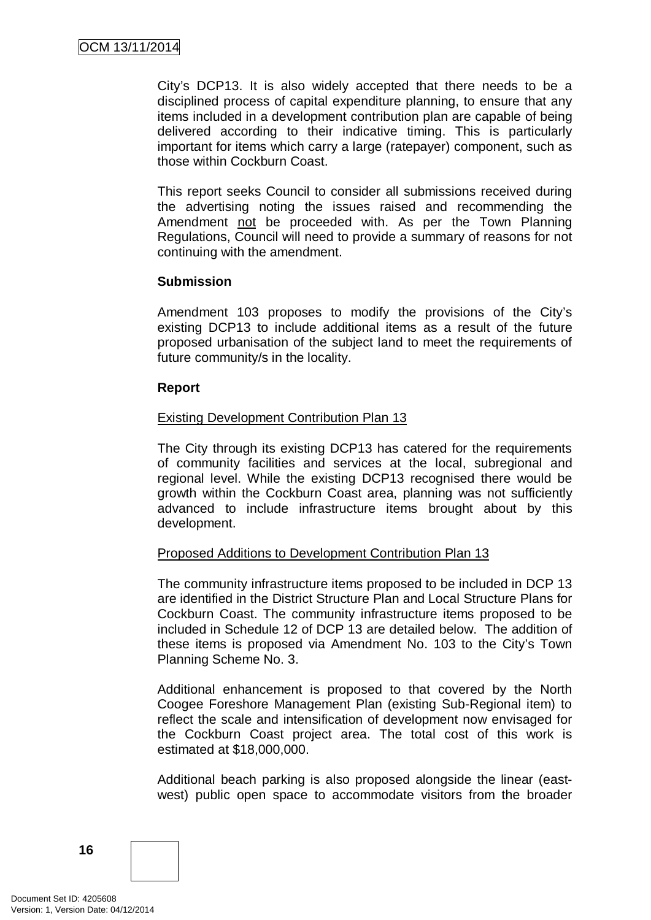City's DCP13. It is also widely accepted that there needs to be a disciplined process of capital expenditure planning, to ensure that any items included in a development contribution plan are capable of being delivered according to their indicative timing. This is particularly important for items which carry a large (ratepayer) component, such as those within Cockburn Coast.

This report seeks Council to consider all submissions received during the advertising noting the issues raised and recommending the Amendment not be proceeded with. As per the Town Planning Regulations, Council will need to provide a summary of reasons for not continuing with the amendment.

#### **Submission**

Amendment 103 proposes to modify the provisions of the City's existing DCP13 to include additional items as a result of the future proposed urbanisation of the subject land to meet the requirements of future community/s in the locality.

### **Report**

### Existing Development Contribution Plan 13

The City through its existing DCP13 has catered for the requirements of community facilities and services at the local, subregional and regional level. While the existing DCP13 recognised there would be growth within the Cockburn Coast area, planning was not sufficiently advanced to include infrastructure items brought about by this development.

#### Proposed Additions to Development Contribution Plan 13

The community infrastructure items proposed to be included in DCP 13 are identified in the District Structure Plan and Local Structure Plans for Cockburn Coast. The community infrastructure items proposed to be included in Schedule 12 of DCP 13 are detailed below. The addition of these items is proposed via Amendment No. 103 to the City's Town Planning Scheme No. 3.

Additional enhancement is proposed to that covered by the North Coogee Foreshore Management Plan (existing Sub-Regional item) to reflect the scale and intensification of development now envisaged for the Cockburn Coast project area. The total cost of this work is estimated at \$18,000,000.

Additional beach parking is also proposed alongside the linear (eastwest) public open space to accommodate visitors from the broader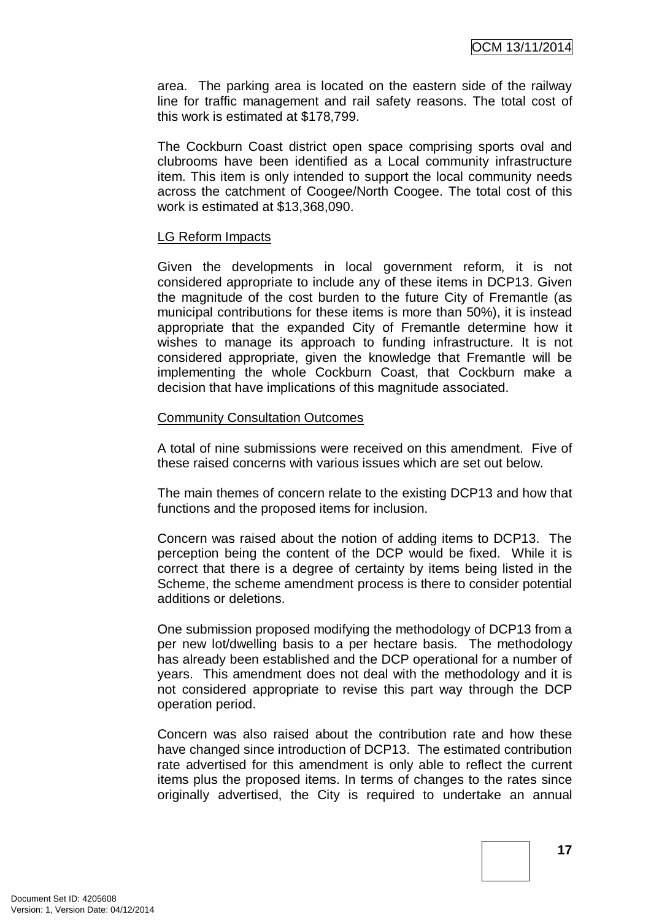area. The parking area is located on the eastern side of the railway line for traffic management and rail safety reasons. The total cost of this work is estimated at \$178,799.

The Cockburn Coast district open space comprising sports oval and clubrooms have been identified as a Local community infrastructure item. This item is only intended to support the local community needs across the catchment of Coogee/North Coogee. The total cost of this work is estimated at \$13,368,090.

#### LG Reform Impacts

Given the developments in local government reform, it is not considered appropriate to include any of these items in DCP13. Given the magnitude of the cost burden to the future City of Fremantle (as municipal contributions for these items is more than 50%), it is instead appropriate that the expanded City of Fremantle determine how it wishes to manage its approach to funding infrastructure. It is not considered appropriate, given the knowledge that Fremantle will be implementing the whole Cockburn Coast, that Cockburn make a decision that have implications of this magnitude associated.

#### Community Consultation Outcomes

A total of nine submissions were received on this amendment. Five of these raised concerns with various issues which are set out below.

The main themes of concern relate to the existing DCP13 and how that functions and the proposed items for inclusion.

Concern was raised about the notion of adding items to DCP13. The perception being the content of the DCP would be fixed. While it is correct that there is a degree of certainty by items being listed in the Scheme, the scheme amendment process is there to consider potential additions or deletions.

One submission proposed modifying the methodology of DCP13 from a per new lot/dwelling basis to a per hectare basis. The methodology has already been established and the DCP operational for a number of years. This amendment does not deal with the methodology and it is not considered appropriate to revise this part way through the DCP operation period.

Concern was also raised about the contribution rate and how these have changed since introduction of DCP13. The estimated contribution rate advertised for this amendment is only able to reflect the current items plus the proposed items. In terms of changes to the rates since originally advertised, the City is required to undertake an annual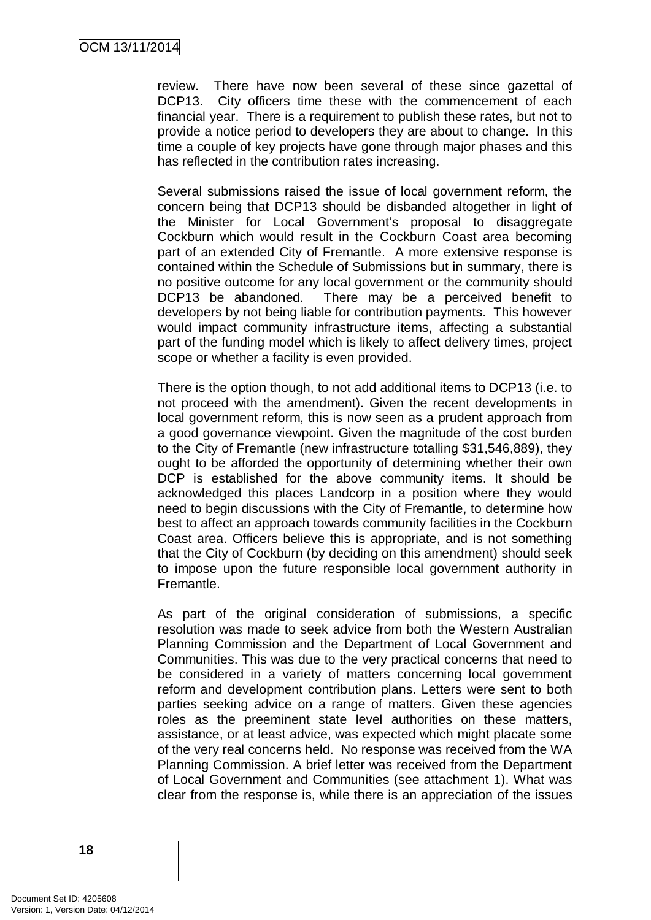review. There have now been several of these since gazettal of DCP13. City officers time these with the commencement of each financial year. There is a requirement to publish these rates, but not to provide a notice period to developers they are about to change. In this time a couple of key projects have gone through major phases and this has reflected in the contribution rates increasing.

Several submissions raised the issue of local government reform, the concern being that DCP13 should be disbanded altogether in light of the Minister for Local Government's proposal to disaggregate Cockburn which would result in the Cockburn Coast area becoming part of an extended City of Fremantle. A more extensive response is contained within the Schedule of Submissions but in summary, there is no positive outcome for any local government or the community should DCP13 be abandoned. There may be a perceived benefit to developers by not being liable for contribution payments. This however would impact community infrastructure items, affecting a substantial part of the funding model which is likely to affect delivery times, project scope or whether a facility is even provided.

There is the option though, to not add additional items to DCP13 (i.e. to not proceed with the amendment). Given the recent developments in local government reform, this is now seen as a prudent approach from a good governance viewpoint. Given the magnitude of the cost burden to the City of Fremantle (new infrastructure totalling \$31,546,889), they ought to be afforded the opportunity of determining whether their own DCP is established for the above community items. It should be acknowledged this places Landcorp in a position where they would need to begin discussions with the City of Fremantle, to determine how best to affect an approach towards community facilities in the Cockburn Coast area. Officers believe this is appropriate, and is not something that the City of Cockburn (by deciding on this amendment) should seek to impose upon the future responsible local government authority in Fremantle.

As part of the original consideration of submissions, a specific resolution was made to seek advice from both the Western Australian Planning Commission and the Department of Local Government and Communities. This was due to the very practical concerns that need to be considered in a variety of matters concerning local government reform and development contribution plans. Letters were sent to both parties seeking advice on a range of matters. Given these agencies roles as the preeminent state level authorities on these matters, assistance, or at least advice, was expected which might placate some of the very real concerns held. No response was received from the WA Planning Commission. A brief letter was received from the Department of Local Government and Communities (see attachment 1). What was clear from the response is, while there is an appreciation of the issues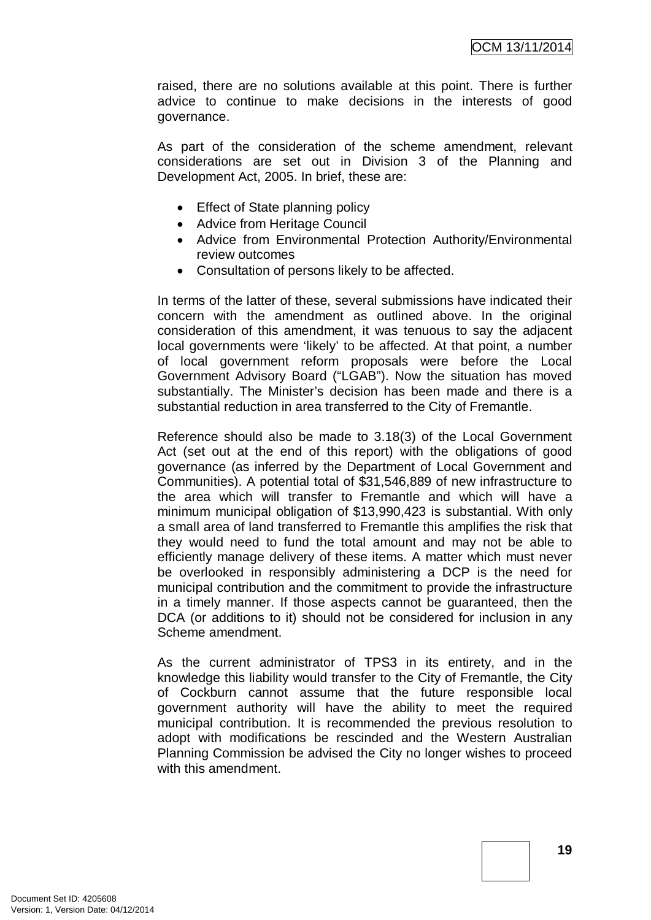raised, there are no solutions available at this point. There is further advice to continue to make decisions in the interests of good governance.

As part of the consideration of the scheme amendment, relevant considerations are set out in Division 3 of the Planning and Development Act, 2005. In brief, these are:

- Effect of State planning policy
- Advice from Heritage Council
- Advice from Environmental Protection Authority/Environmental review outcomes
- Consultation of persons likely to be affected.

In terms of the latter of these, several submissions have indicated their concern with the amendment as outlined above. In the original consideration of this amendment, it was tenuous to say the adjacent local governments were 'likely' to be affected. At that point, a number of local government reform proposals were before the Local Government Advisory Board ("LGAB"). Now the situation has moved substantially. The Minister's decision has been made and there is a substantial reduction in area transferred to the City of Fremantle.

Reference should also be made to 3.18(3) of the Local Government Act (set out at the end of this report) with the obligations of good governance (as inferred by the Department of Local Government and Communities). A potential total of \$31,546,889 of new infrastructure to the area which will transfer to Fremantle and which will have a minimum municipal obligation of \$13,990,423 is substantial. With only a small area of land transferred to Fremantle this amplifies the risk that they would need to fund the total amount and may not be able to efficiently manage delivery of these items. A matter which must never be overlooked in responsibly administering a DCP is the need for municipal contribution and the commitment to provide the infrastructure in a timely manner. If those aspects cannot be guaranteed, then the DCA (or additions to it) should not be considered for inclusion in any Scheme amendment.

As the current administrator of TPS3 in its entirety, and in the knowledge this liability would transfer to the City of Fremantle, the City of Cockburn cannot assume that the future responsible local government authority will have the ability to meet the required municipal contribution. It is recommended the previous resolution to adopt with modifications be rescinded and the Western Australian Planning Commission be advised the City no longer wishes to proceed with this amendment.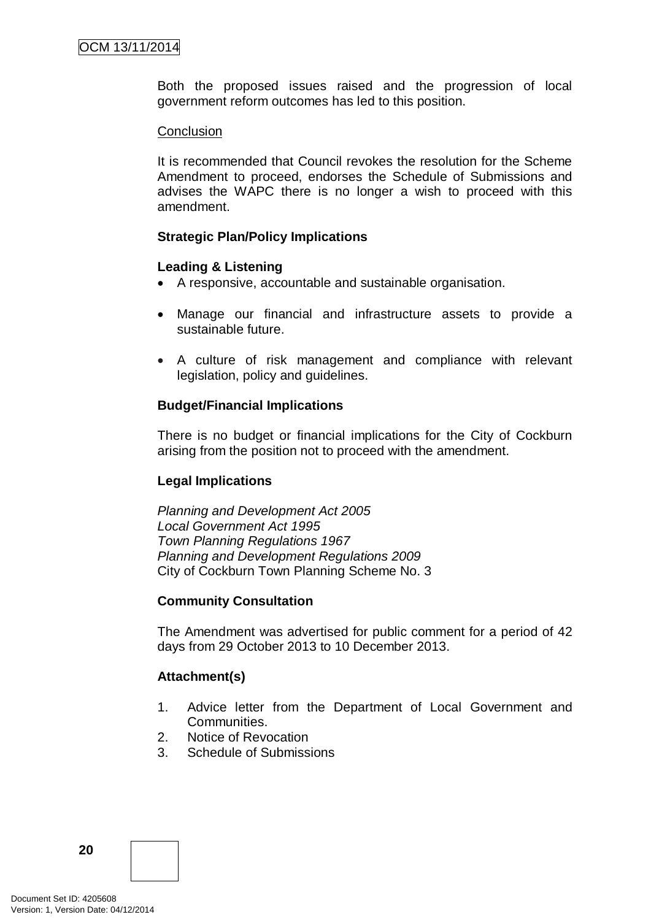Both the proposed issues raised and the progression of local government reform outcomes has led to this position.

#### **Conclusion**

It is recommended that Council revokes the resolution for the Scheme Amendment to proceed, endorses the Schedule of Submissions and advises the WAPC there is no longer a wish to proceed with this amendment.

#### **Strategic Plan/Policy Implications**

#### **Leading & Listening**

- A responsive, accountable and sustainable organisation.
- Manage our financial and infrastructure assets to provide a sustainable future.
- A culture of risk management and compliance with relevant legislation, policy and guidelines.

#### **Budget/Financial Implications**

There is no budget or financial implications for the City of Cockburn arising from the position not to proceed with the amendment.

# **Legal Implications**

*Planning and Development Act 2005 Local Government Act 1995 Town Planning Regulations 1967 Planning and Development Regulations 2009* City of Cockburn Town Planning Scheme No. 3

#### **Community Consultation**

The Amendment was advertised for public comment for a period of 42 days from 29 October 2013 to 10 December 2013.

#### **Attachment(s)**

- 1. Advice letter from the Department of Local Government and Communities.
- 2. Notice of Revocation
- 3. Schedule of Submissions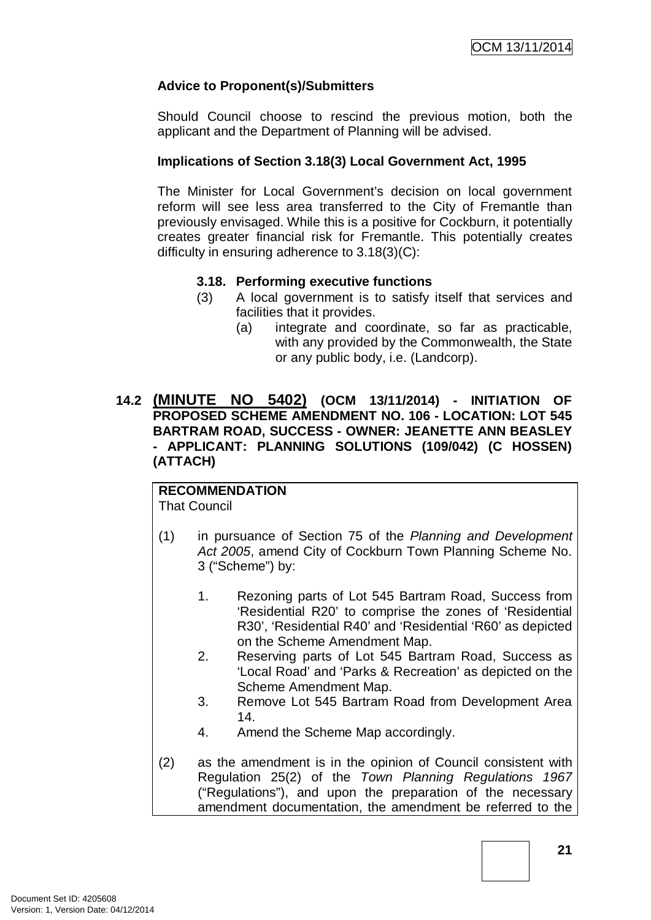# **Advice to Proponent(s)/Submitters**

Should Council choose to rescind the previous motion, both the applicant and the Department of Planning will be advised.

#### **Implications of Section 3.18(3) Local Government Act, 1995**

The Minister for Local Government's decision on local government reform will see less area transferred to the City of Fremantle than previously envisaged. While this is a positive for Cockburn, it potentially creates greater financial risk for Fremantle. This potentially creates difficulty in ensuring adherence to 3.18(3)(C):

#### **3.18. Performing executive functions**

- (3) A local government is to satisfy itself that services and facilities that it provides.
	- (a) integrate and coordinate, so far as practicable, with any provided by the Commonwealth, the State or any public body, i.e. (Landcorp).

#### **14.2 (MINUTE NO 5402) (OCM 13/11/2014) - INITIATION OF PROPOSED SCHEME AMENDMENT NO. 106 - LOCATION: LOT 545 BARTRAM ROAD, SUCCESS - OWNER: JEANETTE ANN BEASLEY - APPLICANT: PLANNING SOLUTIONS (109/042) (C HOSSEN) (ATTACH)**

# **RECOMMENDATION**

That Council

- (1) in pursuance of Section 75 of the *Planning and Development Act 2005*, amend City of Cockburn Town Planning Scheme No. 3 ("Scheme") by:
	- 1. Rezoning parts of Lot 545 Bartram Road, Success from 'Residential R20' to comprise the zones of 'Residential R30', 'Residential R40' and 'Residential 'R60' as depicted on the Scheme Amendment Map.
	- 2. Reserving parts of Lot 545 Bartram Road, Success as 'Local Road' and 'Parks & Recreation' as depicted on the Scheme Amendment Map.
	- 3. Remove Lot 545 Bartram Road from Development Area 14.
	- 4. Amend the Scheme Map accordingly.
- (2) as the amendment is in the opinion of Council consistent with Regulation 25(2) of the *Town Planning Regulations 1967*  ("Regulations"), and upon the preparation of the necessary amendment documentation, the amendment be referred to the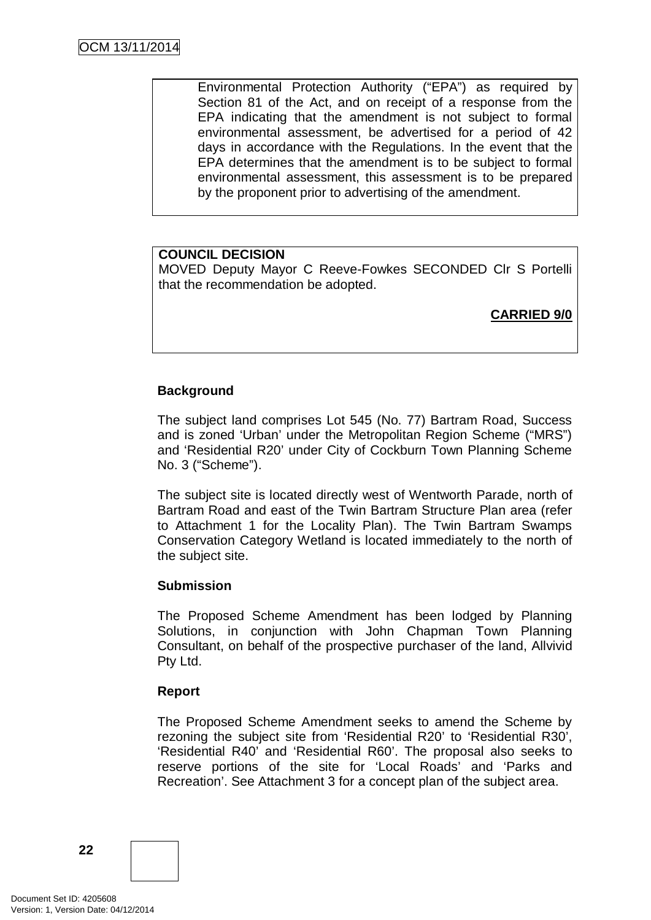Environmental Protection Authority ("EPA") as required by Section 81 of the Act, and on receipt of a response from the EPA indicating that the amendment is not subject to formal environmental assessment, be advertised for a period of 42 days in accordance with the Regulations. In the event that the EPA determines that the amendment is to be subject to formal environmental assessment, this assessment is to be prepared by the proponent prior to advertising of the amendment.

#### **COUNCIL DECISION**

MOVED Deputy Mayor C Reeve-Fowkes SECONDED Clr S Portelli that the recommendation be adopted.

**CARRIED 9/0**

### **Background**

The subject land comprises Lot 545 (No. 77) Bartram Road, Success and is zoned 'Urban' under the Metropolitan Region Scheme ("MRS") and 'Residential R20' under City of Cockburn Town Planning Scheme No. 3 ("Scheme").

The subject site is located directly west of Wentworth Parade, north of Bartram Road and east of the Twin Bartram Structure Plan area (refer to Attachment 1 for the Locality Plan). The Twin Bartram Swamps Conservation Category Wetland is located immediately to the north of the subject site.

#### **Submission**

The Proposed Scheme Amendment has been lodged by Planning Solutions, in conjunction with John Chapman Town Planning Consultant, on behalf of the prospective purchaser of the land, Allvivid Pty Ltd.

#### **Report**

The Proposed Scheme Amendment seeks to amend the Scheme by rezoning the subject site from 'Residential R20' to 'Residential R30', 'Residential R40' and 'Residential R60'. The proposal also seeks to reserve portions of the site for 'Local Roads' and 'Parks and Recreation'. See Attachment 3 for a concept plan of the subject area.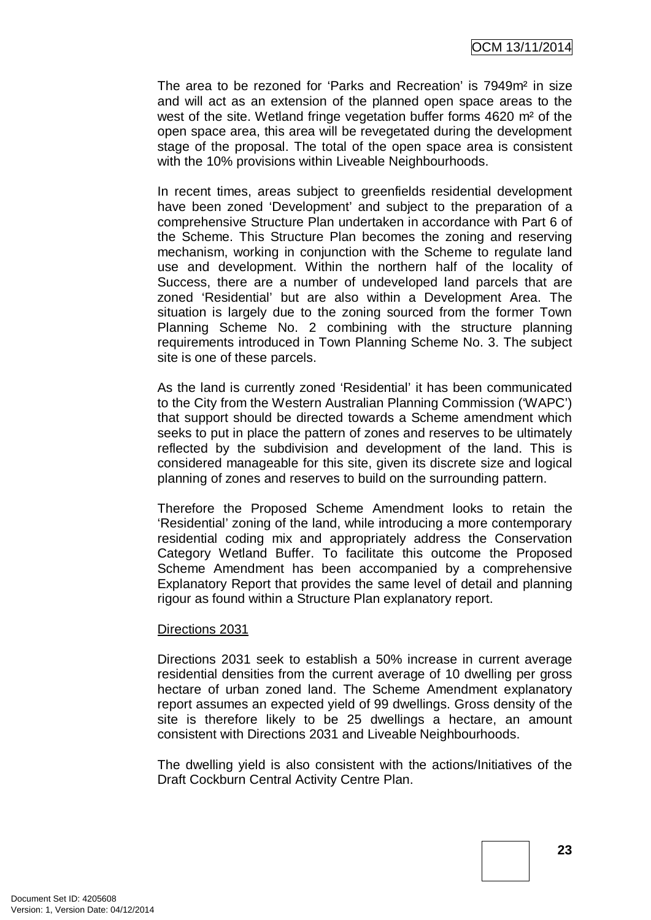The area to be rezoned for 'Parks and Recreation' is 7949m² in size and will act as an extension of the planned open space areas to the west of the site. Wetland fringe vegetation buffer forms 4620 m² of the open space area, this area will be revegetated during the development stage of the proposal. The total of the open space area is consistent with the 10% provisions within Liveable Neighbourhoods.

In recent times, areas subject to greenfields residential development have been zoned 'Development' and subject to the preparation of a comprehensive Structure Plan undertaken in accordance with Part 6 of the Scheme. This Structure Plan becomes the zoning and reserving mechanism, working in conjunction with the Scheme to regulate land use and development. Within the northern half of the locality of Success, there are a number of undeveloped land parcels that are zoned 'Residential' but are also within a Development Area. The situation is largely due to the zoning sourced from the former Town Planning Scheme No. 2 combining with the structure planning requirements introduced in Town Planning Scheme No. 3. The subject site is one of these parcels.

As the land is currently zoned 'Residential' it has been communicated to the City from the Western Australian Planning Commission ('WAPC') that support should be directed towards a Scheme amendment which seeks to put in place the pattern of zones and reserves to be ultimately reflected by the subdivision and development of the land. This is considered manageable for this site, given its discrete size and logical planning of zones and reserves to build on the surrounding pattern.

Therefore the Proposed Scheme Amendment looks to retain the 'Residential' zoning of the land, while introducing a more contemporary residential coding mix and appropriately address the Conservation Category Wetland Buffer. To facilitate this outcome the Proposed Scheme Amendment has been accompanied by a comprehensive Explanatory Report that provides the same level of detail and planning rigour as found within a Structure Plan explanatory report.

#### Directions 2031

Directions 2031 seek to establish a 50% increase in current average residential densities from the current average of 10 dwelling per gross hectare of urban zoned land. The Scheme Amendment explanatory report assumes an expected yield of 99 dwellings. Gross density of the site is therefore likely to be 25 dwellings a hectare, an amount consistent with Directions 2031 and Liveable Neighbourhoods.

The dwelling yield is also consistent with the actions/Initiatives of the Draft Cockburn Central Activity Centre Plan.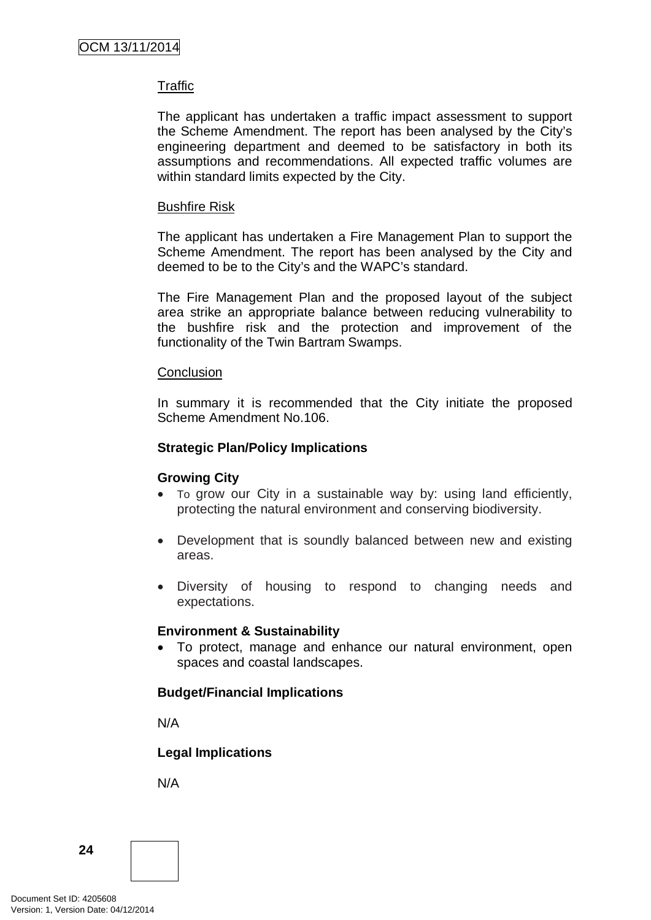### **Traffic**

The applicant has undertaken a traffic impact assessment to support the Scheme Amendment. The report has been analysed by the City's engineering department and deemed to be satisfactory in both its assumptions and recommendations. All expected traffic volumes are within standard limits expected by the City.

#### Bushfire Risk

The applicant has undertaken a Fire Management Plan to support the Scheme Amendment. The report has been analysed by the City and deemed to be to the City's and the WAPC's standard.

The Fire Management Plan and the proposed layout of the subject area strike an appropriate balance between reducing vulnerability to the bushfire risk and the protection and improvement of the functionality of the Twin Bartram Swamps.

#### **Conclusion**

In summary it is recommended that the City initiate the proposed Scheme Amendment No.106.

#### **Strategic Plan/Policy Implications**

#### **Growing City**

- To grow our City in a sustainable way by: using land efficiently, protecting the natural environment and conserving biodiversity.
- Development that is soundly balanced between new and existing areas.
- Diversity of housing to respond to changing needs and expectations.

#### **Environment & Sustainability**

• To protect, manage and enhance our natural environment, open spaces and coastal landscapes.

#### **Budget/Financial Implications**

N/A

#### **Legal Implications**

N/A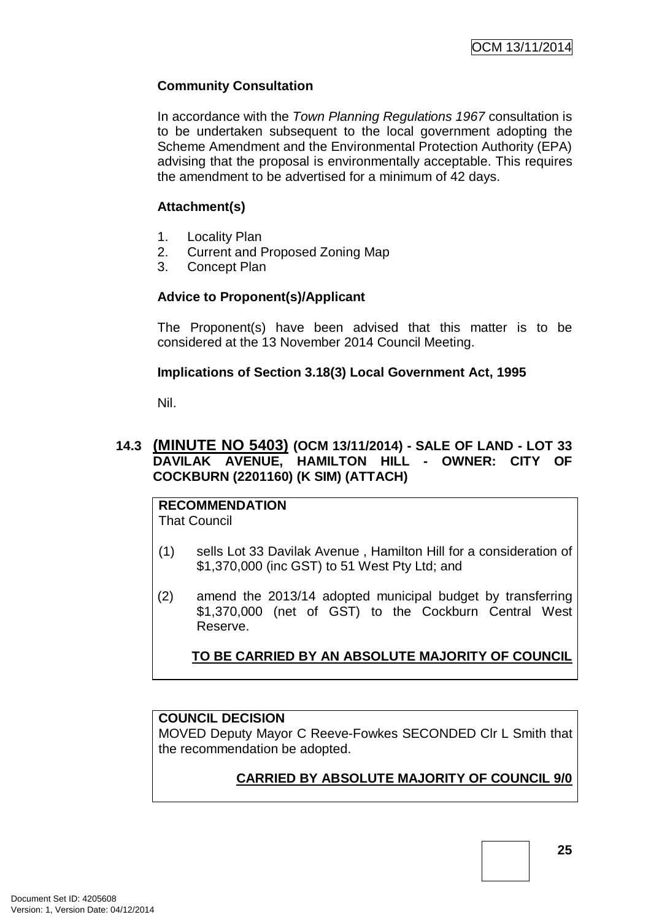### **Community Consultation**

In accordance with the *Town Planning Regulations 1967* consultation is to be undertaken subsequent to the local government adopting the Scheme Amendment and the Environmental Protection Authority (EPA) advising that the proposal is environmentally acceptable. This requires the amendment to be advertised for a minimum of 42 days.

#### **Attachment(s)**

- 1. Locality Plan
- 2. Current and Proposed Zoning Map
- 3. Concept Plan

# **Advice to Proponent(s)/Applicant**

The Proponent(s) have been advised that this matter is to be considered at the 13 November 2014 Council Meeting.

### **Implications of Section 3.18(3) Local Government Act, 1995**

Nil.

## **14.3 (MINUTE NO 5403) (OCM 13/11/2014) - SALE OF LAND - LOT 33 DAVILAK AVENUE, HAMILTON HILL - OWNER: CITY OF COCKBURN (2201160) (K SIM) (ATTACH)**

# **RECOMMENDATION**

That Council

- (1) sells Lot 33 Davilak Avenue , Hamilton Hill for a consideration of \$1,370,000 (inc GST) to 51 West Pty Ltd; and
- (2) amend the 2013/14 adopted municipal budget by transferring \$1,370,000 (net of GST) to the Cockburn Central West Reserve.

# **TO BE CARRIED BY AN ABSOLUTE MAJORITY OF COUNCIL**

# **COUNCIL DECISION**

MOVED Deputy Mayor C Reeve-Fowkes SECONDED Clr L Smith that the recommendation be adopted.

# **CARRIED BY ABSOLUTE MAJORITY OF COUNCIL 9/0**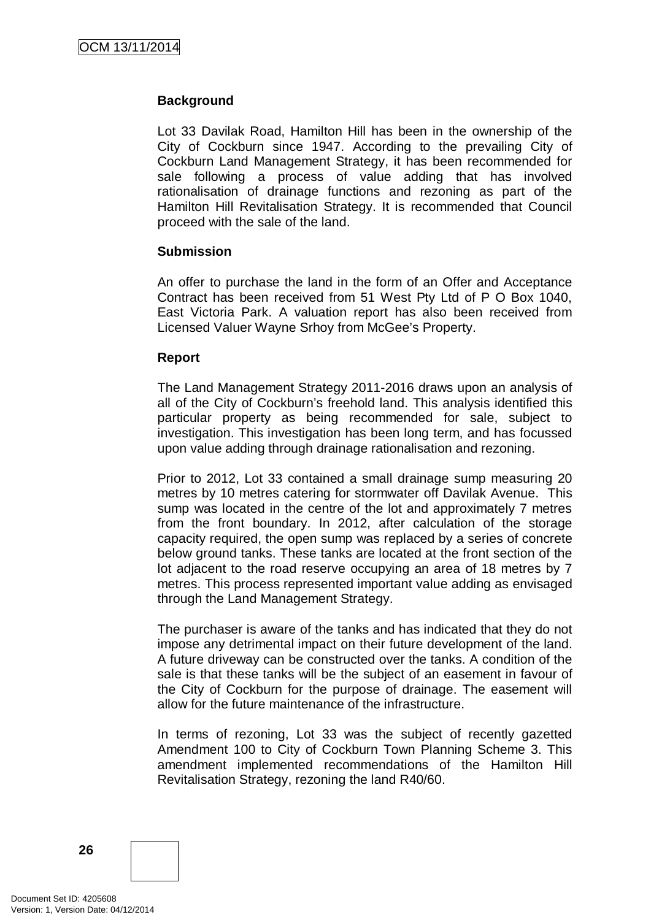### **Background**

Lot 33 Davilak Road, Hamilton Hill has been in the ownership of the City of Cockburn since 1947. According to the prevailing City of Cockburn Land Management Strategy, it has been recommended for sale following a process of value adding that has involved rationalisation of drainage functions and rezoning as part of the Hamilton Hill Revitalisation Strategy. It is recommended that Council proceed with the sale of the land.

#### **Submission**

An offer to purchase the land in the form of an Offer and Acceptance Contract has been received from 51 West Pty Ltd of P O Box 1040, East Victoria Park. A valuation report has also been received from Licensed Valuer Wayne Srhoy from McGee's Property.

#### **Report**

The Land Management Strategy 2011-2016 draws upon an analysis of all of the City of Cockburn's freehold land. This analysis identified this particular property as being recommended for sale, subject to investigation. This investigation has been long term, and has focussed upon value adding through drainage rationalisation and rezoning.

Prior to 2012, Lot 33 contained a small drainage sump measuring 20 metres by 10 metres catering for stormwater off Davilak Avenue. This sump was located in the centre of the lot and approximately 7 metres from the front boundary. In 2012, after calculation of the storage capacity required, the open sump was replaced by a series of concrete below ground tanks. These tanks are located at the front section of the lot adjacent to the road reserve occupying an area of 18 metres by 7 metres. This process represented important value adding as envisaged through the Land Management Strategy.

The purchaser is aware of the tanks and has indicated that they do not impose any detrimental impact on their future development of the land. A future driveway can be constructed over the tanks. A condition of the sale is that these tanks will be the subject of an easement in favour of the City of Cockburn for the purpose of drainage. The easement will allow for the future maintenance of the infrastructure.

In terms of rezoning, Lot 33 was the subject of recently gazetted Amendment 100 to City of Cockburn Town Planning Scheme 3. This amendment implemented recommendations of the Hamilton Hill Revitalisation Strategy, rezoning the land R40/60.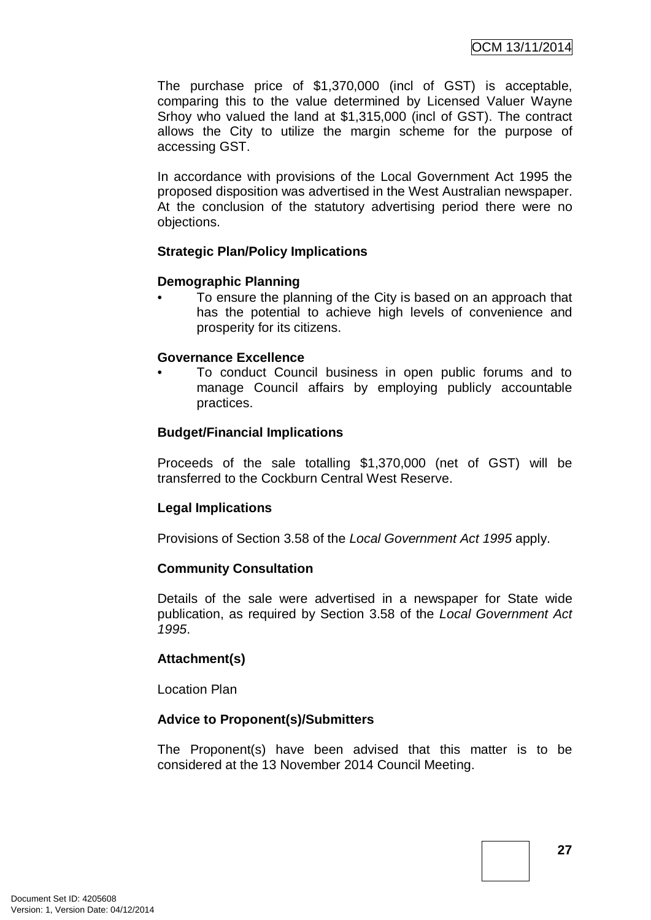The purchase price of \$1,370,000 (incl of GST) is acceptable, comparing this to the value determined by Licensed Valuer Wayne Srhoy who valued the land at \$1,315,000 (incl of GST). The contract allows the City to utilize the margin scheme for the purpose of accessing GST.

In accordance with provisions of the Local Government Act 1995 the proposed disposition was advertised in the West Australian newspaper. At the conclusion of the statutory advertising period there were no objections.

#### **Strategic Plan/Policy Implications**

### **Demographic Planning**

• To ensure the planning of the City is based on an approach that has the potential to achieve high levels of convenience and prosperity for its citizens.

#### **Governance Excellence**

• To conduct Council business in open public forums and to manage Council affairs by employing publicly accountable practices.

#### **Budget/Financial Implications**

Proceeds of the sale totalling \$1,370,000 (net of GST) will be transferred to the Cockburn Central West Reserve.

# **Legal Implications**

Provisions of Section 3.58 of the *Local Government Act 1995* apply.

#### **Community Consultation**

Details of the sale were advertised in a newspaper for State wide publication, as required by Section 3.58 of the *Local Government Act 1995*.

#### **Attachment(s)**

Location Plan

#### **Advice to Proponent(s)/Submitters**

The Proponent(s) have been advised that this matter is to be considered at the 13 November 2014 Council Meeting.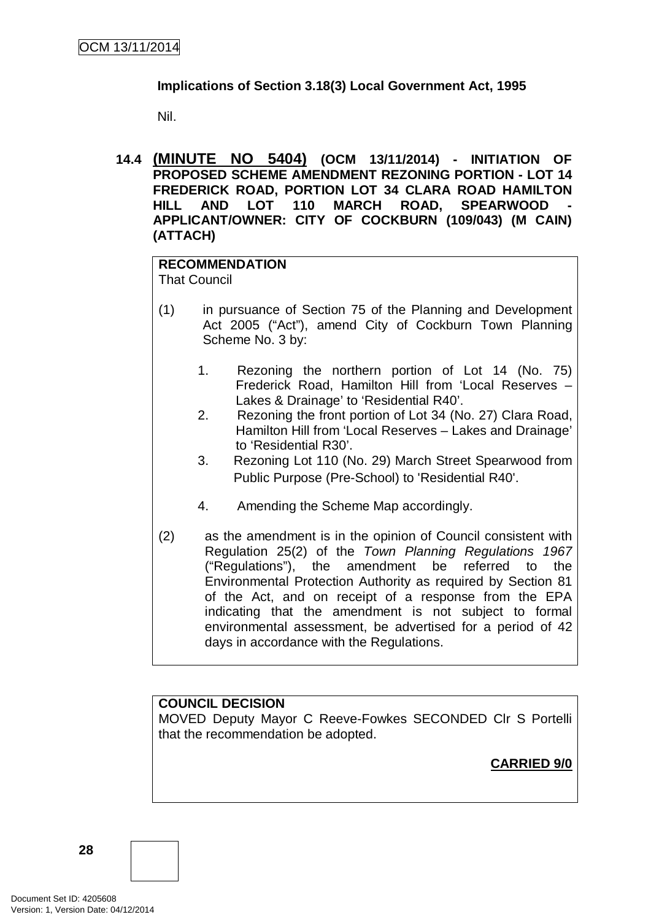#### **Implications of Section 3.18(3) Local Government Act, 1995**

Nil.

**14.4 (MINUTE NO 5404) (OCM 13/11/2014) - INITIATION OF PROPOSED SCHEME AMENDMENT REZONING PORTION - LOT 14 FREDERICK ROAD, PORTION LOT 34 CLARA ROAD HAMILTON HILL AND LOT 110 MARCH ROAD. SPEARWOOD APPLICANT/OWNER: CITY OF COCKBURN (109/043) (M CAIN) (ATTACH)**

# **RECOMMENDATION**

That Council

- (1) in pursuance of Section 75 of the Planning and Development Act 2005 ("Act"), amend City of Cockburn Town Planning Scheme No. 3 by:
	- 1. Rezoning the northern portion of Lot 14 (No. 75) Frederick Road, Hamilton Hill from 'Local Reserves – Lakes & Drainage' to 'Residential R40'.
	- 2. Rezoning the front portion of Lot 34 (No. 27) Clara Road, Hamilton Hill from 'Local Reserves – Lakes and Drainage' to 'Residential R30'.
	- 3. Rezoning Lot 110 (No. 29) March Street Spearwood from Public Purpose (Pre-School) to 'Residential R40'.
	- 4. Amending the Scheme Map accordingly.
- (2) as the amendment is in the opinion of Council consistent with Regulation 25(2) of the *Town Planning Regulations 1967* ("Regulations"), the amendment be referred to the Environmental Protection Authority as required by Section 81 of the Act, and on receipt of a response from the EPA indicating that the amendment is not subject to formal environmental assessment, be advertised for a period of 42 days in accordance with the Regulations.

# **COUNCIL DECISION**

MOVED Deputy Mayor C Reeve-Fowkes SECONDED Clr S Portelli that the recommendation be adopted.

**CARRIED 9/0**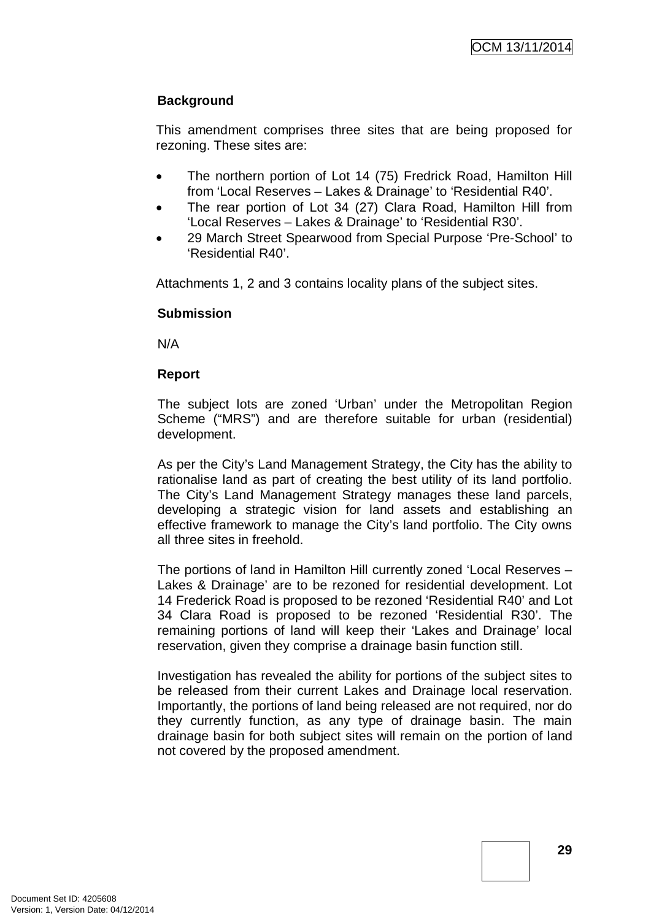## **Background**

This amendment comprises three sites that are being proposed for rezoning. These sites are:

- The northern portion of Lot 14 (75) Fredrick Road, Hamilton Hill from 'Local Reserves – Lakes & Drainage' to 'Residential R40'.
- The rear portion of Lot 34 (27) Clara Road, Hamilton Hill from 'Local Reserves – Lakes & Drainage' to 'Residential R30'.
- 29 March Street Spearwood from Special Purpose 'Pre-School' to 'Residential R40'.

Attachments 1, 2 and 3 contains locality plans of the subject sites.

#### **Submission**

N/A

#### **Report**

The subject lots are zoned 'Urban' under the Metropolitan Region Scheme ("MRS") and are therefore suitable for urban (residential) development.

As per the City's Land Management Strategy, the City has the ability to rationalise land as part of creating the best utility of its land portfolio. The City's Land Management Strategy manages these land parcels, developing a strategic vision for land assets and establishing an effective framework to manage the City's land portfolio. The City owns all three sites in freehold.

The portions of land in Hamilton Hill currently zoned 'Local Reserves – Lakes & Drainage' are to be rezoned for residential development. Lot 14 Frederick Road is proposed to be rezoned 'Residential R40' and Lot 34 Clara Road is proposed to be rezoned 'Residential R30'. The remaining portions of land will keep their 'Lakes and Drainage' local reservation, given they comprise a drainage basin function still.

Investigation has revealed the ability for portions of the subject sites to be released from their current Lakes and Drainage local reservation. Importantly, the portions of land being released are not required, nor do they currently function, as any type of drainage basin. The main drainage basin for both subject sites will remain on the portion of land not covered by the proposed amendment.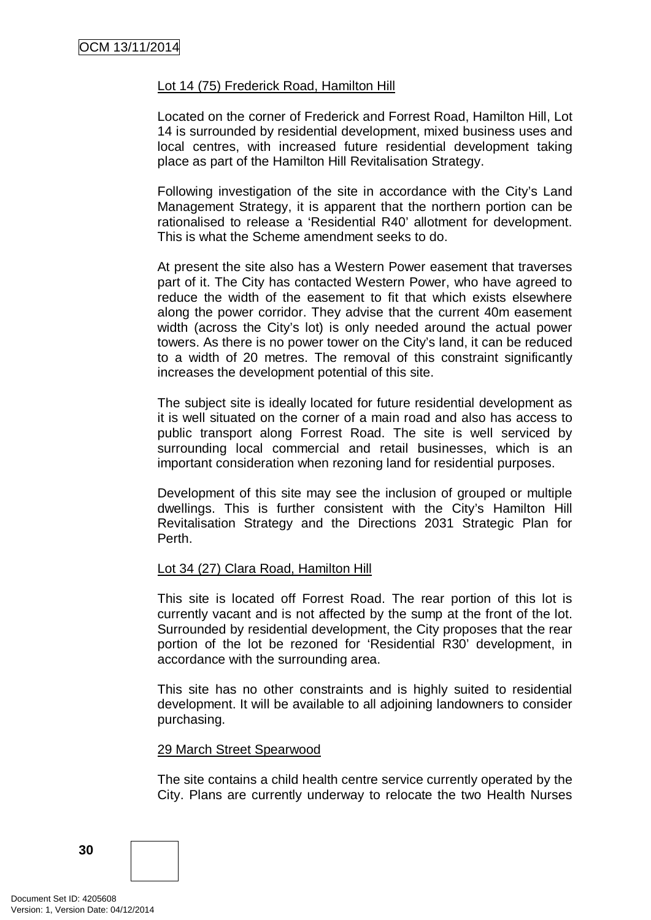### Lot 14 (75) Frederick Road, Hamilton Hill

Located on the corner of Frederick and Forrest Road, Hamilton Hill, Lot 14 is surrounded by residential development, mixed business uses and local centres, with increased future residential development taking place as part of the Hamilton Hill Revitalisation Strategy.

Following investigation of the site in accordance with the City's Land Management Strategy, it is apparent that the northern portion can be rationalised to release a 'Residential R40' allotment for development. This is what the Scheme amendment seeks to do.

At present the site also has a Western Power easement that traverses part of it. The City has contacted Western Power, who have agreed to reduce the width of the easement to fit that which exists elsewhere along the power corridor. They advise that the current 40m easement width (across the City's lot) is only needed around the actual power towers. As there is no power tower on the City's land, it can be reduced to a width of 20 metres. The removal of this constraint significantly increases the development potential of this site.

The subject site is ideally located for future residential development as it is well situated on the corner of a main road and also has access to public transport along Forrest Road. The site is well serviced by surrounding local commercial and retail businesses, which is an important consideration when rezoning land for residential purposes.

Development of this site may see the inclusion of grouped or multiple dwellings. This is further consistent with the City's Hamilton Hill Revitalisation Strategy and the Directions 2031 Strategic Plan for Perth.

#### Lot 34 (27) Clara Road, Hamilton Hill

This site is located off Forrest Road. The rear portion of this lot is currently vacant and is not affected by the sump at the front of the lot. Surrounded by residential development, the City proposes that the rear portion of the lot be rezoned for 'Residential R30' development, in accordance with the surrounding area.

This site has no other constraints and is highly suited to residential development. It will be available to all adjoining landowners to consider purchasing.

#### 29 March Street Spearwood

The site contains a child health centre service currently operated by the City. Plans are currently underway to relocate the two Health Nurses

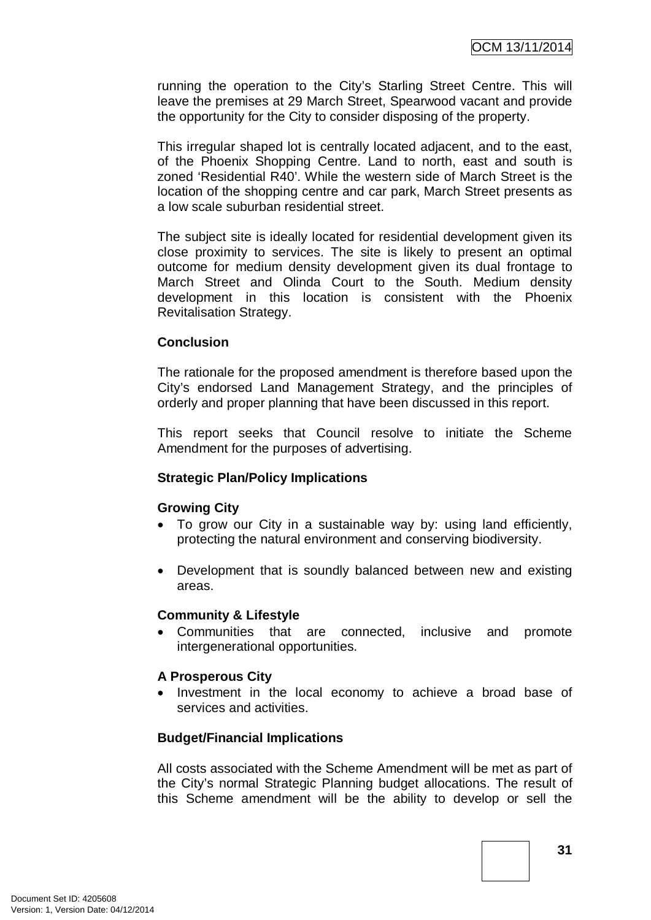running the operation to the City's Starling Street Centre. This will leave the premises at 29 March Street, Spearwood vacant and provide the opportunity for the City to consider disposing of the property.

This irregular shaped lot is centrally located adjacent, and to the east, of the Phoenix Shopping Centre. Land to north, east and south is zoned 'Residential R40'. While the western side of March Street is the location of the shopping centre and car park, March Street presents as a low scale suburban residential street.

The subject site is ideally located for residential development given its close proximity to services. The site is likely to present an optimal outcome for medium density development given its dual frontage to March Street and Olinda Court to the South. Medium density development in this location is consistent with the Phoenix Revitalisation Strategy.

#### **Conclusion**

The rationale for the proposed amendment is therefore based upon the City's endorsed Land Management Strategy, and the principles of orderly and proper planning that have been discussed in this report.

This report seeks that Council resolve to initiate the Scheme Amendment for the purposes of advertising.

# **Strategic Plan/Policy Implications**

#### **Growing City**

- To grow our City in a sustainable way by: using land efficiently, protecting the natural environment and conserving biodiversity.
- Development that is soundly balanced between new and existing areas.

#### **Community & Lifestyle**

• Communities that are connected, inclusive and promote intergenerational opportunities.

# **A Prosperous City**

• Investment in the local economy to achieve a broad base of services and activities.

#### **Budget/Financial Implications**

All costs associated with the Scheme Amendment will be met as part of the City's normal Strategic Planning budget allocations. The result of this Scheme amendment will be the ability to develop or sell the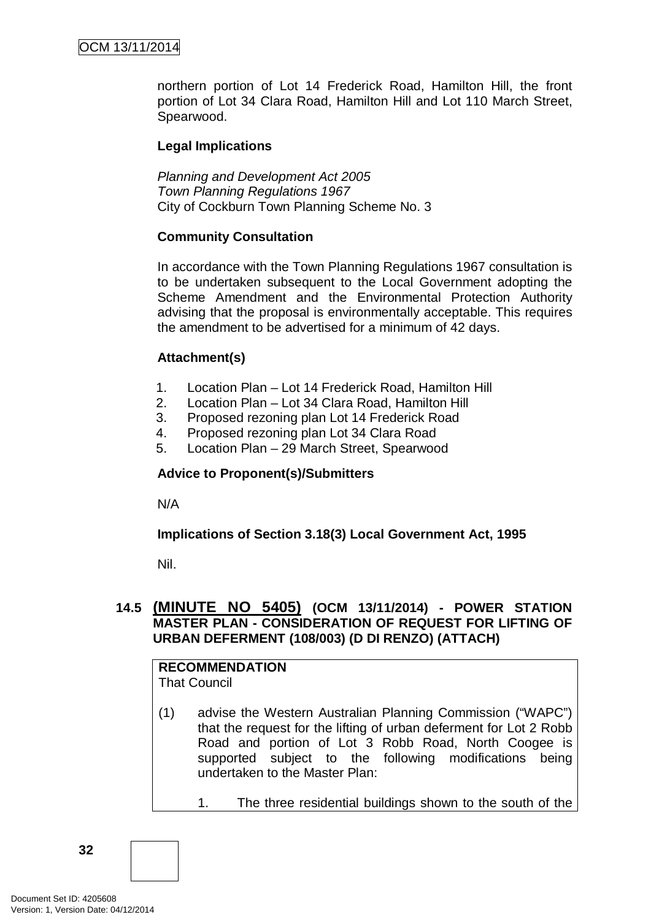northern portion of Lot 14 Frederick Road, Hamilton Hill, the front portion of Lot 34 Clara Road, Hamilton Hill and Lot 110 March Street, Spearwood.

## **Legal Implications**

*Planning and Development Act 2005 Town Planning Regulations 1967* City of Cockburn Town Planning Scheme No. 3

#### **Community Consultation**

In accordance with the Town Planning Regulations 1967 consultation is to be undertaken subsequent to the Local Government adopting the Scheme Amendment and the Environmental Protection Authority advising that the proposal is environmentally acceptable. This requires the amendment to be advertised for a minimum of 42 days.

#### **Attachment(s)**

- 1. Location Plan Lot 14 Frederick Road, Hamilton Hill
- 2. Location Plan Lot 34 Clara Road, Hamilton Hill
- 3. Proposed rezoning plan Lot 14 Frederick Road
- 4. Proposed rezoning plan Lot 34 Clara Road
- 5. Location Plan 29 March Street, Spearwood

#### **Advice to Proponent(s)/Submitters**

N/A

**Implications of Section 3.18(3) Local Government Act, 1995**

Nil.

### **14.5 (MINUTE NO 5405) (OCM 13/11/2014) - POWER STATION MASTER PLAN - CONSIDERATION OF REQUEST FOR LIFTING OF URBAN DEFERMENT (108/003) (D DI RENZO) (ATTACH)**

# **RECOMMENDATION**

That Council

(1) advise the Western Australian Planning Commission ("WAPC") that the request for the lifting of urban deferment for Lot 2 Robb Road and portion of Lot 3 Robb Road, North Coogee is supported subject to the following modifications being undertaken to the Master Plan:

1. The three residential buildings shown to the south of the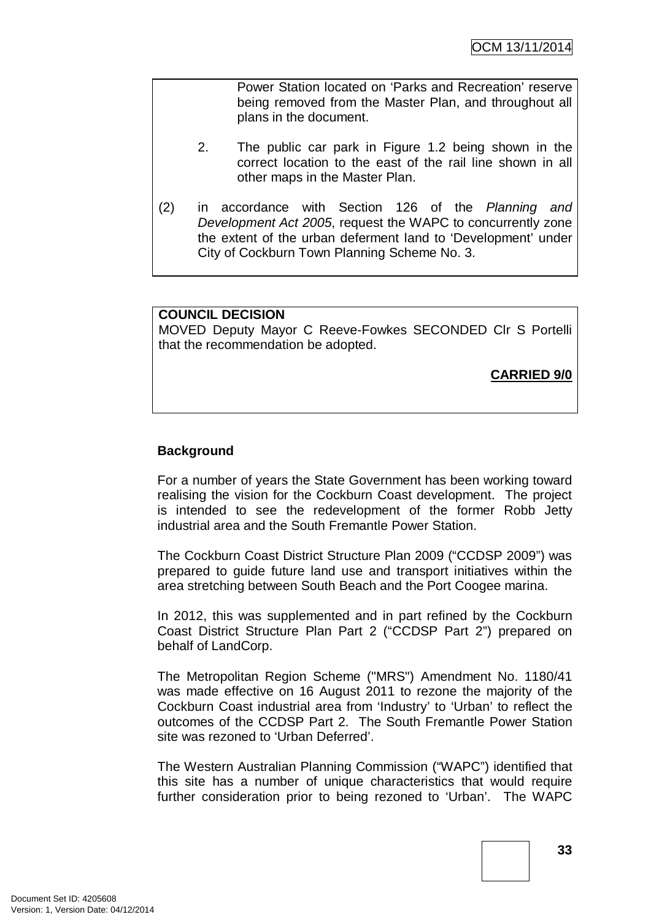Power Station located on 'Parks and Recreation' reserve being removed from the Master Plan, and throughout all plans in the document.

- 2. The public car park in Figure 1.2 being shown in the correct location to the east of the rail line shown in all other maps in the Master Plan.
- (2) in accordance with Section 126 of the *Planning and Development Act 2005*, request the WAPC to concurrently zone the extent of the urban deferment land to 'Development' under City of Cockburn Town Planning Scheme No. 3.

# **COUNCIL DECISION**

MOVED Deputy Mayor C Reeve-Fowkes SECONDED Clr S Portelli that the recommendation be adopted.

**CARRIED 9/0**

### **Background**

For a number of years the State Government has been working toward realising the vision for the Cockburn Coast development. The project is intended to see the redevelopment of the former Robb Jetty industrial area and the South Fremantle Power Station.

The Cockburn Coast District Structure Plan 2009 ("CCDSP 2009") was prepared to guide future land use and transport initiatives within the area stretching between South Beach and the Port Coogee marina.

In 2012, this was supplemented and in part refined by the Cockburn Coast District Structure Plan Part 2 ("CCDSP Part 2") prepared on behalf of LandCorp.

The Metropolitan Region Scheme ("MRS") Amendment No. 1180/41 was made effective on 16 August 2011 to rezone the majority of the Cockburn Coast industrial area from 'Industry' to 'Urban' to reflect the outcomes of the CCDSP Part 2. The South Fremantle Power Station site was rezoned to 'Urban Deferred'.

The Western Australian Planning Commission ("WAPC") identified that this site has a number of unique characteristics that would require further consideration prior to being rezoned to 'Urban'. The WAPC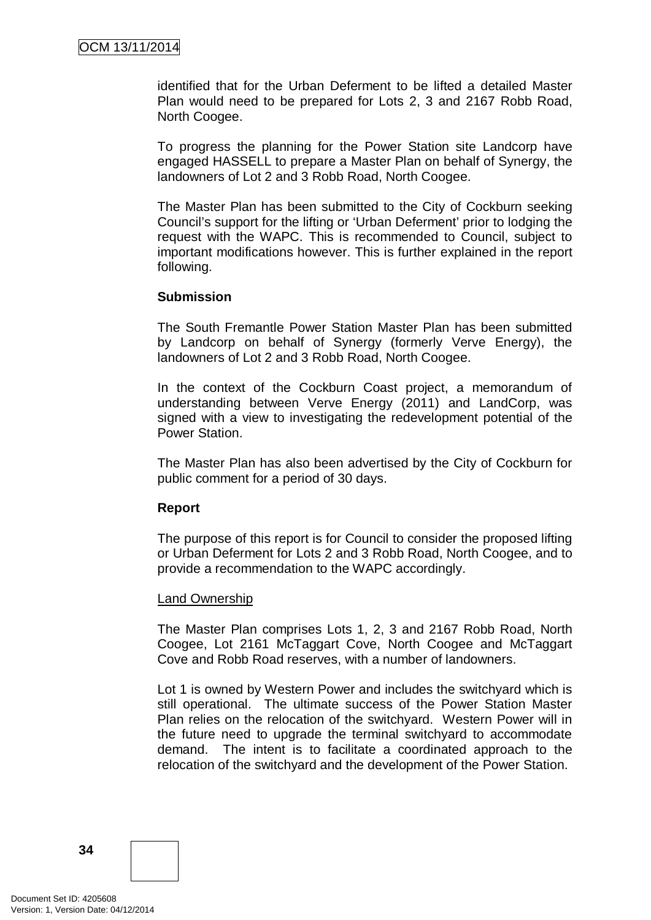identified that for the Urban Deferment to be lifted a detailed Master Plan would need to be prepared for Lots 2, 3 and 2167 Robb Road, North Coogee.

To progress the planning for the Power Station site Landcorp have engaged HASSELL to prepare a Master Plan on behalf of Synergy, the landowners of Lot 2 and 3 Robb Road, North Coogee.

The Master Plan has been submitted to the City of Cockburn seeking Council's support for the lifting or 'Urban Deferment' prior to lodging the request with the WAPC. This is recommended to Council, subject to important modifications however. This is further explained in the report following.

# **Submission**

The South Fremantle Power Station Master Plan has been submitted by Landcorp on behalf of Synergy (formerly Verve Energy), the landowners of Lot 2 and 3 Robb Road, North Coogee.

In the context of the Cockburn Coast project, a memorandum of understanding between Verve Energy (2011) and LandCorp, was signed with a view to investigating the redevelopment potential of the Power Station.

The Master Plan has also been advertised by the City of Cockburn for public comment for a period of 30 days.

# **Report**

The purpose of this report is for Council to consider the proposed lifting or Urban Deferment for Lots 2 and 3 Robb Road, North Coogee, and to provide a recommendation to the WAPC accordingly.

#### Land Ownership

The Master Plan comprises Lots 1, 2, 3 and 2167 Robb Road, North Coogee, Lot 2161 McTaggart Cove, North Coogee and McTaggart Cove and Robb Road reserves, with a number of landowners.

Lot 1 is owned by Western Power and includes the switchyard which is still operational. The ultimate success of the Power Station Master Plan relies on the relocation of the switchyard. Western Power will in the future need to upgrade the terminal switchyard to accommodate demand. The intent is to facilitate a coordinated approach to the relocation of the switchyard and the development of the Power Station.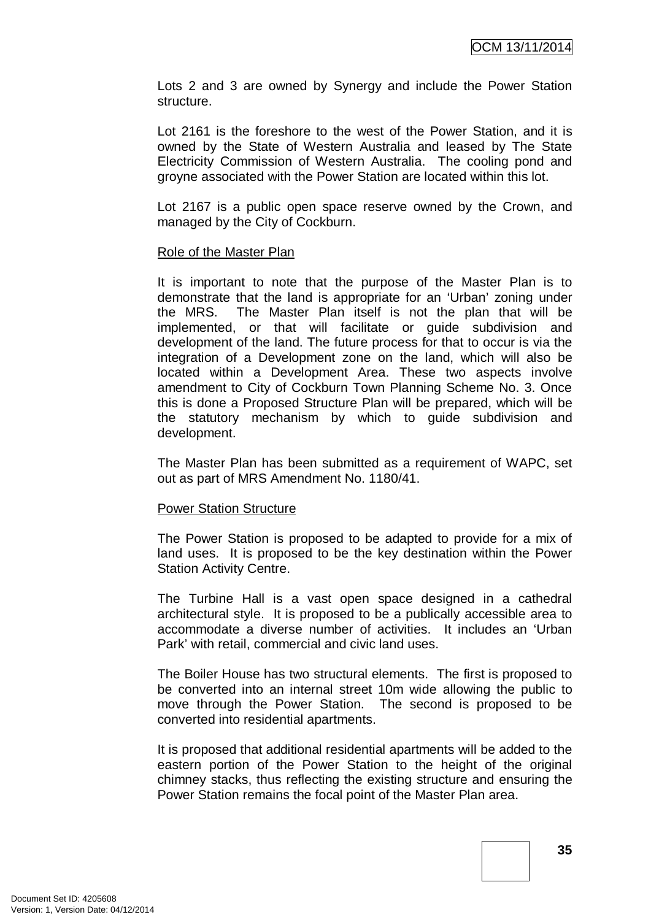Lots 2 and 3 are owned by Synergy and include the Power Station structure.

Lot 2161 is the foreshore to the west of the Power Station, and it is owned by the State of Western Australia and leased by The State Electricity Commission of Western Australia. The cooling pond and groyne associated with the Power Station are located within this lot.

Lot 2167 is a public open space reserve owned by the Crown, and managed by the City of Cockburn.

#### Role of the Master Plan

It is important to note that the purpose of the Master Plan is to demonstrate that the land is appropriate for an 'Urban' zoning under the MRS. The Master Plan itself is not the plan that will be implemented, or that will facilitate or guide subdivision and development of the land. The future process for that to occur is via the integration of a Development zone on the land, which will also be located within a Development Area. These two aspects involve amendment to City of Cockburn Town Planning Scheme No. 3. Once this is done a Proposed Structure Plan will be prepared, which will be the statutory mechanism by which to guide subdivision and development.

The Master Plan has been submitted as a requirement of WAPC, set out as part of MRS Amendment No. 1180/41.

# Power Station Structure

The Power Station is proposed to be adapted to provide for a mix of land uses. It is proposed to be the key destination within the Power Station Activity Centre.

The Turbine Hall is a vast open space designed in a cathedral architectural style. It is proposed to be a publically accessible area to accommodate a diverse number of activities. It includes an 'Urban Park' with retail, commercial and civic land uses.

The Boiler House has two structural elements. The first is proposed to be converted into an internal street 10m wide allowing the public to move through the Power Station. The second is proposed to be converted into residential apartments.

It is proposed that additional residential apartments will be added to the eastern portion of the Power Station to the height of the original chimney stacks, thus reflecting the existing structure and ensuring the Power Station remains the focal point of the Master Plan area.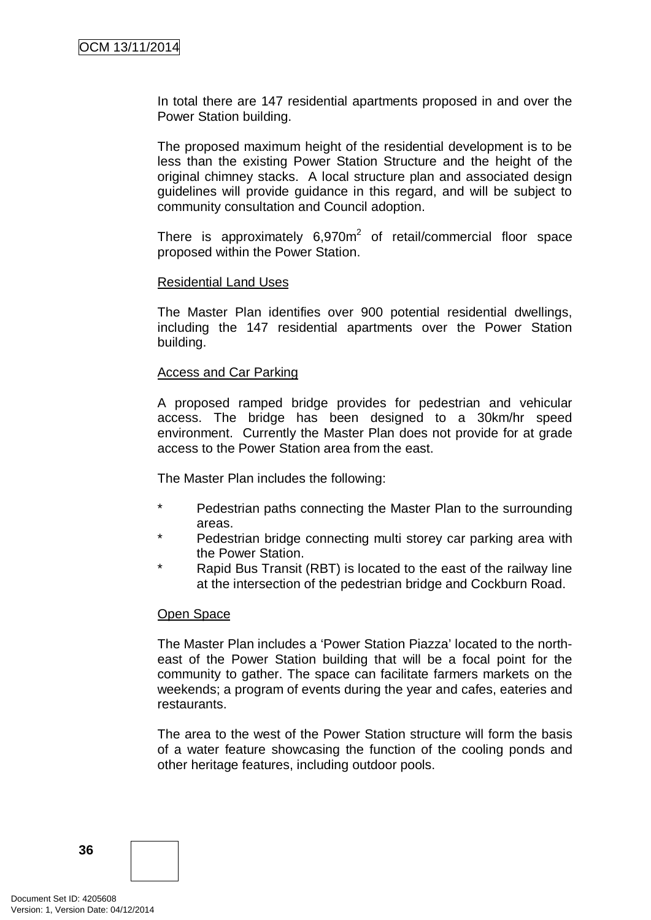In total there are 147 residential apartments proposed in and over the Power Station building.

The proposed maximum height of the residential development is to be less than the existing Power Station Structure and the height of the original chimney stacks. A local structure plan and associated design guidelines will provide guidance in this regard, and will be subject to community consultation and Council adoption.

There is approximately  $6.970m^2$  of retail/commercial floor space proposed within the Power Station.

### Residential Land Uses

The Master Plan identifies over 900 potential residential dwellings, including the 147 residential apartments over the Power Station building.

### Access and Car Parking

A proposed ramped bridge provides for pedestrian and vehicular access. The bridge has been designed to a 30km/hr speed environment. Currently the Master Plan does not provide for at grade access to the Power Station area from the east.

The Master Plan includes the following:

- Pedestrian paths connecting the Master Plan to the surrounding areas.
- \* Pedestrian bridge connecting multi storey car parking area with the Power Station.
- \* Rapid Bus Transit (RBT) is located to the east of the railway line at the intersection of the pedestrian bridge and Cockburn Road.

#### Open Space

The Master Plan includes a 'Power Station Piazza' located to the northeast of the Power Station building that will be a focal point for the community to gather. The space can facilitate farmers markets on the weekends; a program of events during the year and cafes, eateries and restaurants.

The area to the west of the Power Station structure will form the basis of a water feature showcasing the function of the cooling ponds and other heritage features, including outdoor pools.

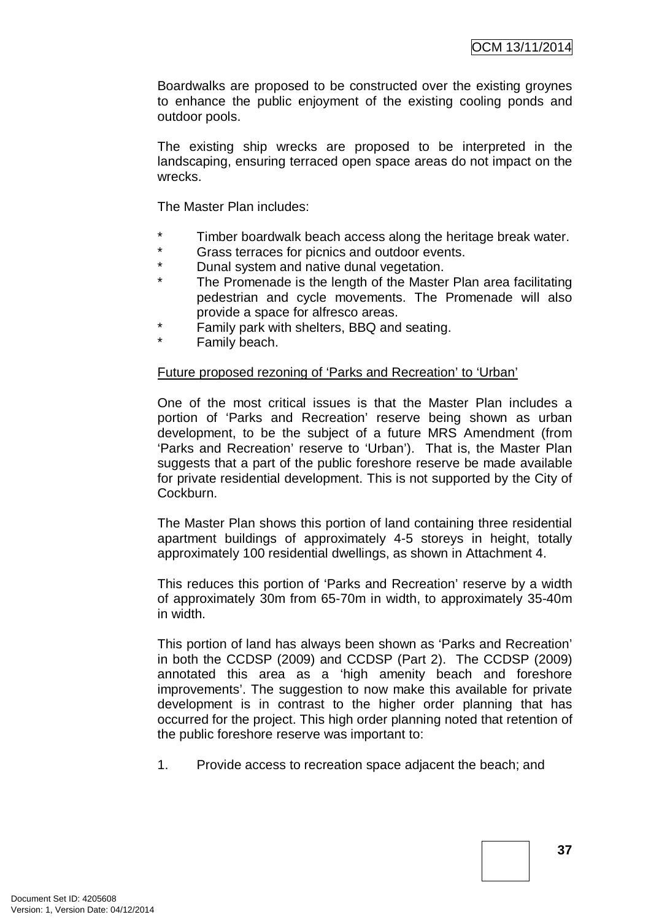Boardwalks are proposed to be constructed over the existing groynes to enhance the public enjoyment of the existing cooling ponds and outdoor pools.

The existing ship wrecks are proposed to be interpreted in the landscaping, ensuring terraced open space areas do not impact on the wrecks.

The Master Plan includes:

- \* Timber boardwalk beach access along the heritage break water.
- Grass terraces for picnics and outdoor events.
- \* Dunal system and native dunal vegetation.
- The Promenade is the length of the Master Plan area facilitating pedestrian and cycle movements. The Promenade will also provide a space for alfresco areas.
- Family park with shelters, BBQ and seating.
- Family beach.

### Future proposed rezoning of 'Parks and Recreation' to 'Urban'

One of the most critical issues is that the Master Plan includes a portion of 'Parks and Recreation' reserve being shown as urban development, to be the subject of a future MRS Amendment (from 'Parks and Recreation' reserve to 'Urban'). That is, the Master Plan suggests that a part of the public foreshore reserve be made available for private residential development. This is not supported by the City of Cockburn.

The Master Plan shows this portion of land containing three residential apartment buildings of approximately 4-5 storeys in height, totally approximately 100 residential dwellings, as shown in Attachment 4.

This reduces this portion of 'Parks and Recreation' reserve by a width of approximately 30m from 65-70m in width, to approximately 35-40m in width.

This portion of land has always been shown as 'Parks and Recreation' in both the CCDSP (2009) and CCDSP (Part 2). The CCDSP (2009) annotated this area as a 'high amenity beach and foreshore improvements'. The suggestion to now make this available for private development is in contrast to the higher order planning that has occurred for the project. This high order planning noted that retention of the public foreshore reserve was important to:

1. Provide access to recreation space adjacent the beach; and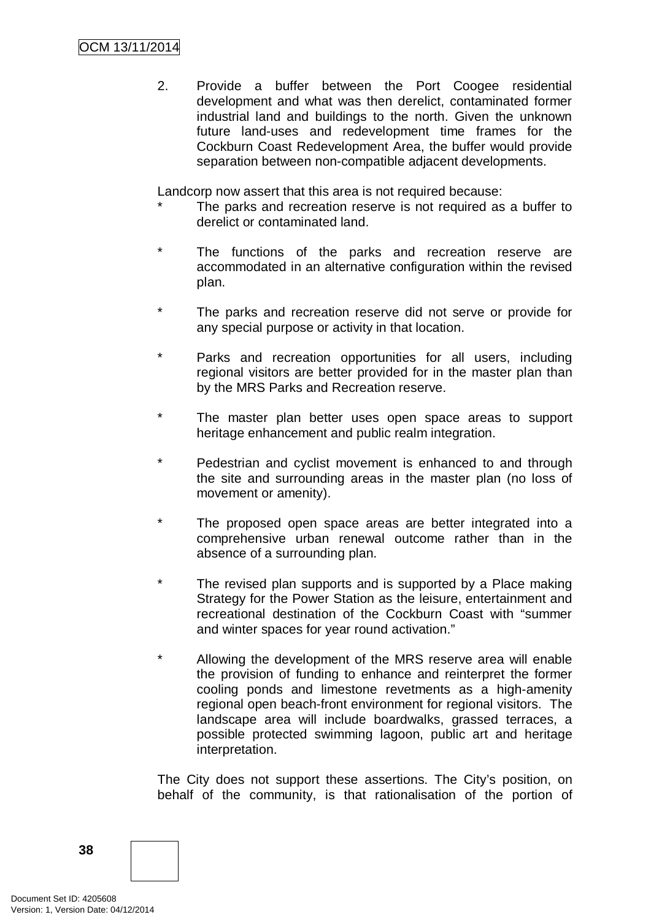2. Provide a buffer between the Port Coogee residential development and what was then derelict, contaminated former industrial land and buildings to the north. Given the unknown future land-uses and redevelopment time frames for the Cockburn Coast Redevelopment Area, the buffer would provide separation between non-compatible adjacent developments.

Landcorp now assert that this area is not required because:

- The parks and recreation reserve is not required as a buffer to derelict or contaminated land.
- The functions of the parks and recreation reserve are accommodated in an alternative configuration within the revised plan.
- The parks and recreation reserve did not serve or provide for any special purpose or activity in that location.
- \* Parks and recreation opportunities for all users, including regional visitors are better provided for in the master plan than by the MRS Parks and Recreation reserve.
- The master plan better uses open space areas to support heritage enhancement and public realm integration.
- \* Pedestrian and cyclist movement is enhanced to and through the site and surrounding areas in the master plan (no loss of movement or amenity).
- \* The proposed open space areas are better integrated into a comprehensive urban renewal outcome rather than in the absence of a surrounding plan.
- \* The revised plan supports and is supported by a Place making Strategy for the Power Station as the leisure, entertainment and recreational destination of the Cockburn Coast with "summer and winter spaces for year round activation."
- Allowing the development of the MRS reserve area will enable the provision of funding to enhance and reinterpret the former cooling ponds and limestone revetments as a high-amenity regional open beach-front environment for regional visitors. The landscape area will include boardwalks, grassed terraces, a possible protected swimming lagoon, public art and heritage interpretation.

The City does not support these assertions. The City's position, on behalf of the community, is that rationalisation of the portion of

Document Set ID: 4205608<br>Version: 1, Version Date: 04/12/2014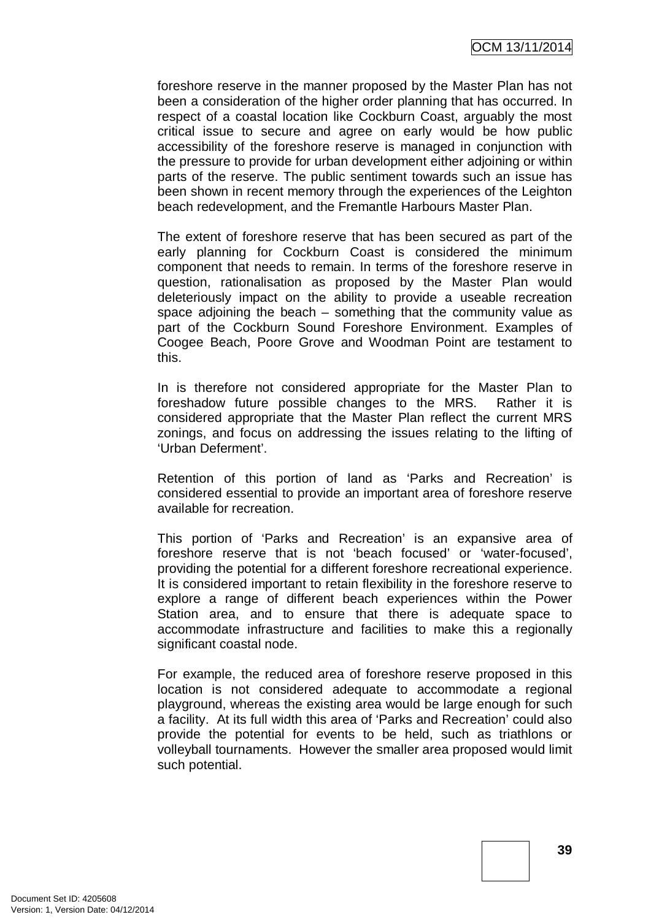foreshore reserve in the manner proposed by the Master Plan has not been a consideration of the higher order planning that has occurred. In respect of a coastal location like Cockburn Coast, arguably the most critical issue to secure and agree on early would be how public accessibility of the foreshore reserve is managed in conjunction with the pressure to provide for urban development either adjoining or within parts of the reserve. The public sentiment towards such an issue has been shown in recent memory through the experiences of the Leighton beach redevelopment, and the Fremantle Harbours Master Plan.

The extent of foreshore reserve that has been secured as part of the early planning for Cockburn Coast is considered the minimum component that needs to remain. In terms of the foreshore reserve in question, rationalisation as proposed by the Master Plan would deleteriously impact on the ability to provide a useable recreation space adjoining the beach – something that the community value as part of the Cockburn Sound Foreshore Environment. Examples of Coogee Beach, Poore Grove and Woodman Point are testament to this.

In is therefore not considered appropriate for the Master Plan to foreshadow future possible changes to the MRS. Rather it is considered appropriate that the Master Plan reflect the current MRS zonings, and focus on addressing the issues relating to the lifting of 'Urban Deferment'.

Retention of this portion of land as 'Parks and Recreation' is considered essential to provide an important area of foreshore reserve available for recreation.

This portion of 'Parks and Recreation' is an expansive area of foreshore reserve that is not 'beach focused' or 'water-focused', providing the potential for a different foreshore recreational experience. It is considered important to retain flexibility in the foreshore reserve to explore a range of different beach experiences within the Power Station area, and to ensure that there is adequate space to accommodate infrastructure and facilities to make this a regionally significant coastal node.

For example, the reduced area of foreshore reserve proposed in this location is not considered adequate to accommodate a regional playground, whereas the existing area would be large enough for such a facility. At its full width this area of 'Parks and Recreation' could also provide the potential for events to be held, such as triathlons or volleyball tournaments. However the smaller area proposed would limit such potential.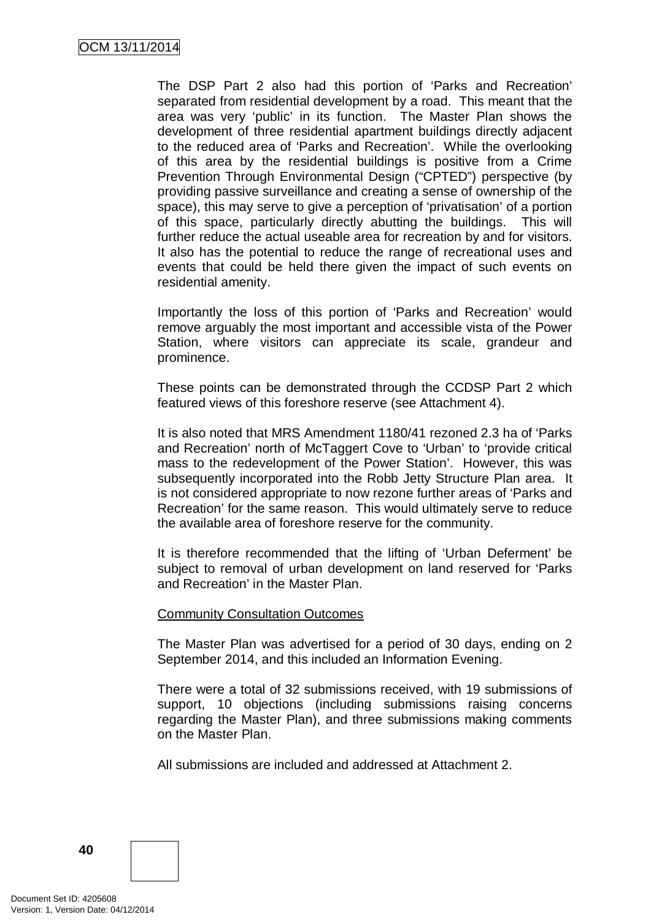The DSP Part 2 also had this portion of 'Parks and Recreation' separated from residential development by a road. This meant that the area was very 'public' in its function. The Master Plan shows the development of three residential apartment buildings directly adjacent to the reduced area of 'Parks and Recreation'. While the overlooking of this area by the residential buildings is positive from a Crime Prevention Through Environmental Design ("CPTED") perspective (by providing passive surveillance and creating a sense of ownership of the space), this may serve to give a perception of 'privatisation' of a portion of this space, particularly directly abutting the buildings. This will further reduce the actual useable area for recreation by and for visitors. It also has the potential to reduce the range of recreational uses and events that could be held there given the impact of such events on residential amenity.

Importantly the loss of this portion of 'Parks and Recreation' would remove arguably the most important and accessible vista of the Power Station, where visitors can appreciate its scale, grandeur and prominence.

These points can be demonstrated through the CCDSP Part 2 which featured views of this foreshore reserve (see Attachment 4).

It is also noted that MRS Amendment 1180/41 rezoned 2.3 ha of 'Parks and Recreation' north of McTaggert Cove to 'Urban' to 'provide critical mass to the redevelopment of the Power Station'. However, this was subsequently incorporated into the Robb Jetty Structure Plan area. It is not considered appropriate to now rezone further areas of 'Parks and Recreation' for the same reason. This would ultimately serve to reduce the available area of foreshore reserve for the community.

It is therefore recommended that the lifting of 'Urban Deferment' be subject to removal of urban development on land reserved for 'Parks and Recreation' in the Master Plan.

#### Community Consultation Outcomes

The Master Plan was advertised for a period of 30 days, ending on 2 September 2014, and this included an Information Evening.

There were a total of 32 submissions received, with 19 submissions of support, 10 objections (including submissions raising concerns regarding the Master Plan), and three submissions making comments on the Master Plan.

All submissions are included and addressed at Attachment 2.

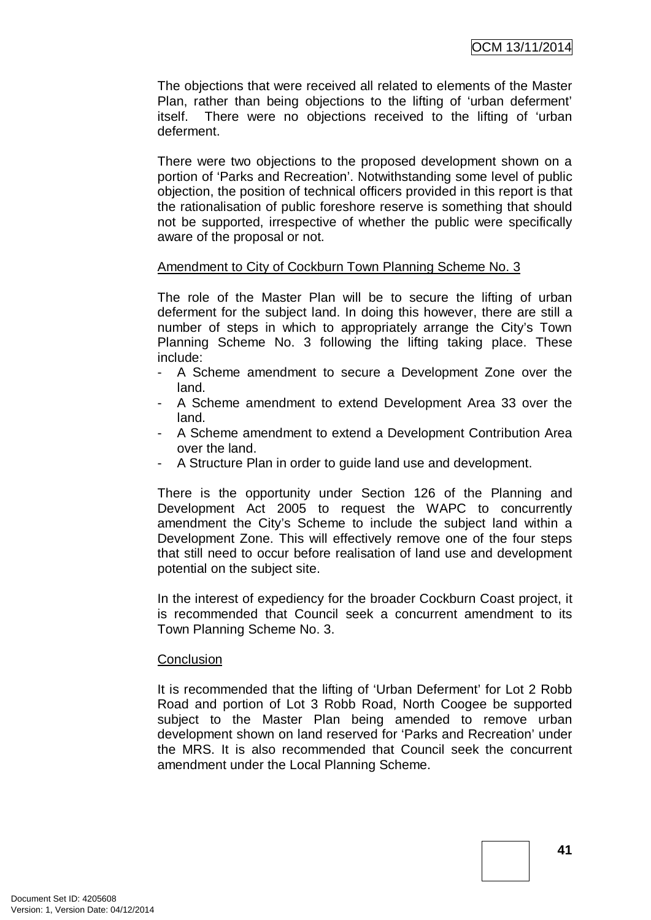The objections that were received all related to elements of the Master Plan, rather than being objections to the lifting of 'urban deferment' itself. There were no objections received to the lifting of 'urban deferment.

There were two objections to the proposed development shown on a portion of 'Parks and Recreation'. Notwithstanding some level of public objection, the position of technical officers provided in this report is that the rationalisation of public foreshore reserve is something that should not be supported, irrespective of whether the public were specifically aware of the proposal or not.

# Amendment to City of Cockburn Town Planning Scheme No. 3

The role of the Master Plan will be to secure the lifting of urban deferment for the subject land. In doing this however, there are still a number of steps in which to appropriately arrange the City's Town Planning Scheme No. 3 following the lifting taking place. These include:

- A Scheme amendment to secure a Development Zone over the land.
- A Scheme amendment to extend Development Area 33 over the land.
- A Scheme amendment to extend a Development Contribution Area over the land.
- A Structure Plan in order to guide land use and development.

There is the opportunity under Section 126 of the Planning and Development Act 2005 to request the WAPC to concurrently amendment the City's Scheme to include the subject land within a Development Zone. This will effectively remove one of the four steps that still need to occur before realisation of land use and development potential on the subject site.

In the interest of expediency for the broader Cockburn Coast project, it is recommended that Council seek a concurrent amendment to its Town Planning Scheme No. 3.

# **Conclusion**

It is recommended that the lifting of 'Urban Deferment' for Lot 2 Robb Road and portion of Lot 3 Robb Road, North Coogee be supported subject to the Master Plan being amended to remove urban development shown on land reserved for 'Parks and Recreation' under the MRS. It is also recommended that Council seek the concurrent amendment under the Local Planning Scheme.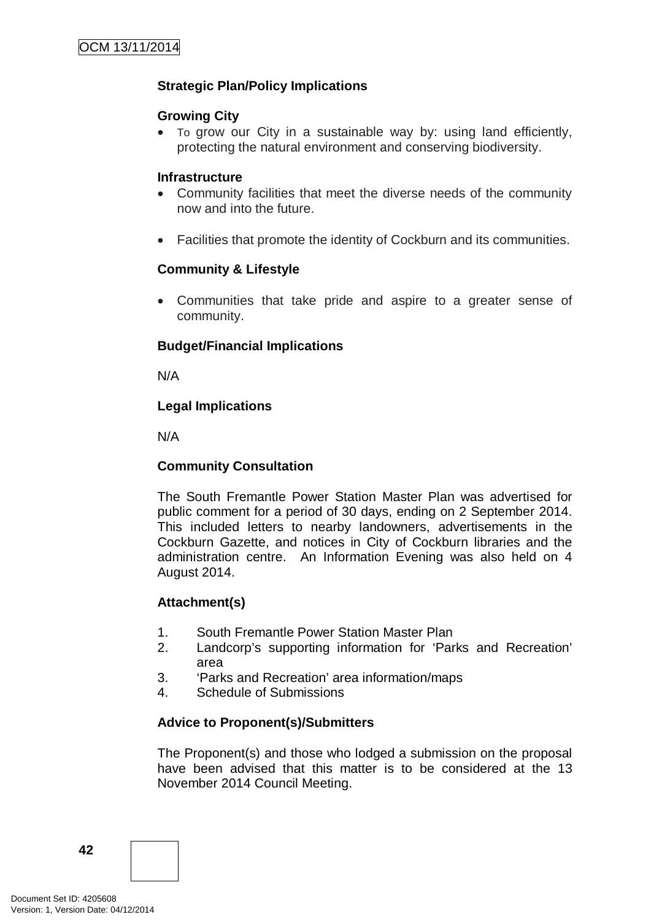# **Strategic Plan/Policy Implications**

### **Growing City**

• To grow our City in a sustainable way by: using land efficiently, protecting the natural environment and conserving biodiversity.

#### **Infrastructure**

- Community facilities that meet the diverse needs of the community now and into the future.
- Facilities that promote the identity of Cockburn and its communities.

# **Community & Lifestyle**

• Communities that take pride and aspire to a greater sense of community.

# **Budget/Financial Implications**

N/A

# **Legal Implications**

N/A

# **Community Consultation**

The South Fremantle Power Station Master Plan was advertised for public comment for a period of 30 days, ending on 2 September 2014. This included letters to nearby landowners, advertisements in the Cockburn Gazette, and notices in City of Cockburn libraries and the administration centre. An Information Evening was also held on 4 August 2014.

# **Attachment(s)**

- 1. South Fremantle Power Station Master Plan
- 2. Landcorp's supporting information for 'Parks and Recreation' area
- 3. 'Parks and Recreation' area information/maps
- 4. Schedule of Submissions

# **Advice to Proponent(s)/Submitters**

The Proponent(s) and those who lodged a submission on the proposal have been advised that this matter is to be considered at the 13 November 2014 Council Meeting.

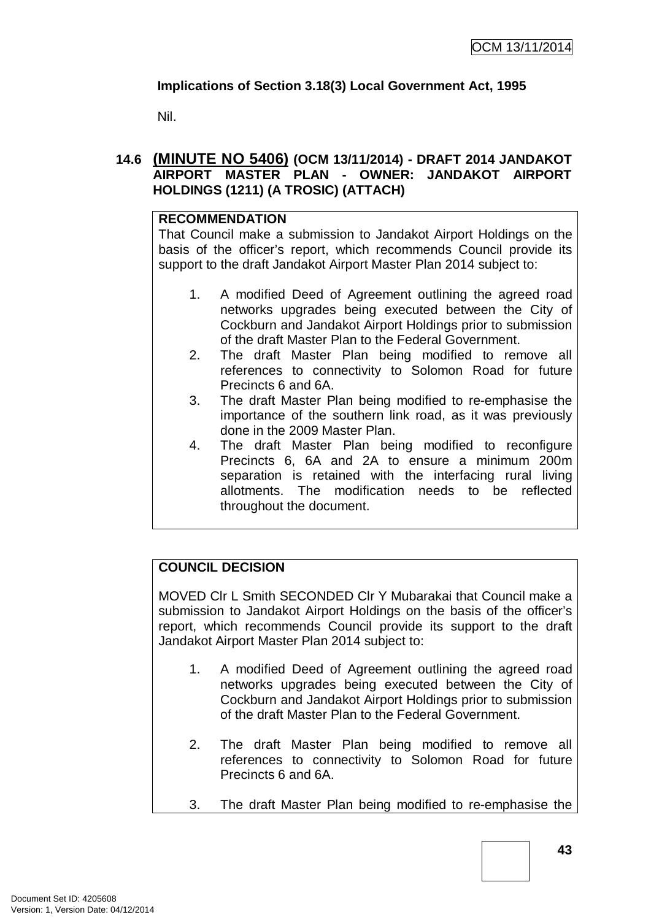# **Implications of Section 3.18(3) Local Government Act, 1995**

Nil.

# **14.6 (MINUTE NO 5406) (OCM 13/11/2014) - DRAFT 2014 JANDAKOT AIRPORT MASTER PLAN - OWNER: JANDAKOT AIRPORT HOLDINGS (1211) (A TROSIC) (ATTACH)**

### **RECOMMENDATION**

That Council make a submission to Jandakot Airport Holdings on the basis of the officer's report, which recommends Council provide its support to the draft Jandakot Airport Master Plan 2014 subject to:

- 1. A modified Deed of Agreement outlining the agreed road networks upgrades being executed between the City of Cockburn and Jandakot Airport Holdings prior to submission of the draft Master Plan to the Federal Government.
- 2. The draft Master Plan being modified to remove all references to connectivity to Solomon Road for future Precincts 6 and 6A.
- 3. The draft Master Plan being modified to re-emphasise the importance of the southern link road, as it was previously done in the 2009 Master Plan.
- 4. The draft Master Plan being modified to reconfigure Precincts 6, 6A and 2A to ensure a minimum 200m separation is retained with the interfacing rural living allotments. The modification needs to be reflected throughout the document.

# **COUNCIL DECISION**

MOVED Clr L Smith SECONDED Clr Y Mubarakai that Council make a submission to Jandakot Airport Holdings on the basis of the officer's report, which recommends Council provide its support to the draft Jandakot Airport Master Plan 2014 subject to:

- 1. A modified Deed of Agreement outlining the agreed road networks upgrades being executed between the City of Cockburn and Jandakot Airport Holdings prior to submission of the draft Master Plan to the Federal Government.
- 2. The draft Master Plan being modified to remove all references to connectivity to Solomon Road for future Precincts 6 and 6A.
- 3. The draft Master Plan being modified to re-emphasise the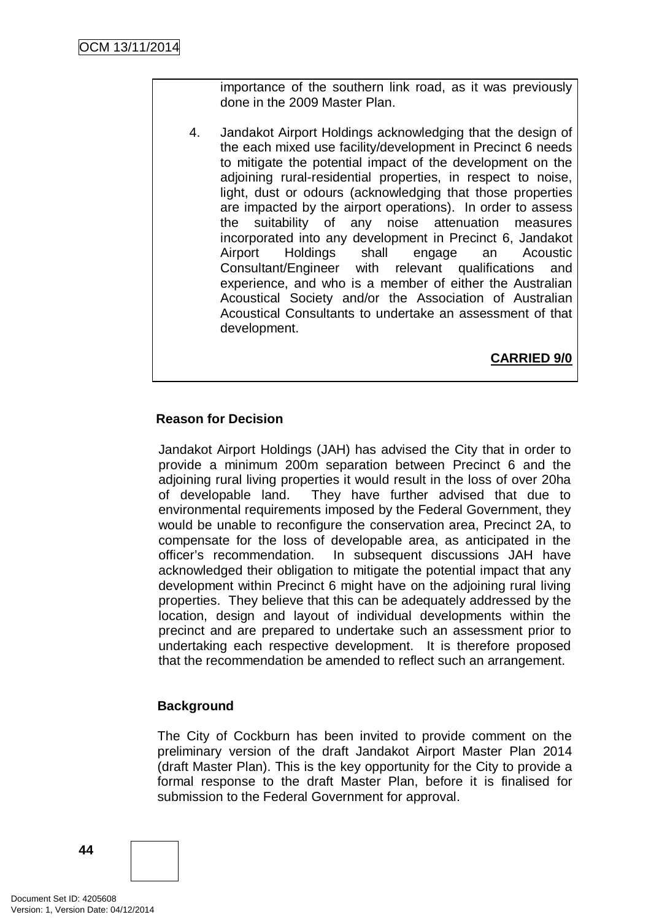importance of the southern link road, as it was previously done in the 2009 Master Plan.

4. Jandakot Airport Holdings acknowledging that the design of the each mixed use facility/development in Precinct 6 needs to mitigate the potential impact of the development on the adjoining rural-residential properties, in respect to noise, light, dust or odours (acknowledging that those properties are impacted by the airport operations). In order to assess the suitability of any noise attenuation measures incorporated into any development in Precinct 6, Jandakot Airport Holdings shall engage an Acoustic Consultant/Engineer with relevant qualifications and experience, and who is a member of either the Australian Acoustical Society and/or the Association of Australian Acoustical Consultants to undertake an assessment of that development.

**CARRIED 9/0**

# **Reason for Decision**

Jandakot Airport Holdings (JAH) has advised the City that in order to provide a minimum 200m separation between Precinct 6 and the adjoining rural living properties it would result in the loss of over 20ha of developable land. They have further advised that due to environmental requirements imposed by the Federal Government, they would be unable to reconfigure the conservation area, Precinct 2A, to compensate for the loss of developable area, as anticipated in the officer's recommendation. In subsequent discussions JAH have acknowledged their obligation to mitigate the potential impact that any development within Precinct 6 might have on the adjoining rural living properties. They believe that this can be adequately addressed by the location, design and layout of individual developments within the precinct and are prepared to undertake such an assessment prior to undertaking each respective development. It is therefore proposed that the recommendation be amended to reflect such an arrangement.

# **Background**

The City of Cockburn has been invited to provide comment on the preliminary version of the draft Jandakot Airport Master Plan 2014 (draft Master Plan). This is the key opportunity for the City to provide a formal response to the draft Master Plan, before it is finalised for submission to the Federal Government for approval.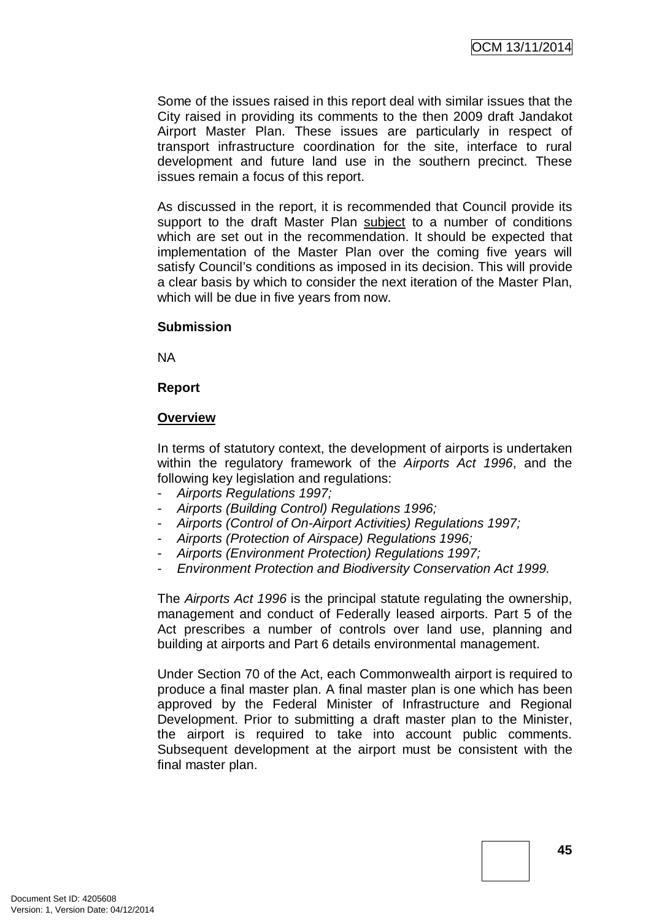Some of the issues raised in this report deal with similar issues that the City raised in providing its comments to the then 2009 draft Jandakot Airport Master Plan. These issues are particularly in respect of transport infrastructure coordination for the site, interface to rural development and future land use in the southern precinct. These issues remain a focus of this report.

As discussed in the report, it is recommended that Council provide its support to the draft Master Plan subject to a number of conditions which are set out in the recommendation. It should be expected that implementation of the Master Plan over the coming five years will satisfy Council's conditions as imposed in its decision. This will provide a clear basis by which to consider the next iteration of the Master Plan, which will be due in five years from now.

### **Submission**

NA

### **Report**

### **Overview**

In terms of statutory context, the development of airports is undertaken within the regulatory framework of the *Airports Act 1996*, and the following key legislation and regulations:

- *Airports Regulations 1997;*
- *Airports (Building Control) Regulations 1996;*
- *Airports (Control of On-Airport Activities) Regulations 1997;*
- *Airports (Protection of Airspace) Regulations 1996;*
- *Airports (Environment Protection) Regulations 1997;*
- *Environment Protection and Biodiversity Conservation Act 1999.*

The *Airports Act 1996* is the principal statute regulating the ownership, management and conduct of Federally leased airports. Part 5 of the Act prescribes a number of controls over land use, planning and building at airports and Part 6 details environmental management.

Under Section 70 of the Act, each Commonwealth airport is required to produce a final master plan. A final master plan is one which has been approved by the Federal Minister of Infrastructure and Regional Development. Prior to submitting a draft master plan to the Minister, the airport is required to take into account public comments. Subsequent development at the airport must be consistent with the final master plan.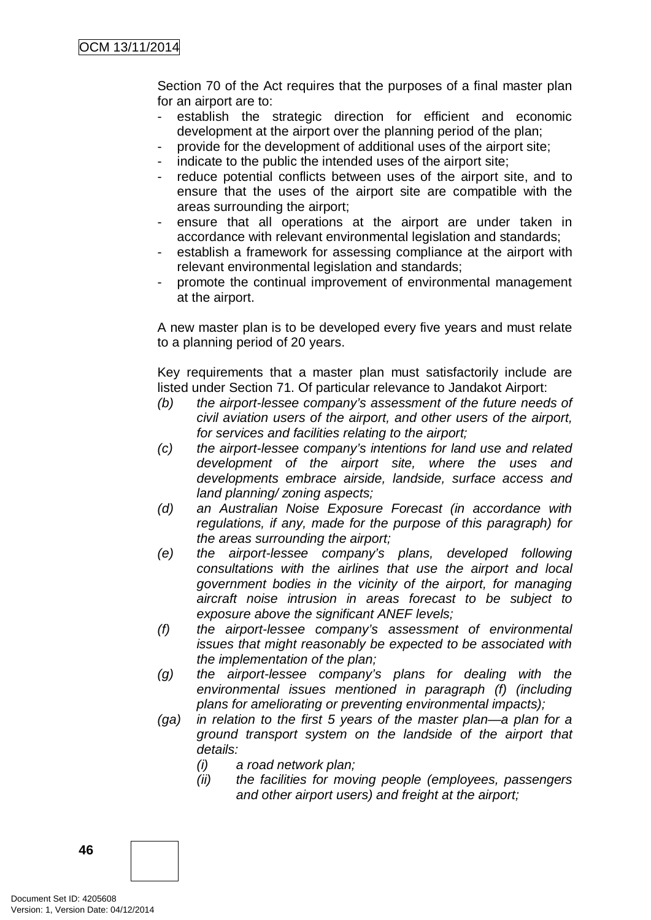Section 70 of the Act requires that the purposes of a final master plan for an airport are to:

- establish the strategic direction for efficient and economic development at the airport over the planning period of the plan;
- provide for the development of additional uses of the airport site;
- indicate to the public the intended uses of the airport site;
- reduce potential conflicts between uses of the airport site, and to ensure that the uses of the airport site are compatible with the areas surrounding the airport;
- ensure that all operations at the airport are under taken in accordance with relevant environmental legislation and standards;
- establish a framework for assessing compliance at the airport with relevant environmental legislation and standards;
- promote the continual improvement of environmental management at the airport.

A new master plan is to be developed every five years and must relate to a planning period of 20 years.

Key requirements that a master plan must satisfactorily include are listed under Section 71. Of particular relevance to Jandakot Airport:

- *(b) the airport-lessee company's assessment of the future needs of civil aviation users of the airport, and other users of the airport, for services and facilities relating to the airport;*
- *(c) the airport-lessee company's intentions for land use and related development of the airport site, where the uses and developments embrace airside, landside, surface access and land planning/ zoning aspects;*
- *(d) an Australian Noise Exposure Forecast (in accordance with regulations, if any, made for the purpose of this paragraph) for the areas surrounding the airport;*
- *(e) the airport-lessee company's plans, developed following consultations with the airlines that use the airport and local government bodies in the vicinity of the airport, for managing aircraft noise intrusion in areas forecast to be subject to exposure above the significant ANEF levels;*
- *(f) the airport-lessee company's assessment of environmental issues that might reasonably be expected to be associated with the implementation of the plan;*
- *(g) the airport-lessee company's plans for dealing with the environmental issues mentioned in paragraph (f) (including plans for ameliorating or preventing environmental impacts);*
- *(ga) in relation to the first 5 years of the master plan—a plan for a ground transport system on the landside of the airport that details:*
	- *(i) a road network plan;*
	- *(ii) the facilities for moving people (employees, passengers and other airport users) and freight at the airport;*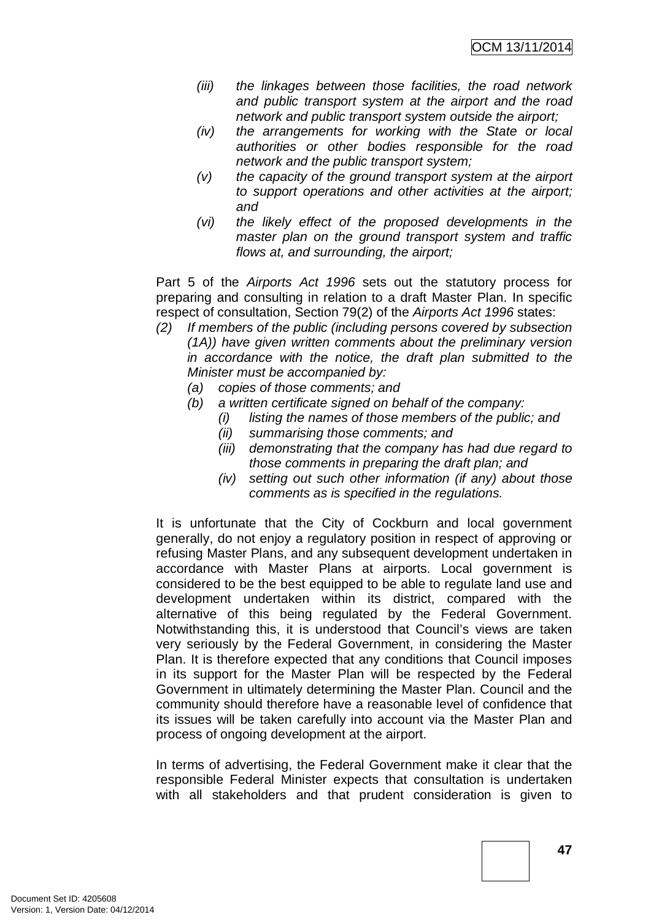- *(iii) the linkages between those facilities, the road network and public transport system at the airport and the road network and public transport system outside the airport;*
- *(iv) the arrangements for working with the State or local authorities or other bodies responsible for the road network and the public transport system;*
- *(v) the capacity of the ground transport system at the airport to support operations and other activities at the airport; and*
- *(vi) the likely effect of the proposed developments in the master plan on the ground transport system and traffic flows at, and surrounding, the airport;*

Part 5 of the *Airports Act 1996* sets out the statutory process for preparing and consulting in relation to a draft Master Plan. In specific respect of consultation, Section 79(2) of the *Airports Act 1996* states:

- *(2) If members of the public (including persons covered by subsection (1A)) have given written comments about the preliminary version in accordance with the notice, the draft plan submitted to the Minister must be accompanied by:*
	- *(a) copies of those comments; and*
	- *(b) a written certificate signed on behalf of the company:*
		- *(i) listing the names of those members of the public; and*
		- *(ii) summarising those comments; and*
		- *(iii) demonstrating that the company has had due regard to those comments in preparing the draft plan; and*
		- *(iv) setting out such other information (if any) about those comments as is specified in the regulations.*

It is unfortunate that the City of Cockburn and local government generally, do not enjoy a regulatory position in respect of approving or refusing Master Plans, and any subsequent development undertaken in accordance with Master Plans at airports. Local government is considered to be the best equipped to be able to regulate land use and development undertaken within its district, compared with the alternative of this being regulated by the Federal Government. Notwithstanding this, it is understood that Council's views are taken very seriously by the Federal Government, in considering the Master Plan. It is therefore expected that any conditions that Council imposes in its support for the Master Plan will be respected by the Federal Government in ultimately determining the Master Plan. Council and the community should therefore have a reasonable level of confidence that its issues will be taken carefully into account via the Master Plan and process of ongoing development at the airport.

In terms of advertising, the Federal Government make it clear that the responsible Federal Minister expects that consultation is undertaken with all stakeholders and that prudent consideration is given to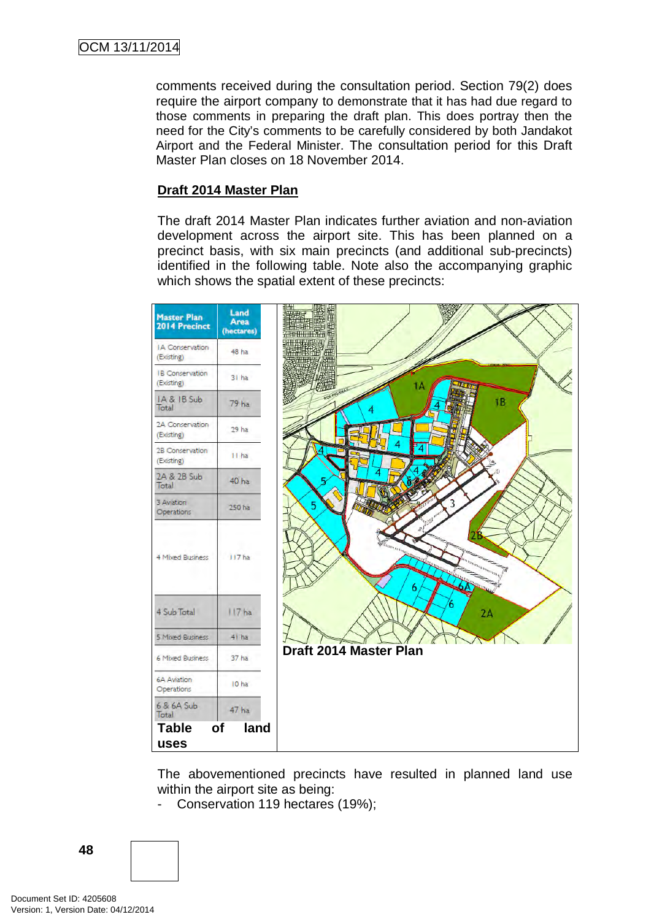comments received during the consultation period. Section 79(2) does require the airport company to demonstrate that it has had due regard to those comments in preparing the draft plan. This does portray then the need for the City's comments to be carefully considered by both Jandakot Airport and the Federal Minister. The consultation period for this Draft Master Plan closes on 18 November 2014.

# **Draft 2014 Master Plan**

The draft 2014 Master Plan indicates further aviation and non-aviation development across the airport site. This has been planned on a precinct basis, with six main precincts (and additional sub-precincts) identified in the following table. Note also the accompanying graphic which shows the spatial extent of these precincts:



The abovementioned precincts have resulted in planned land use within the airport site as being:

- Conservation 119 hectares (19%);

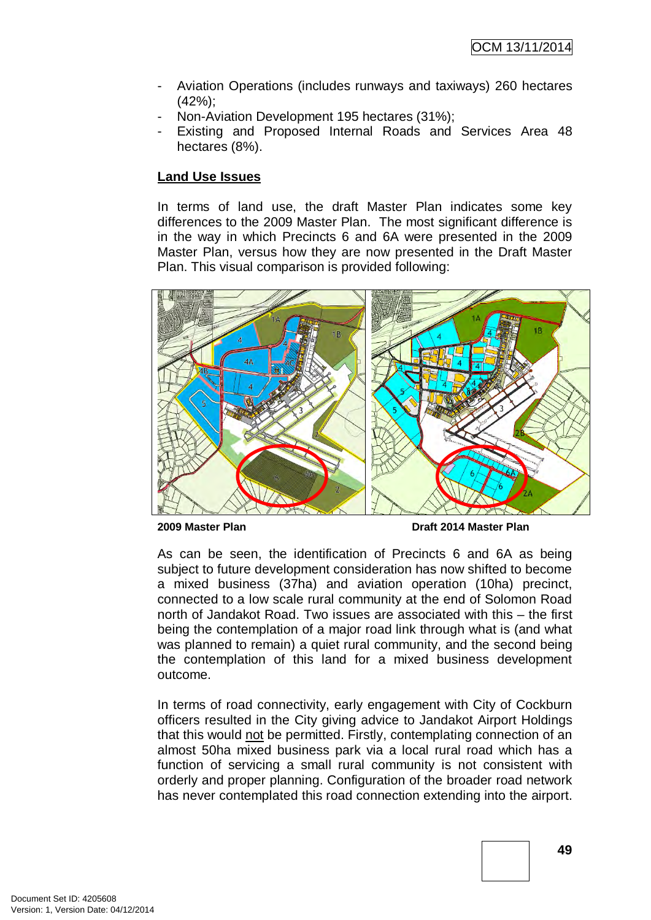- Aviation Operations (includes runways and taxiways) 260 hectares (42%);
- Non-Aviation Development 195 hectares (31%);
- Existing and Proposed Internal Roads and Services Area 48 hectares (8%).

# **Land Use Issues**

In terms of land use, the draft Master Plan indicates some key differences to the 2009 Master Plan. The most significant difference is in the way in which Precincts 6 and 6A were presented in the 2009 Master Plan, versus how they are now presented in the Draft Master Plan. This visual comparison is provided following:



**2009 Master Plan Draft 2014 Master Plan** 

As can be seen, the identification of Precincts 6 and 6A as being subject to future development consideration has now shifted to become a mixed business (37ha) and aviation operation (10ha) precinct, connected to a low scale rural community at the end of Solomon Road north of Jandakot Road. Two issues are associated with this – the first being the contemplation of a major road link through what is (and what was planned to remain) a quiet rural community, and the second being the contemplation of this land for a mixed business development outcome.

In terms of road connectivity, early engagement with City of Cockburn officers resulted in the City giving advice to Jandakot Airport Holdings that this would not be permitted. Firstly, contemplating connection of an almost 50ha mixed business park via a local rural road which has a function of servicing a small rural community is not consistent with orderly and proper planning. Configuration of the broader road network has never contemplated this road connection extending into the airport.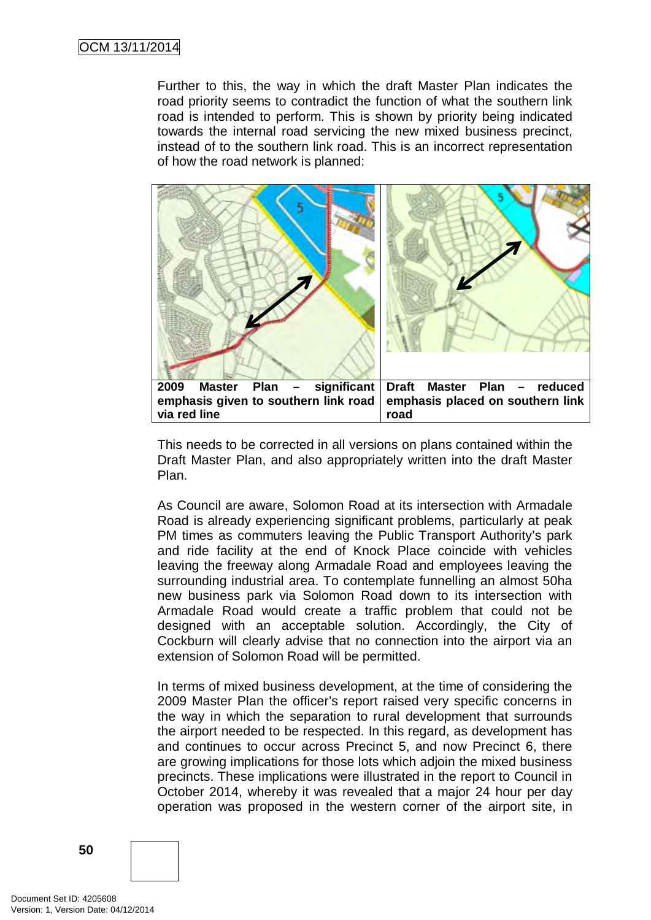Further to this, the way in which the draft Master Plan indicates the road priority seems to contradict the function of what the southern link road is intended to perform. This is shown by priority being indicated towards the internal road servicing the new mixed business precinct, instead of to the southern link road. This is an incorrect representation of how the road network is planned:



This needs to be corrected in all versions on plans contained within the Draft Master Plan, and also appropriately written into the draft Master Plan.

As Council are aware, Solomon Road at its intersection with Armadale Road is already experiencing significant problems, particularly at peak PM times as commuters leaving the Public Transport Authority's park and ride facility at the end of Knock Place coincide with vehicles leaving the freeway along Armadale Road and employees leaving the surrounding industrial area. To contemplate funnelling an almost 50ha new business park via Solomon Road down to its intersection with Armadale Road would create a traffic problem that could not be designed with an acceptable solution. Accordingly, the City of Cockburn will clearly advise that no connection into the airport via an extension of Solomon Road will be permitted.

In terms of mixed business development, at the time of considering the 2009 Master Plan the officer's report raised very specific concerns in the way in which the separation to rural development that surrounds the airport needed to be respected. In this regard, as development has and continues to occur across Precinct 5, and now Precinct 6, there are growing implications for those lots which adjoin the mixed business precincts. These implications were illustrated in the report to Council in October 2014, whereby it was revealed that a major 24 hour per day operation was proposed in the western corner of the airport site, in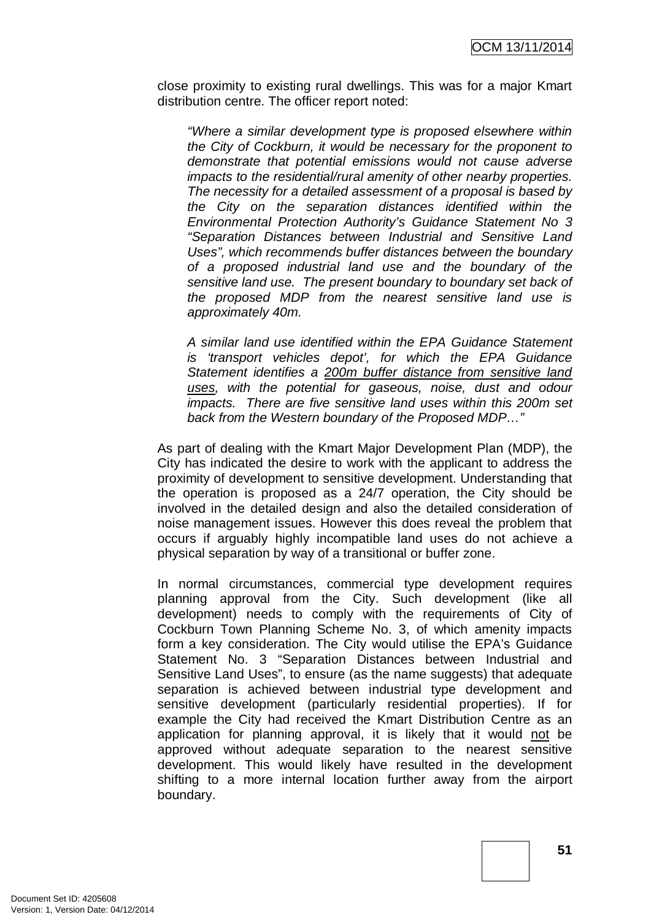close proximity to existing rural dwellings. This was for a major Kmart distribution centre. The officer report noted:

*"Where a similar development type is proposed elsewhere within the City of Cockburn, it would be necessary for the proponent to demonstrate that potential emissions would not cause adverse impacts to the residential/rural amenity of other nearby properties. The necessity for a detailed assessment of a proposal is based by the City on the separation distances identified within the Environmental Protection Authority's Guidance Statement No 3 "Separation Distances between Industrial and Sensitive Land Uses", which recommends buffer distances between the boundary of a proposed industrial land use and the boundary of the sensitive land use. The present boundary to boundary set back of the proposed MDP from the nearest sensitive land use is approximately 40m.*

*A similar land use identified within the EPA Guidance Statement is 'transport vehicles depot', for which the EPA Guidance Statement identifies a 200m buffer distance from sensitive land uses, with the potential for gaseous, noise, dust and odour impacts. There are five sensitive land uses within this 200m set back from the Western boundary of the Proposed MDP…"*

As part of dealing with the Kmart Major Development Plan (MDP), the City has indicated the desire to work with the applicant to address the proximity of development to sensitive development. Understanding that the operation is proposed as a 24/7 operation, the City should be involved in the detailed design and also the detailed consideration of noise management issues. However this does reveal the problem that occurs if arguably highly incompatible land uses do not achieve a physical separation by way of a transitional or buffer zone.

In normal circumstances, commercial type development requires planning approval from the City. Such development (like all development) needs to comply with the requirements of City of Cockburn Town Planning Scheme No. 3, of which amenity impacts form a key consideration. The City would utilise the EPA's Guidance Statement No. 3 "Separation Distances between Industrial and Sensitive Land Uses", to ensure (as the name suggests) that adequate separation is achieved between industrial type development and sensitive development (particularly residential properties). If for example the City had received the Kmart Distribution Centre as an application for planning approval, it is likely that it would not be approved without adequate separation to the nearest sensitive development. This would likely have resulted in the development shifting to a more internal location further away from the airport boundary.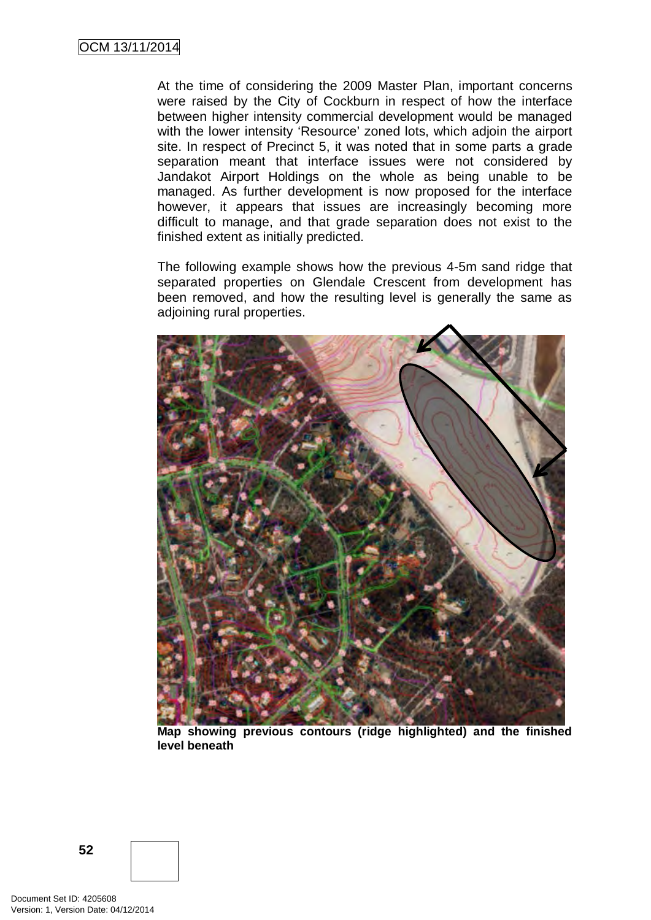At the time of considering the 2009 Master Plan, important concerns were raised by the City of Cockburn in respect of how the interface between higher intensity commercial development would be managed with the lower intensity 'Resource' zoned lots, which adjoin the airport site. In respect of Precinct 5, it was noted that in some parts a grade separation meant that interface issues were not considered by Jandakot Airport Holdings on the whole as being unable to be managed. As further development is now proposed for the interface however, it appears that issues are increasingly becoming more difficult to manage, and that grade separation does not exist to the finished extent as initially predicted.

The following example shows how the previous 4-5m sand ridge that separated properties on Glendale Crescent from development has been removed, and how the resulting level is generally the same as adjoining rural properties.



**Map showing previous contours (ridge highlighted) and the finished level beneath**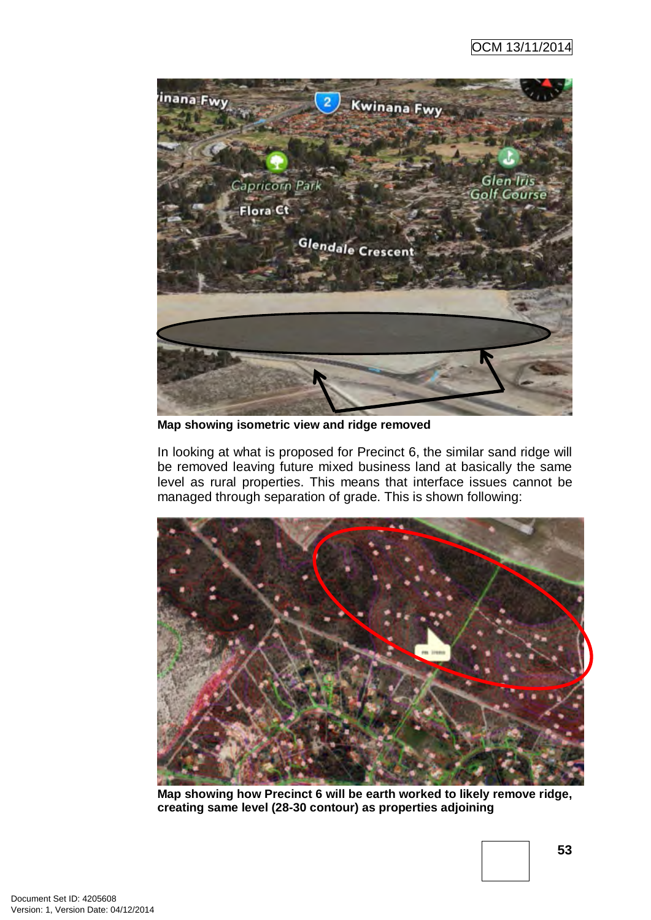

**Map showing isometric view and ridge removed**

In looking at what is proposed for Precinct 6, the similar sand ridge will be removed leaving future mixed business land at basically the same level as rural properties. This means that interface issues cannot be managed through separation of grade. This is shown following:



**Map showing how Precinct 6 will be earth worked to likely remove ridge, creating same level (28-30 contour) as properties adjoining**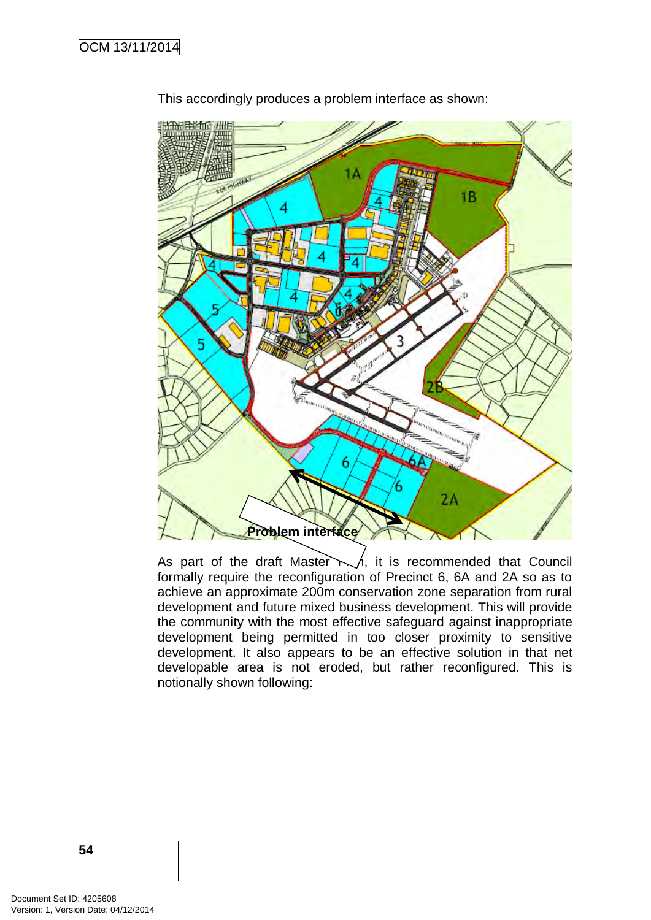

This accordingly produces a problem interface as shown:

As part of the draft Master  $\wedge\wedge$ , it is recommended that Council formally require the reconfiguration of Precinct 6, 6A and 2A so as to achieve an approximate 200m conservation zone separation from rural development and future mixed business development. This will provide the community with the most effective safeguard against inappropriate development being permitted in too closer proximity to sensitive development. It also appears to be an effective solution in that net developable area is not eroded, but rather reconfigured. This is notionally shown following: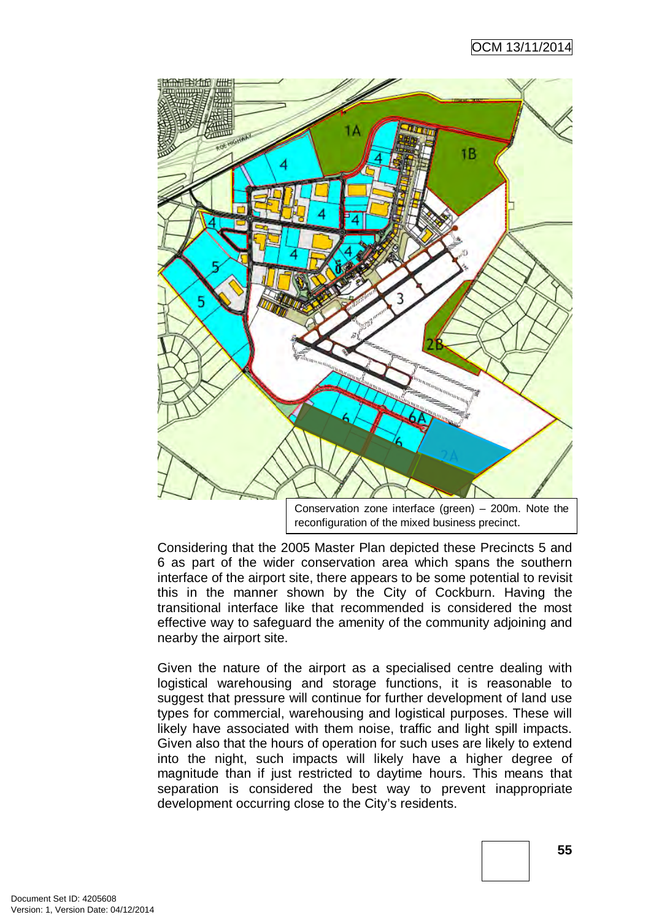# OCM 13/11/2014



reconfiguration of the mixed business precinct.

Considering that the 2005 Master Plan depicted these Precincts 5 and 6 as part of the wider conservation area which spans the southern interface of the airport site, there appears to be some potential to revisit this in the manner shown by the City of Cockburn. Having the transitional interface like that recommended is considered the most effective way to safeguard the amenity of the community adjoining and nearby the airport site.

Given the nature of the airport as a specialised centre dealing with logistical warehousing and storage functions, it is reasonable to suggest that pressure will continue for further development of land use types for commercial, warehousing and logistical purposes. These will likely have associated with them noise, traffic and light spill impacts. Given also that the hours of operation for such uses are likely to extend into the night, such impacts will likely have a higher degree of magnitude than if just restricted to daytime hours. This means that separation is considered the best way to prevent inappropriate development occurring close to the City's residents.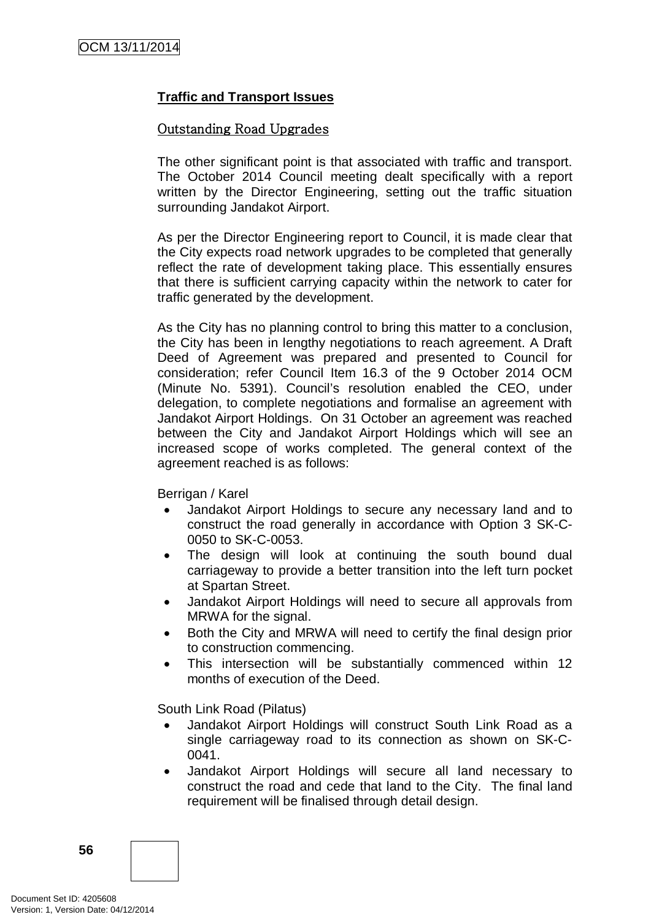# **Traffic and Transport Issues**

# Outstanding Road Upgrades

The other significant point is that associated with traffic and transport. The October 2014 Council meeting dealt specifically with a report written by the Director Engineering, setting out the traffic situation surrounding Jandakot Airport.

As per the Director Engineering report to Council, it is made clear that the City expects road network upgrades to be completed that generally reflect the rate of development taking place. This essentially ensures that there is sufficient carrying capacity within the network to cater for traffic generated by the development.

As the City has no planning control to bring this matter to a conclusion, the City has been in lengthy negotiations to reach agreement. A Draft Deed of Agreement was prepared and presented to Council for consideration; refer Council Item 16.3 of the 9 October 2014 OCM (Minute No. 5391). Council's resolution enabled the CEO, under delegation, to complete negotiations and formalise an agreement with Jandakot Airport Holdings. On 31 October an agreement was reached between the City and Jandakot Airport Holdings which will see an increased scope of works completed. The general context of the agreement reached is as follows:

Berrigan / Karel

- Jandakot Airport Holdings to secure any necessary land and to construct the road generally in accordance with Option 3 SK-C-0050 to SK-C-0053.
- The design will look at continuing the south bound dual carriageway to provide a better transition into the left turn pocket at Spartan Street.
- Jandakot Airport Holdings will need to secure all approvals from MRWA for the signal.
- Both the City and MRWA will need to certify the final design prior to construction commencing.
- This intersection will be substantially commenced within 12 months of execution of the Deed.

South Link Road (Pilatus)

- Jandakot Airport Holdings will construct South Link Road as a single carriageway road to its connection as shown on SK-C-0041.
- Jandakot Airport Holdings will secure all land necessary to construct the road and cede that land to the City. The final land requirement will be finalised through detail design.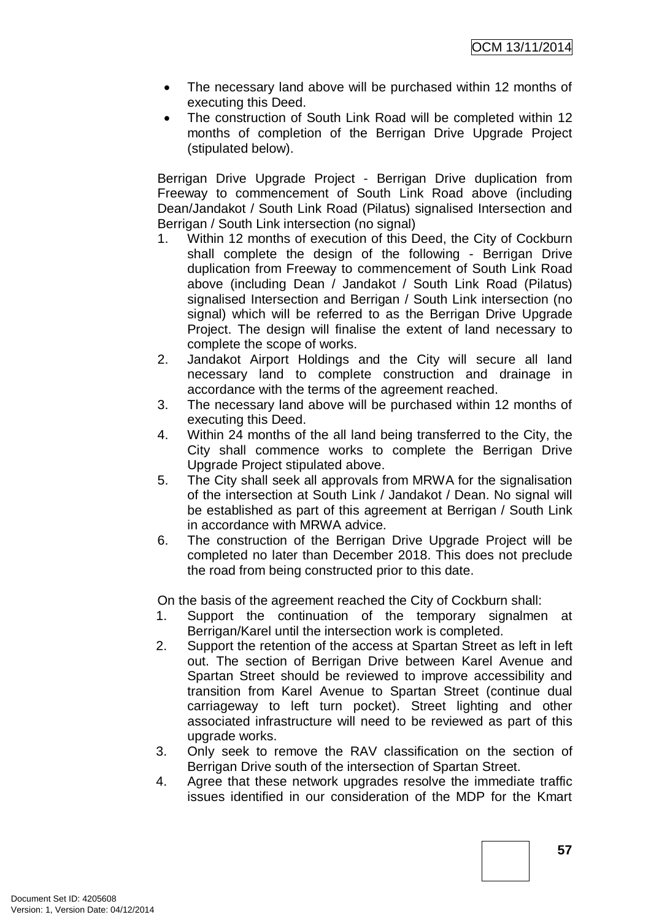- The necessary land above will be purchased within 12 months of executing this Deed.
- The construction of South Link Road will be completed within 12 months of completion of the Berrigan Drive Upgrade Project (stipulated below).

Berrigan Drive Upgrade Project - Berrigan Drive duplication from Freeway to commencement of South Link Road above (including Dean/Jandakot / South Link Road (Pilatus) signalised Intersection and Berrigan / South Link intersection (no signal)

- 1. Within 12 months of execution of this Deed, the City of Cockburn shall complete the design of the following - Berrigan Drive duplication from Freeway to commencement of South Link Road above (including Dean / Jandakot / South Link Road (Pilatus) signalised Intersection and Berrigan / South Link intersection (no signal) which will be referred to as the Berrigan Drive Upgrade Project. The design will finalise the extent of land necessary to complete the scope of works.
- 2. Jandakot Airport Holdings and the City will secure all land necessary land to complete construction and drainage in accordance with the terms of the agreement reached.
- 3. The necessary land above will be purchased within 12 months of executing this Deed.
- 4. Within 24 months of the all land being transferred to the City, the City shall commence works to complete the Berrigan Drive Upgrade Project stipulated above.
- 5. The City shall seek all approvals from MRWA for the signalisation of the intersection at South Link / Jandakot / Dean. No signal will be established as part of this agreement at Berrigan / South Link in accordance with MRWA advice.
- 6. The construction of the Berrigan Drive Upgrade Project will be completed no later than December 2018. This does not preclude the road from being constructed prior to this date.

On the basis of the agreement reached the City of Cockburn shall:

- 1. Support the continuation of the temporary signalmen at Berrigan/Karel until the intersection work is completed.
- 2. Support the retention of the access at Spartan Street as left in left out. The section of Berrigan Drive between Karel Avenue and Spartan Street should be reviewed to improve accessibility and transition from Karel Avenue to Spartan Street (continue dual carriageway to left turn pocket). Street lighting and other associated infrastructure will need to be reviewed as part of this upgrade works.
- 3. Only seek to remove the RAV classification on the section of Berrigan Drive south of the intersection of Spartan Street.
- 4. Agree that these network upgrades resolve the immediate traffic issues identified in our consideration of the MDP for the Kmart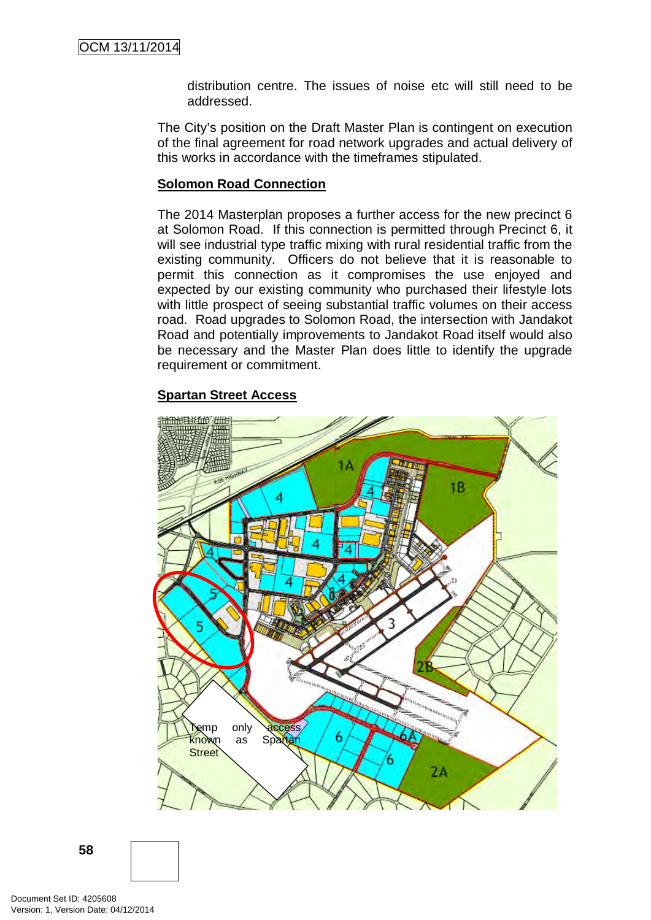distribution centre. The issues of noise etc will still need to be addressed.

The City's position on the Draft Master Plan is contingent on execution of the final agreement for road network upgrades and actual delivery of this works in accordance with the timeframes stipulated.

# **Solomon Road Connection**

The 2014 Masterplan proposes a further access for the new precinct 6 at Solomon Road. If this connection is permitted through Precinct 6, it will see industrial type traffic mixing with rural residential traffic from the existing community. Officers do not believe that it is reasonable to permit this connection as it compromises the use enjoyed and expected by our existing community who purchased their lifestyle lots with little prospect of seeing substantial traffic volumes on their access road. Road upgrades to Solomon Road, the intersection with Jandakot Road and potentially improvements to Jandakot Road itself would also be necessary and the Master Plan does little to identify the upgrade requirement or commitment.

### **Spartan Street Access**

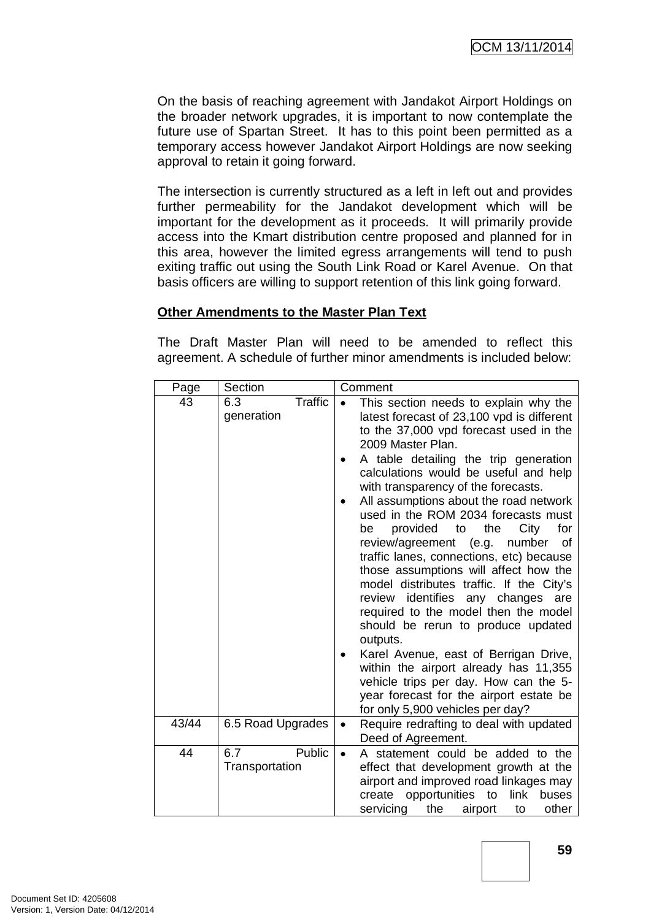On the basis of reaching agreement with Jandakot Airport Holdings on the broader network upgrades, it is important to now contemplate the future use of Spartan Street. It has to this point been permitted as a temporary access however Jandakot Airport Holdings are now seeking approval to retain it going forward.

The intersection is currently structured as a left in left out and provides further permeability for the Jandakot development which will be important for the development as it proceeds. It will primarily provide access into the Kmart distribution centre proposed and planned for in this area, however the limited egress arrangements will tend to push exiting traffic out using the South Link Road or Karel Avenue. On that basis officers are willing to support retention of this link going forward.

# **Other Amendments to the Master Plan Text**

The Draft Master Plan will need to be amended to reflect this agreement. A schedule of further minor amendments is included below:

| Page  | Section                             | Comment                                                                                                                                                                                                                                                                                                                                                                                                                                                                                                                                                                                                                                                                                                                                                                                                                                                                                                                           |  |  |  |
|-------|-------------------------------------|-----------------------------------------------------------------------------------------------------------------------------------------------------------------------------------------------------------------------------------------------------------------------------------------------------------------------------------------------------------------------------------------------------------------------------------------------------------------------------------------------------------------------------------------------------------------------------------------------------------------------------------------------------------------------------------------------------------------------------------------------------------------------------------------------------------------------------------------------------------------------------------------------------------------------------------|--|--|--|
| 43    | <b>Traffic</b><br>6.3<br>generation | This section needs to explain why the<br>latest forecast of 23,100 vpd is different<br>to the 37,000 vpd forecast used in the<br>2009 Master Plan.<br>A table detailing the trip generation<br>calculations would be useful and help<br>with transparency of the forecasts.<br>All assumptions about the road network<br>used in the ROM 2034 forecasts must<br>provided to<br>City<br>for<br>the<br>be<br>review/agreement<br>(e.g.<br>number<br>0f<br>traffic lanes, connections, etc) because<br>those assumptions will affect how the<br>model distributes traffic. If the City's<br>identifies any changes are<br>review<br>required to the model then the model<br>should be rerun to produce updated<br>outputs.<br>Karel Avenue, east of Berrigan Drive,<br>within the airport already has 11,355<br>vehicle trips per day. How can the 5-<br>year forecast for the airport estate be<br>for only 5,900 vehicles per day? |  |  |  |
| 43/44 | 6.5 Road Upgrades                   | Require redrafting to deal with updated<br>Deed of Agreement.                                                                                                                                                                                                                                                                                                                                                                                                                                                                                                                                                                                                                                                                                                                                                                                                                                                                     |  |  |  |
| 44    | 6.7<br>Public<br>Transportation     | A statement could be added to the<br>$\bullet$<br>effect that development growth at the<br>airport and improved road linkages may<br>to<br>link<br>opportunities<br>create<br>buses<br>other<br>servicing<br>the<br>airport<br>to                                                                                                                                                                                                                                                                                                                                                                                                                                                                                                                                                                                                                                                                                                 |  |  |  |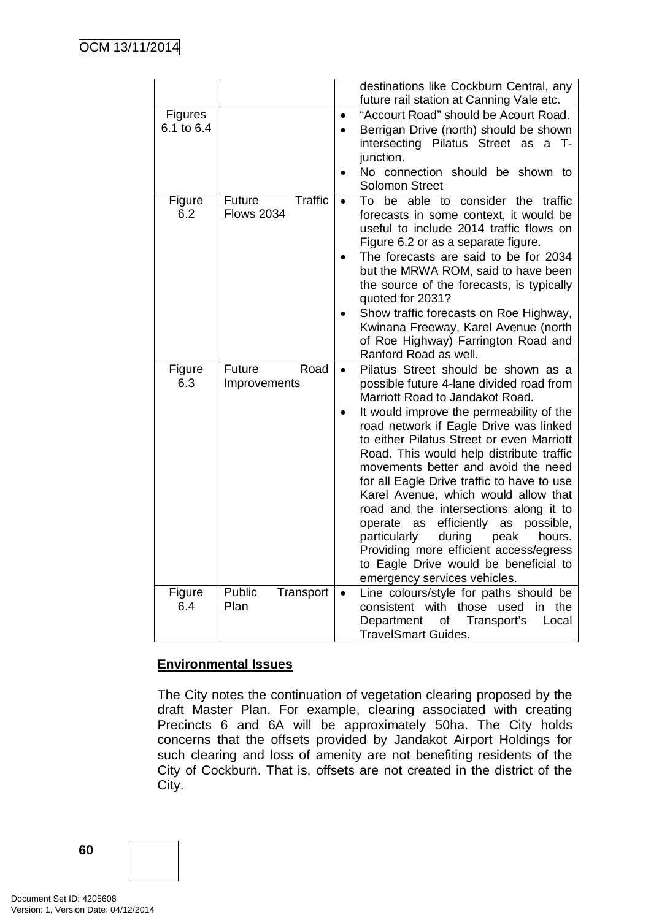|                              |                                               |           | destinations like Cockburn Central, any<br>future rail station at Canning Vale etc.                                                                                                                                                                                                                                                                                                                                                                                                                                                                                                                                                                                                        |
|------------------------------|-----------------------------------------------|-----------|--------------------------------------------------------------------------------------------------------------------------------------------------------------------------------------------------------------------------------------------------------------------------------------------------------------------------------------------------------------------------------------------------------------------------------------------------------------------------------------------------------------------------------------------------------------------------------------------------------------------------------------------------------------------------------------------|
| <b>Figures</b><br>6.1 to 6.4 |                                               |           | "Accourt Road" should be Acourt Road.<br>Berrigan Drive (north) should be shown<br>intersecting Pilatus Street as<br>a<br>- T-<br>junction.<br>No connection should be shown to<br><b>Solomon Street</b>                                                                                                                                                                                                                                                                                                                                                                                                                                                                                   |
| Figure<br>6.2                | <b>Traffic</b><br>Future<br><b>Flows 2034</b> | $\bullet$ | be able to consider the traffic<br>To<br>forecasts in some context, it would be<br>useful to include 2014 traffic flows on<br>Figure 6.2 or as a separate figure.<br>The forecasts are said to be for 2034<br>but the MRWA ROM, said to have been<br>the source of the forecasts, is typically<br>quoted for 2031?<br>Show traffic forecasts on Roe Highway,<br>Kwinana Freeway, Karel Avenue (north<br>of Roe Highway) Farrington Road and<br>Ranford Road as well.                                                                                                                                                                                                                       |
| Figure<br>6.3                | <b>Future</b><br>Road<br>Improvements         |           | Pilatus Street should be shown as a<br>possible future 4-lane divided road from<br>Marriott Road to Jandakot Road.<br>It would improve the permeability of the<br>road network if Eagle Drive was linked<br>to either Pilatus Street or even Marriott<br>Road. This would help distribute traffic<br>movements better and avoid the need<br>for all Eagle Drive traffic to have to use<br>Karel Avenue, which would allow that<br>road and the intersections along it to<br>efficiently<br>operate<br>as<br>possible,<br>as<br>during<br>particularly<br>peak<br>hours.<br>Providing more efficient access/egress<br>to Eagle Drive would be beneficial to<br>emergency services vehicles. |
| Figure<br>6.4                | Public<br>Transport<br>Plan                   | $\bullet$ | Line colours/style for paths should be<br>consistent with<br>those<br>used<br>in the<br>Department<br>Transport's<br>Local<br>of<br><b>TravelSmart Guides.</b>                                                                                                                                                                                                                                                                                                                                                                                                                                                                                                                             |

# **Environmental Issues**

The City notes the continuation of vegetation clearing proposed by the draft Master Plan. For example, clearing associated with creating Precincts 6 and 6A will be approximately 50ha. The City holds concerns that the offsets provided by Jandakot Airport Holdings for such clearing and loss of amenity are not benefiting residents of the City of Cockburn. That is, offsets are not created in the district of the City.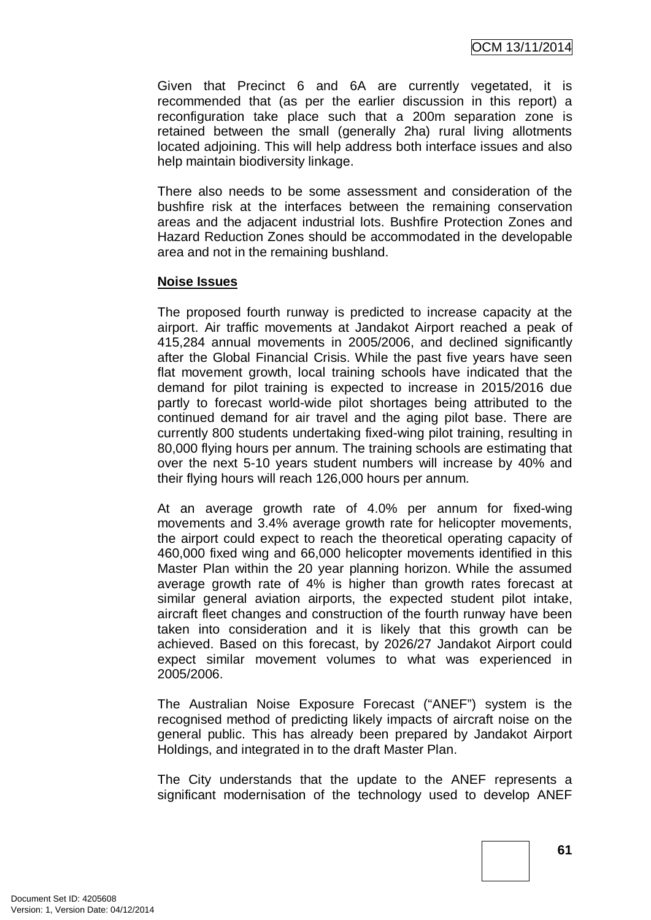Given that Precinct 6 and 6A are currently vegetated, it is recommended that (as per the earlier discussion in this report) a reconfiguration take place such that a 200m separation zone is retained between the small (generally 2ha) rural living allotments located adjoining. This will help address both interface issues and also help maintain biodiversity linkage.

There also needs to be some assessment and consideration of the bushfire risk at the interfaces between the remaining conservation areas and the adjacent industrial lots. Bushfire Protection Zones and Hazard Reduction Zones should be accommodated in the developable area and not in the remaining bushland.

### **Noise Issues**

The proposed fourth runway is predicted to increase capacity at the airport. Air traffic movements at Jandakot Airport reached a peak of 415,284 annual movements in 2005/2006, and declined significantly after the Global Financial Crisis. While the past five years have seen flat movement growth, local training schools have indicated that the demand for pilot training is expected to increase in 2015/2016 due partly to forecast world-wide pilot shortages being attributed to the continued demand for air travel and the aging pilot base. There are currently 800 students undertaking fixed-wing pilot training, resulting in 80,000 flying hours per annum. The training schools are estimating that over the next 5-10 years student numbers will increase by 40% and their flying hours will reach 126,000 hours per annum.

At an average growth rate of 4.0% per annum for fixed-wing movements and 3.4% average growth rate for helicopter movements, the airport could expect to reach the theoretical operating capacity of 460,000 fixed wing and 66,000 helicopter movements identified in this Master Plan within the 20 year planning horizon. While the assumed average growth rate of 4% is higher than growth rates forecast at similar general aviation airports, the expected student pilot intake, aircraft fleet changes and construction of the fourth runway have been taken into consideration and it is likely that this growth can be achieved. Based on this forecast, by 2026/27 Jandakot Airport could expect similar movement volumes to what was experienced in 2005/2006.

The Australian Noise Exposure Forecast ("ANEF") system is the recognised method of predicting likely impacts of aircraft noise on the general public. This has already been prepared by Jandakot Airport Holdings, and integrated in to the draft Master Plan.

The City understands that the update to the ANEF represents a significant modernisation of the technology used to develop ANEF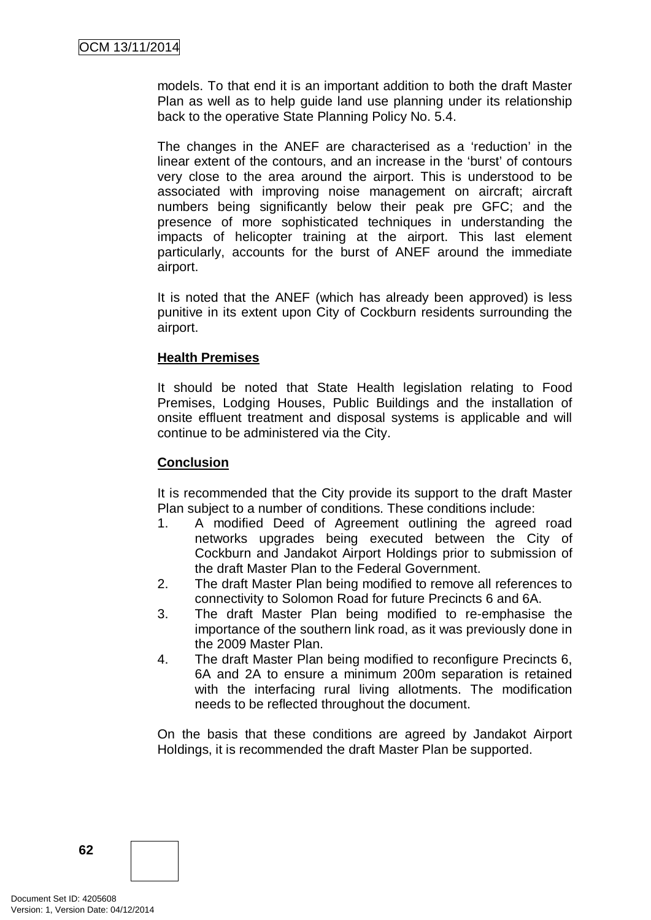models. To that end it is an important addition to both the draft Master Plan as well as to help guide land use planning under its relationship back to the operative State Planning Policy No. 5.4.

The changes in the ANEF are characterised as a 'reduction' in the linear extent of the contours, and an increase in the 'burst' of contours very close to the area around the airport. This is understood to be associated with improving noise management on aircraft; aircraft numbers being significantly below their peak pre GFC; and the presence of more sophisticated techniques in understanding the impacts of helicopter training at the airport. This last element particularly, accounts for the burst of ANEF around the immediate airport.

It is noted that the ANEF (which has already been approved) is less punitive in its extent upon City of Cockburn residents surrounding the airport.

# **Health Premises**

It should be noted that State Health legislation relating to Food Premises, Lodging Houses, Public Buildings and the installation of onsite effluent treatment and disposal systems is applicable and will continue to be administered via the City.

# **Conclusion**

It is recommended that the City provide its support to the draft Master Plan subject to a number of conditions. These conditions include:

- 1. A modified Deed of Agreement outlining the agreed road networks upgrades being executed between the City of Cockburn and Jandakot Airport Holdings prior to submission of the draft Master Plan to the Federal Government.
- 2. The draft Master Plan being modified to remove all references to connectivity to Solomon Road for future Precincts 6 and 6A.
- 3. The draft Master Plan being modified to re-emphasise the importance of the southern link road, as it was previously done in the 2009 Master Plan.
- 4. The draft Master Plan being modified to reconfigure Precincts 6, 6A and 2A to ensure a minimum 200m separation is retained with the interfacing rural living allotments. The modification needs to be reflected throughout the document.

On the basis that these conditions are agreed by Jandakot Airport Holdings, it is recommended the draft Master Plan be supported.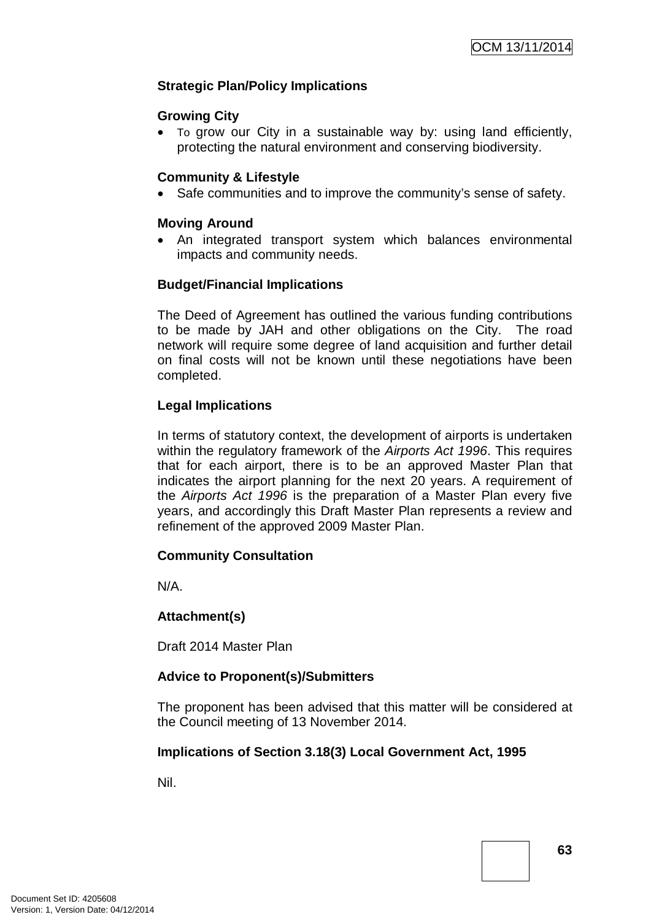# **Strategic Plan/Policy Implications**

### **Growing City**

• To grow our City in a sustainable way by: using land efficiently, protecting the natural environment and conserving biodiversity.

# **Community & Lifestyle**

Safe communities and to improve the community's sense of safety.

# **Moving Around**

• An integrated transport system which balances environmental impacts and community needs.

# **Budget/Financial Implications**

The Deed of Agreement has outlined the various funding contributions to be made by JAH and other obligations on the City. The road network will require some degree of land acquisition and further detail on final costs will not be known until these negotiations have been completed.

# **Legal Implications**

In terms of statutory context, the development of airports is undertaken within the regulatory framework of the *Airports Act 1996*. This requires that for each airport, there is to be an approved Master Plan that indicates the airport planning for the next 20 years. A requirement of the *Airports Act 1996* is the preparation of a Master Plan every five years, and accordingly this Draft Master Plan represents a review and refinement of the approved 2009 Master Plan.

# **Community Consultation**

N/A.

# **Attachment(s)**

Draft 2014 Master Plan

# **Advice to Proponent(s)/Submitters**

The proponent has been advised that this matter will be considered at the Council meeting of 13 November 2014.

# **Implications of Section 3.18(3) Local Government Act, 1995**

Nil.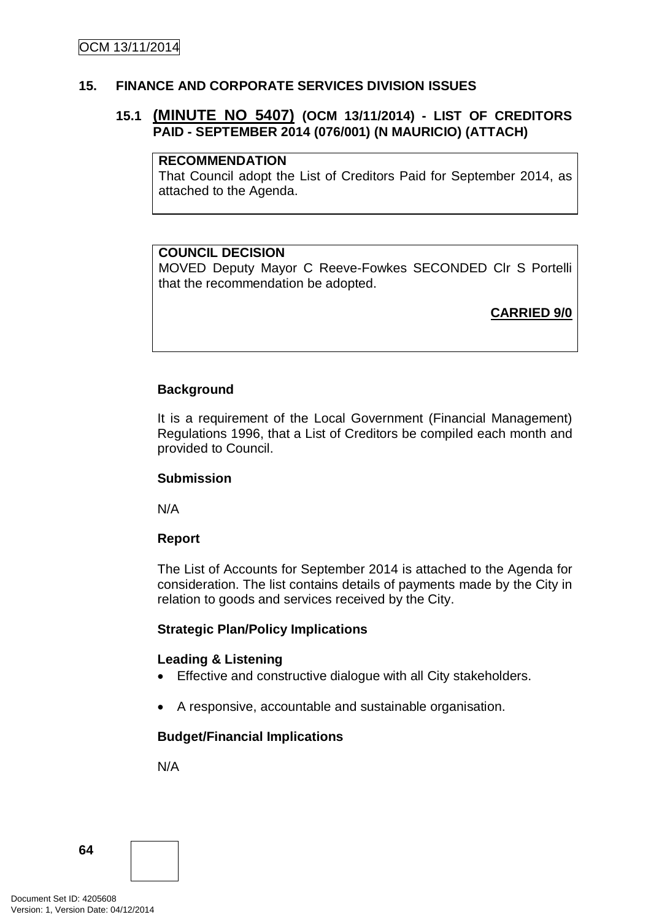# **15. FINANCE AND CORPORATE SERVICES DIVISION ISSUES**

# **15.1 (MINUTE NO 5407) (OCM 13/11/2014) - LIST OF CREDITORS PAID - SEPTEMBER 2014 (076/001) (N MAURICIO) (ATTACH)**

#### **RECOMMENDATION**

That Council adopt the List of Creditors Paid for September 2014, as attached to the Agenda.

# **COUNCIL DECISION**

MOVED Deputy Mayor C Reeve-Fowkes SECONDED Clr S Portelli that the recommendation be adopted.

**CARRIED 9/0**

# **Background**

It is a requirement of the Local Government (Financial Management) Regulations 1996, that a List of Creditors be compiled each month and provided to Council.

# **Submission**

N/A

# **Report**

The List of Accounts for September 2014 is attached to the Agenda for consideration. The list contains details of payments made by the City in relation to goods and services received by the City.

# **Strategic Plan/Policy Implications**

#### **Leading & Listening**

- Effective and constructive dialogue with all City stakeholders.
- A responsive, accountable and sustainable organisation.

# **Budget/Financial Implications**

N/A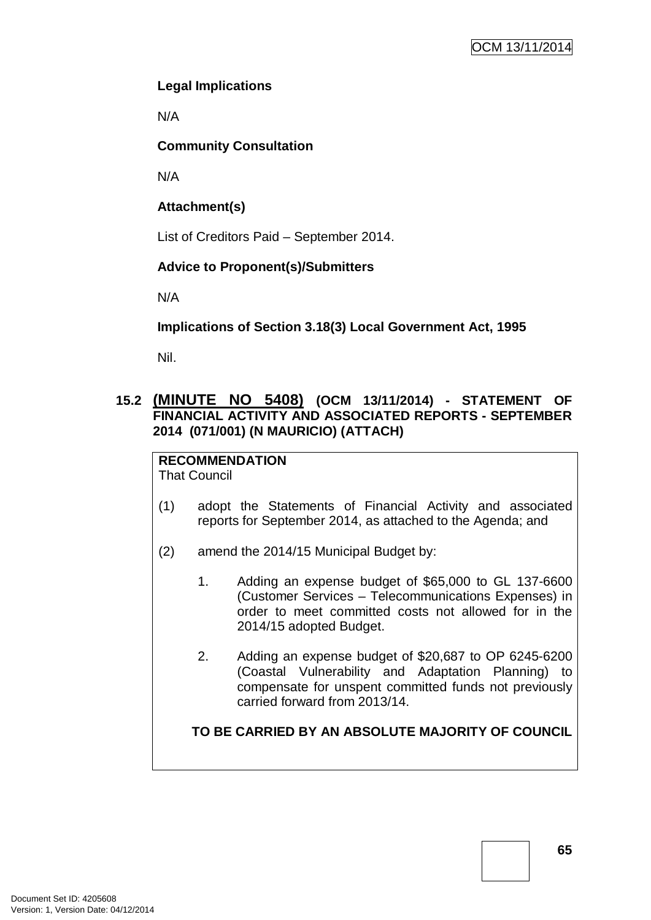# **Legal Implications**

N/A

# **Community Consultation**

N/A

**Attachment(s)**

List of Creditors Paid – September 2014.

# **Advice to Proponent(s)/Submitters**

N/A

# **Implications of Section 3.18(3) Local Government Act, 1995**

Nil.

# **15.2 (MINUTE NO 5408) (OCM 13/11/2014) - STATEMENT OF FINANCIAL ACTIVITY AND ASSOCIATED REPORTS - SEPTEMBER 2014 (071/001) (N MAURICIO) (ATTACH)**

**RECOMMENDATION** That Council

- (1) adopt the Statements of Financial Activity and associated reports for September 2014, as attached to the Agenda; and
- (2) amend the 2014/15 Municipal Budget by:
	- 1. Adding an expense budget of \$65,000 to GL 137-6600 (Customer Services – Telecommunications Expenses) in order to meet committed costs not allowed for in the 2014/15 adopted Budget.
	- 2. Adding an expense budget of \$20,687 to OP 6245-6200 (Coastal Vulnerability and Adaptation Planning) to compensate for unspent committed funds not previously carried forward from 2013/14.

**TO BE CARRIED BY AN ABSOLUTE MAJORITY OF COUNCIL**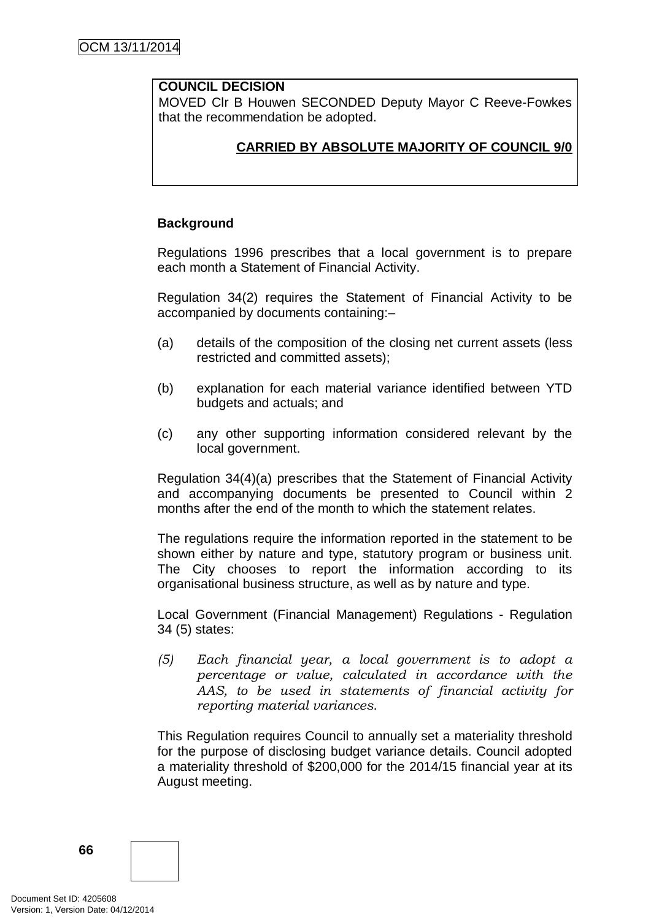# **COUNCIL DECISION**

MOVED Clr B Houwen SECONDED Deputy Mayor C Reeve-Fowkes that the recommendation be adopted.

# **CARRIED BY ABSOLUTE MAJORITY OF COUNCIL 9/0**

### **Background**

Regulations 1996 prescribes that a local government is to prepare each month a Statement of Financial Activity.

Regulation 34(2) requires the Statement of Financial Activity to be accompanied by documents containing:–

- (a) details of the composition of the closing net current assets (less restricted and committed assets);
- (b) explanation for each material variance identified between YTD budgets and actuals; and
- (c) any other supporting information considered relevant by the local government.

Regulation 34(4)(a) prescribes that the Statement of Financial Activity and accompanying documents be presented to Council within 2 months after the end of the month to which the statement relates.

The regulations require the information reported in the statement to be shown either by nature and type, statutory program or business unit. The City chooses to report the information according to its organisational business structure, as well as by nature and type.

Local Government (Financial Management) Regulations - Regulation 34 (5) states:

*(5) Each financial year, a local government is to adopt a percentage or value, calculated in accordance with the AAS, to be used in statements of financial activity for reporting material variances.* 

This Regulation requires Council to annually set a materiality threshold for the purpose of disclosing budget variance details. Council adopted a materiality threshold of \$200,000 for the 2014/15 financial year at its August meeting.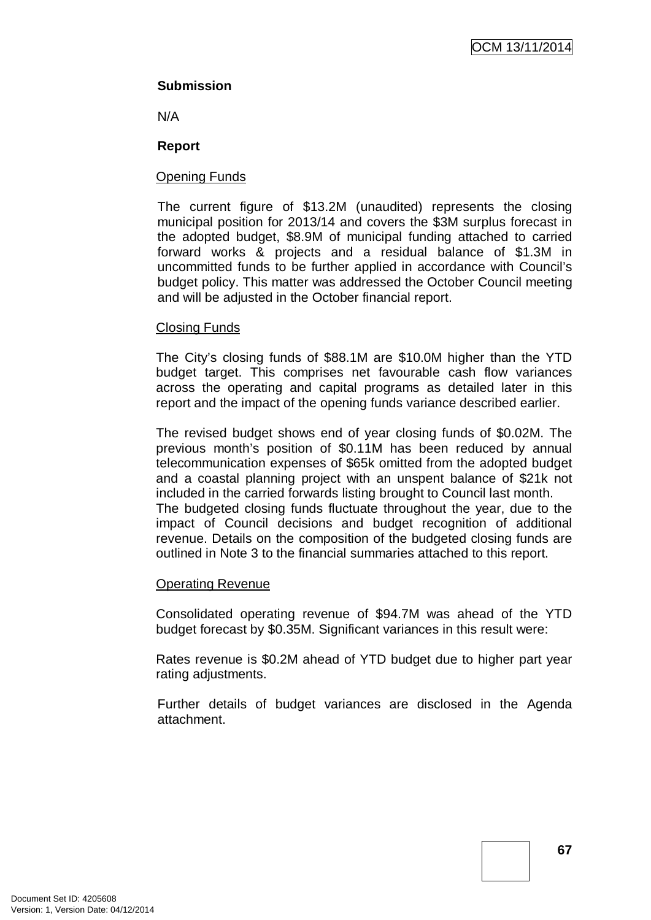# **Submission**

N/A

### **Report**

### Opening Funds

The current figure of \$13.2M (unaudited) represents the closing municipal position for 2013/14 and covers the \$3M surplus forecast in the adopted budget, \$8.9M of municipal funding attached to carried forward works & projects and a residual balance of \$1.3M in uncommitted funds to be further applied in accordance with Council's budget policy. This matter was addressed the October Council meeting and will be adjusted in the October financial report.

#### Closing Funds

The City's closing funds of \$88.1M are \$10.0M higher than the YTD budget target. This comprises net favourable cash flow variances across the operating and capital programs as detailed later in this report and the impact of the opening funds variance described earlier.

The revised budget shows end of year closing funds of \$0.02M. The previous month's position of \$0.11M has been reduced by annual telecommunication expenses of \$65k omitted from the adopted budget and a coastal planning project with an unspent balance of \$21k not included in the carried forwards listing brought to Council last month. The budgeted closing funds fluctuate throughout the year, due to the impact of Council decisions and budget recognition of additional revenue. Details on the composition of the budgeted closing funds are outlined in Note 3 to the financial summaries attached to this report.

# Operating Revenue

Consolidated operating revenue of \$94.7M was ahead of the YTD budget forecast by \$0.35M. Significant variances in this result were:

Rates revenue is \$0.2M ahead of YTD budget due to higher part year rating adjustments.

Further details of budget variances are disclosed in the Agenda attachment.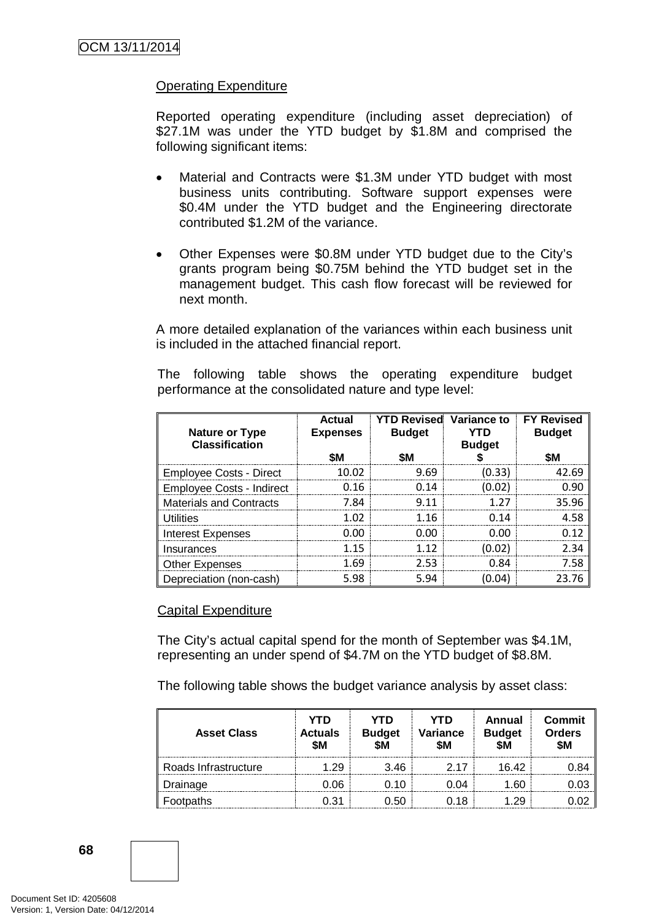# Operating Expenditure

Reported operating expenditure (including asset depreciation) of \$27.1M was under the YTD budget by \$1.8M and comprised the following significant items:

- Material and Contracts were \$1.3M under YTD budget with most business units contributing. Software support expenses were \$0.4M under the YTD budget and the Engineering directorate contributed \$1.2M of the variance.
- Other Expenses were \$0.8M under YTD budget due to the City's grants program being \$0.75M behind the YTD budget set in the management budget. This cash flow forecast will be reviewed for next month.

A more detailed explanation of the variances within each business unit is included in the attached financial report.

| Nature or Type<br><b>Classification</b> | <b>Actual</b><br><b>Expenses</b><br>SΜ. | <b>YTD Revised</b><br><b>Budget</b><br>SΜ | Variance to<br>YTD<br><b>Budget</b> | <b>FY Revised</b><br><b>Budget</b><br>SΜ |
|-----------------------------------------|-----------------------------------------|-------------------------------------------|-------------------------------------|------------------------------------------|
| <b>Employee Costs - Direct</b>          | 10.02                                   | 9.69                                      | (0.33)                              | , 69                                     |
| <b>Employee Costs - Indirect</b>        | 0.16                                    | 0.14                                      | (0.02)                              | n ar                                     |
| <b>Materials and Contracts</b>          | 7.84                                    | 9.11                                      | 177                                 | 35.96                                    |
| Utilities                               | 1.02                                    | 1.16                                      | 0.14                                | 4.58                                     |
| <b>Interest Expenses</b>                | 0.OO                                    | n nn                                      | 0.00                                |                                          |
| Insurances                              | 1 1 5                                   | 117                                       | (0.02)                              | 7 R.A                                    |
| Other Expenses                          | 1.69                                    | 2.53                                      | 0.84                                | 7 58                                     |
| Depreciation (non-cash)                 | 5.98                                    | 5.94                                      |                                     | 23 76                                    |

The following table shows the operating expenditure budget performance at the consolidated nature and type level:

# Capital Expenditure

The City's actual capital spend for the month of September was \$4.1M, representing an under spend of \$4.7M on the YTD budget of \$8.8M.

The following table shows the budget variance analysis by asset class:

| <b>Asset Class</b>   | YTD<br><b>Actuals</b><br>\$M | YTD<br><b>Budget</b><br>\$Μ        | YTD<br>Variance<br>\$M | Annual<br><b>Budget</b><br>\$M | <b>Commit</b><br><b>Orders</b><br>\$Μ |
|----------------------|------------------------------|------------------------------------|------------------------|--------------------------------|---------------------------------------|
| Roads Infrastructure | -29                          | 3.46                               | 2 17                   | 16.42                          | .84                                   |
| Drainage             | N 06                         | N 10.                              | 1 N.A                  | -60                            |                                       |
| Footpaths            | (1.31)                       | $\overline{1}$ here $\overline{1}$ | ) 18                   | -29                            |                                       |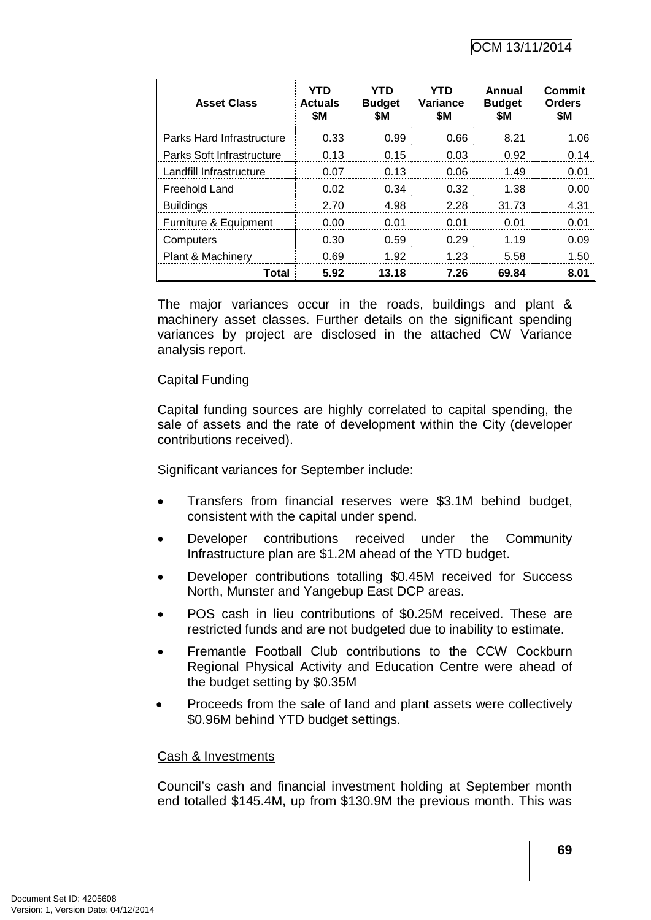| <b>Asset Class</b>           | YTD<br><b>Actuals</b><br>\$Μ | YTD<br><b>Budget</b><br><b>SM</b> | YTD<br>Variance<br>\$M | Annual<br><b>Budget</b><br>SΜ. | Commit<br><b>Orders</b><br>\$M |
|------------------------------|------------------------------|-----------------------------------|------------------------|--------------------------------|--------------------------------|
| Parks Hard Infrastructure    | 0.33                         | 0.99                              | 0.66                   | 8.21                           | 1.06                           |
| Parks Soft Infrastructure    | 0.13                         | 0.15                              | 0.03                   | 0.92                           | በ 14                           |
| Landfill Infrastructure      | 0.07                         | 0.13                              | 0.06                   | 1.49                           | 0 01                           |
| Freehold Land                | 0.02                         | 0.34                              | 0.32                   | 1.38                           | 0.00                           |
| <b>Buildings</b>             | 2.70                         | 4.98                              | 2.28                   | 31.73                          | 4.31                           |
| Furniture & Equipment        | 0.00                         | 0 01                              | 0 01                   | 0.01                           | 0.01                           |
| Computers                    | 0.30                         | 0.59                              | O 29                   | 1 1 9                          | <u>በ በዓ</u>                    |
| <b>Plant &amp; Machinery</b> | 0.69                         | 1.92                              | 1 23                   | 5.58                           | 1.50                           |
| Total                        | 5.92                         | 13.18                             | 7.26                   | 69.84                          | 8.01                           |

The major variances occur in the roads, buildings and plant & machinery asset classes. Further details on the significant spending variances by project are disclosed in the attached CW Variance analysis report.

## Capital Funding

Capital funding sources are highly correlated to capital spending, the sale of assets and the rate of development within the City (developer contributions received).

Significant variances for September include:

- Transfers from financial reserves were \$3.1M behind budget, consistent with the capital under spend.
- Developer contributions received under the Community Infrastructure plan are \$1.2M ahead of the YTD budget.
- Developer contributions totalling \$0.45M received for Success North, Munster and Yangebup East DCP areas.
- POS cash in lieu contributions of \$0.25M received. These are restricted funds and are not budgeted due to inability to estimate.
- Fremantle Football Club contributions to the CCW Cockburn Regional Physical Activity and Education Centre were ahead of the budget setting by \$0.35M
- Proceeds from the sale of land and plant assets were collectively \$0.96M behind YTD budget settings.

## Cash & Investments

Council's cash and financial investment holding at September month end totalled \$145.4M, up from \$130.9M the previous month. This was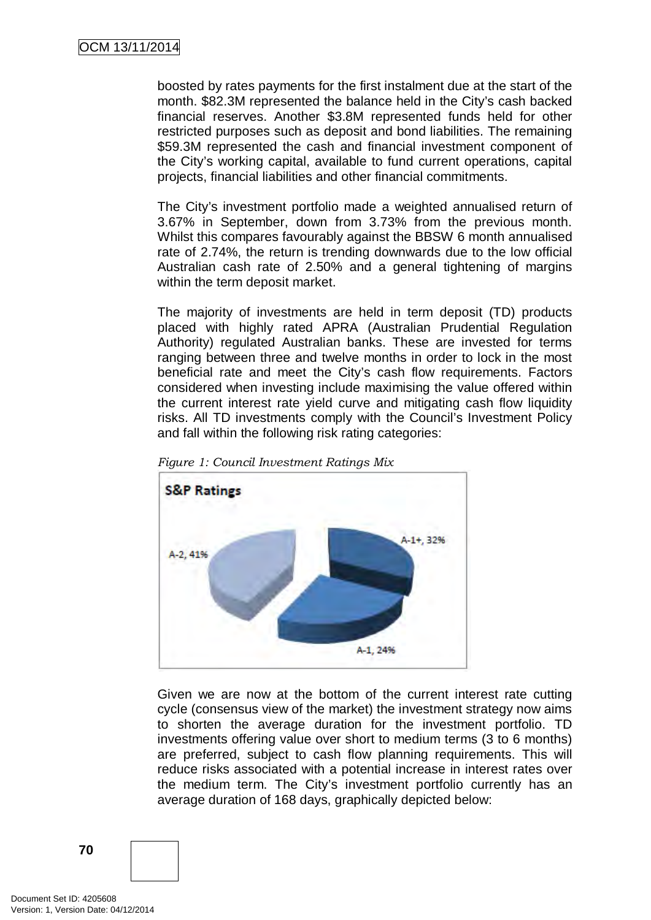boosted by rates payments for the first instalment due at the start of the month. \$82.3M represented the balance held in the City's cash backed financial reserves. Another \$3.8M represented funds held for other restricted purposes such as deposit and bond liabilities. The remaining \$59.3M represented the cash and financial investment component of the City's working capital, available to fund current operations, capital projects, financial liabilities and other financial commitments.

The City's investment portfolio made a weighted annualised return of 3.67% in September, down from 3.73% from the previous month. Whilst this compares favourably against the BBSW 6 month annualised rate of 2.74%, the return is trending downwards due to the low official Australian cash rate of 2.50% and a general tightening of margins within the term deposit market.

The majority of investments are held in term deposit (TD) products placed with highly rated APRA (Australian Prudential Regulation Authority) regulated Australian banks. These are invested for terms ranging between three and twelve months in order to lock in the most beneficial rate and meet the City's cash flow requirements. Factors considered when investing include maximising the value offered within the current interest rate yield curve and mitigating cash flow liquidity risks. All TD investments comply with the Council's Investment Policy and fall within the following risk rating categories:



*Figure 1: Council Investment Ratings Mix*

Given we are now at the bottom of the current interest rate cutting cycle (consensus view of the market) the investment strategy now aims to shorten the average duration for the investment portfolio. TD investments offering value over short to medium terms (3 to 6 months) are preferred, subject to cash flow planning requirements. This will reduce risks associated with a potential increase in interest rates over the medium term. The City's investment portfolio currently has an average duration of 168 days, graphically depicted below: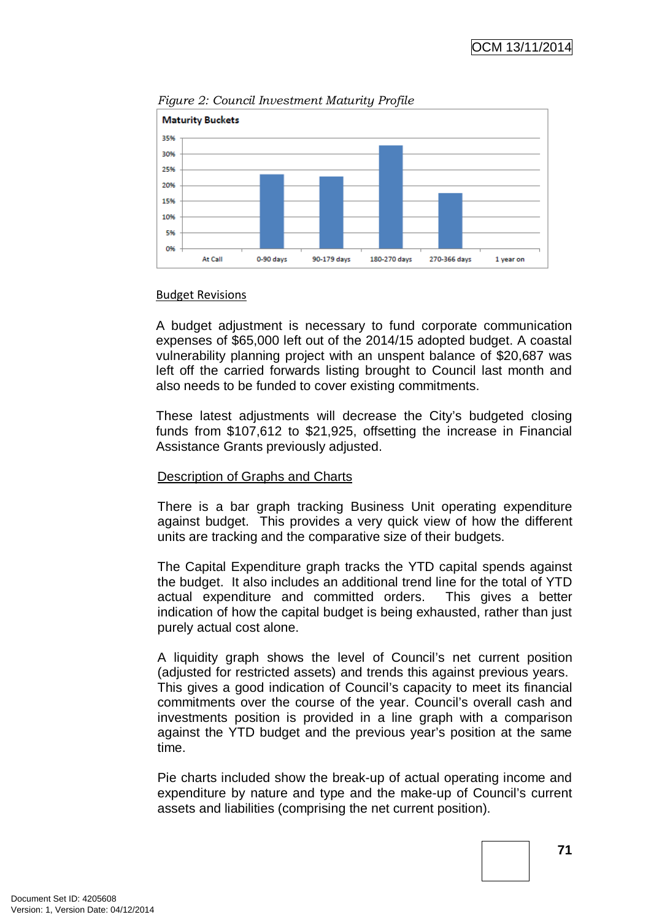**Maturity Buckets** 35% 30% 25% 20% 15% 10% 5% 0% At Call 0-90 days 90-179 days 180-270 days 270-366 days 1 year on

*Figure 2: Council Investment Maturity Profile*

#### Budget Revisions

A budget adjustment is necessary to fund corporate communication expenses of \$65,000 left out of the 2014/15 adopted budget. A coastal vulnerability planning project with an unspent balance of \$20,687 was left off the carried forwards listing brought to Council last month and also needs to be funded to cover existing commitments.

These latest adjustments will decrease the City's budgeted closing funds from \$107,612 to \$21,925, offsetting the increase in Financial Assistance Grants previously adjusted.

## Description of Graphs and Charts

There is a bar graph tracking Business Unit operating expenditure against budget. This provides a very quick view of how the different units are tracking and the comparative size of their budgets.

The Capital Expenditure graph tracks the YTD capital spends against the budget. It also includes an additional trend line for the total of YTD actual expenditure and committed orders. This gives a better indication of how the capital budget is being exhausted, rather than just purely actual cost alone.

A liquidity graph shows the level of Council's net current position (adjusted for restricted assets) and trends this against previous years. This gives a good indication of Council's capacity to meet its financial commitments over the course of the year. Council's overall cash and investments position is provided in a line graph with a comparison against the YTD budget and the previous year's position at the same time.

Pie charts included show the break-up of actual operating income and expenditure by nature and type and the make-up of Council's current assets and liabilities (comprising the net current position).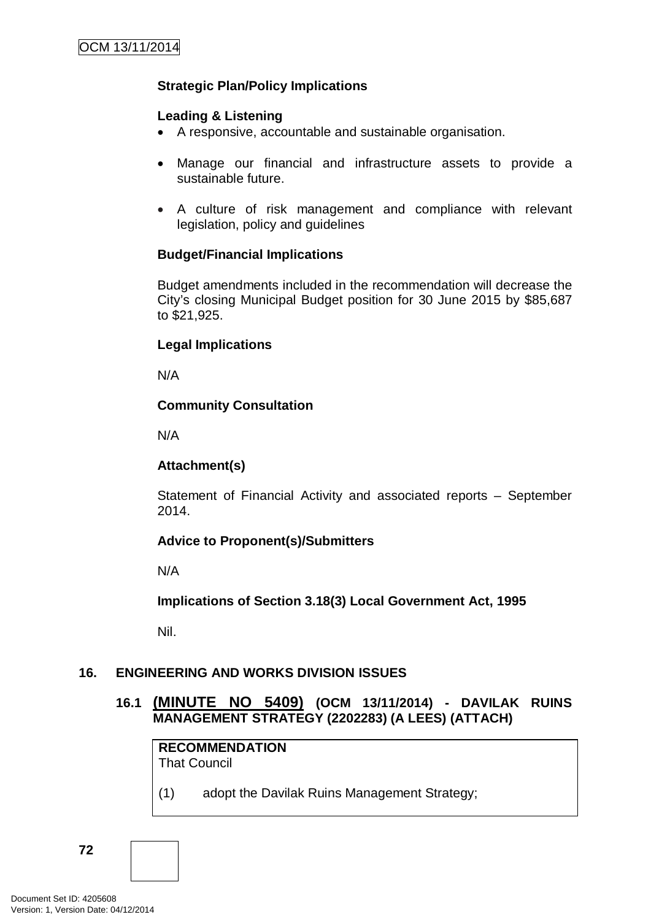# **Strategic Plan/Policy Implications**

#### **Leading & Listening**

- A responsive, accountable and sustainable organisation.
- Manage our financial and infrastructure assets to provide a sustainable future.
- A culture of risk management and compliance with relevant legislation, policy and guidelines

## **Budget/Financial Implications**

Budget amendments included in the recommendation will decrease the City's closing Municipal Budget position for 30 June 2015 by \$85,687 to \$21,925.

#### **Legal Implications**

N/A

## **Community Consultation**

N/A

# **Attachment(s)**

Statement of Financial Activity and associated reports – September 2014.

## **Advice to Proponent(s)/Submitters**

N/A

**Implications of Section 3.18(3) Local Government Act, 1995**

Nil.

## **16. ENGINEERING AND WORKS DIVISION ISSUES**

# **16.1 (MINUTE NO 5409) (OCM 13/11/2014) - DAVILAK RUINS MANAGEMENT STRATEGY (2202283) (A LEES) (ATTACH)**

#### **RECOMMENDATION** That Council

(1) adopt the Davilak Ruins Management Strategy;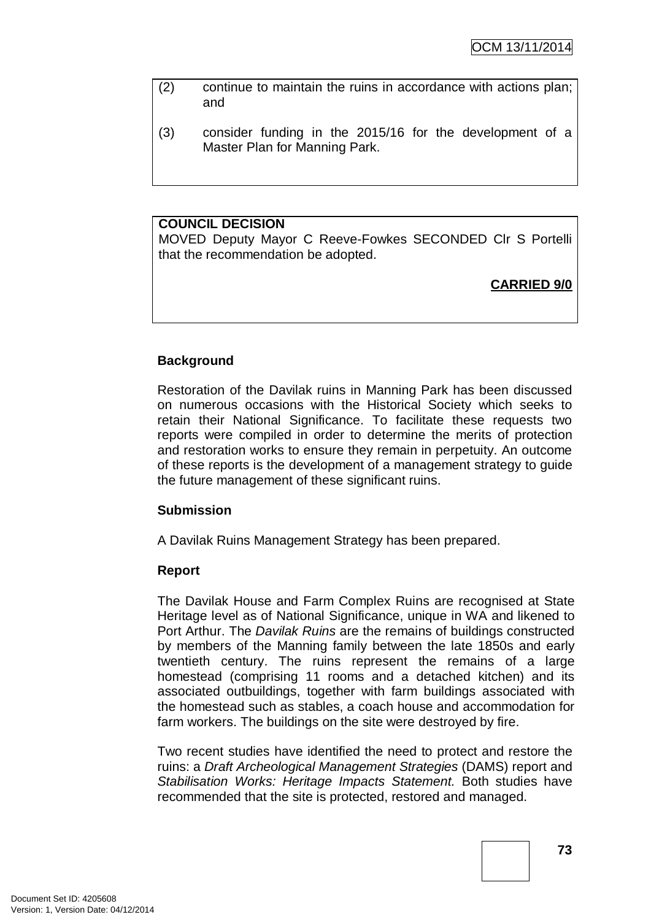- (2) continue to maintain the ruins in accordance with actions plan; and
- (3) consider funding in the 2015/16 for the development of a Master Plan for Manning Park.

# **COUNCIL DECISION**

MOVED Deputy Mayor C Reeve-Fowkes SECONDED Clr S Portelli that the recommendation be adopted.

# **CARRIED 9/0**

# **Background**

Restoration of the Davilak ruins in Manning Park has been discussed on numerous occasions with the Historical Society which seeks to retain their National Significance. To facilitate these requests two reports were compiled in order to determine the merits of protection and restoration works to ensure they remain in perpetuity. An outcome of these reports is the development of a management strategy to guide the future management of these significant ruins.

## **Submission**

A Davilak Ruins Management Strategy has been prepared.

## **Report**

The Davilak House and Farm Complex Ruins are recognised at State Heritage level as of National Significance, unique in WA and likened to Port Arthur. The *Davilak Ruins* are the remains of buildings constructed by members of the Manning family between the late 1850s and early twentieth century. The ruins represent the remains of a large homestead (comprising 11 rooms and a detached kitchen) and its associated outbuildings, together with farm buildings associated with the homestead such as stables, a coach house and accommodation for farm workers. The buildings on the site were destroyed by fire.

Two recent studies have identified the need to protect and restore the ruins: a *Draft Archeological Management Strategies* (DAMS) report and *Stabilisation Works: Heritage Impacts Statement.* Both studies have recommended that the site is protected, restored and managed.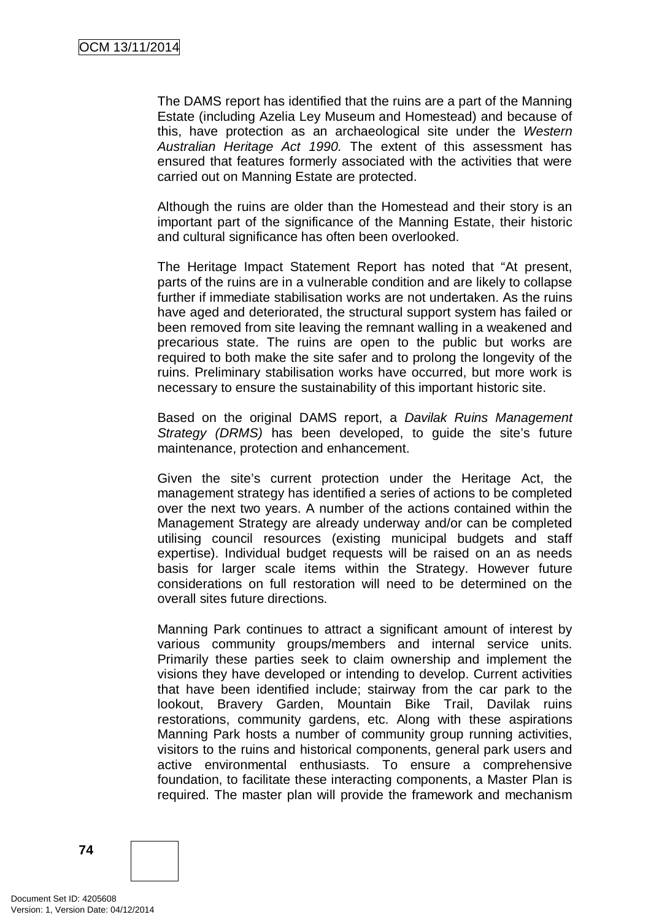The DAMS report has identified that the ruins are a part of the Manning Estate (including Azelia Ley Museum and Homestead) and because of this, have protection as an archaeological site under the *Western Australian Heritage Act 1990.* The extent of this assessment has ensured that features formerly associated with the activities that were carried out on Manning Estate are protected.

Although the ruins are older than the Homestead and their story is an important part of the significance of the Manning Estate, their historic and cultural significance has often been overlooked.

The Heritage Impact Statement Report has noted that "At present, parts of the ruins are in a vulnerable condition and are likely to collapse further if immediate stabilisation works are not undertaken. As the ruins have aged and deteriorated, the structural support system has failed or been removed from site leaving the remnant walling in a weakened and precarious state. The ruins are open to the public but works are required to both make the site safer and to prolong the longevity of the ruins. Preliminary stabilisation works have occurred, but more work is necessary to ensure the sustainability of this important historic site.

Based on the original DAMS report, a *Davilak Ruins Management Strategy (DRMS)* has been developed, to guide the site's future maintenance, protection and enhancement.

Given the site's current protection under the Heritage Act, the management strategy has identified a series of actions to be completed over the next two years. A number of the actions contained within the Management Strategy are already underway and/or can be completed utilising council resources (existing municipal budgets and staff expertise). Individual budget requests will be raised on an as needs basis for larger scale items within the Strategy. However future considerations on full restoration will need to be determined on the overall sites future directions.

Manning Park continues to attract a significant amount of interest by various community groups/members and internal service units. Primarily these parties seek to claim ownership and implement the visions they have developed or intending to develop. Current activities that have been identified include; stairway from the car park to the lookout, Bravery Garden, Mountain Bike Trail, Davilak ruins restorations, community gardens, etc. Along with these aspirations Manning Park hosts a number of community group running activities, visitors to the ruins and historical components, general park users and active environmental enthusiasts. To ensure a comprehensive foundation, to facilitate these interacting components, a Master Plan is required. The master plan will provide the framework and mechanism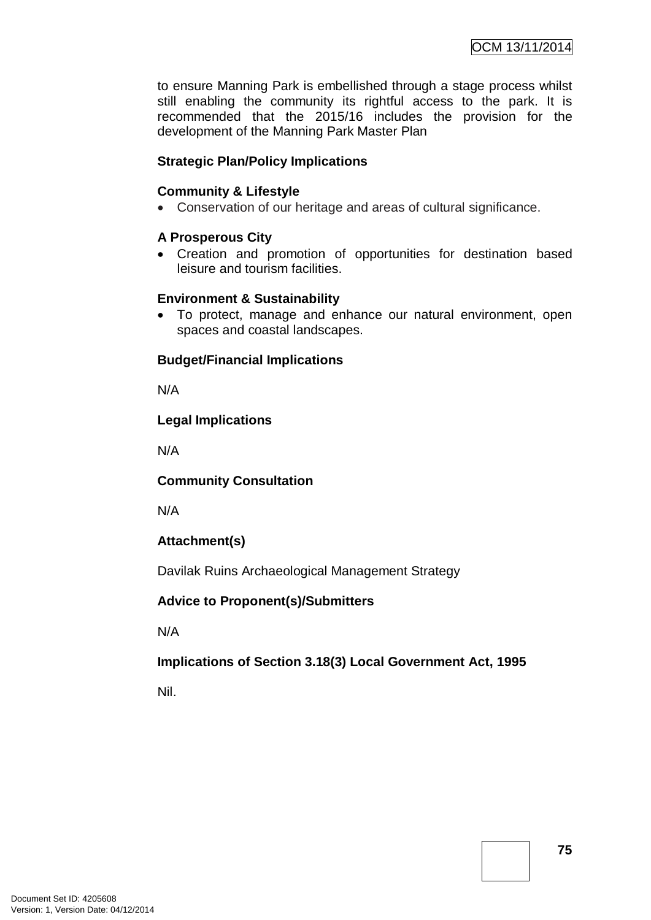OCM 13/11/2014

to ensure Manning Park is embellished through a stage process whilst still enabling the community its rightful access to the park. It is recommended that the 2015/16 includes the provision for the development of the Manning Park Master Plan

# **Strategic Plan/Policy Implications**

## **Community & Lifestyle**

• Conservation of our heritage and areas of cultural significance.

# **A Prosperous City**

• Creation and promotion of opportunities for destination based leisure and tourism facilities.

# **Environment & Sustainability**

• To protect, manage and enhance our natural environment, open spaces and coastal landscapes.

# **Budget/Financial Implications**

N/A

# **Legal Implications**

N/A

## **Community Consultation**

N/A

# **Attachment(s)**

Davilak Ruins Archaeological Management Strategy

# **Advice to Proponent(s)/Submitters**

N/A

# **Implications of Section 3.18(3) Local Government Act, 1995**

Nil.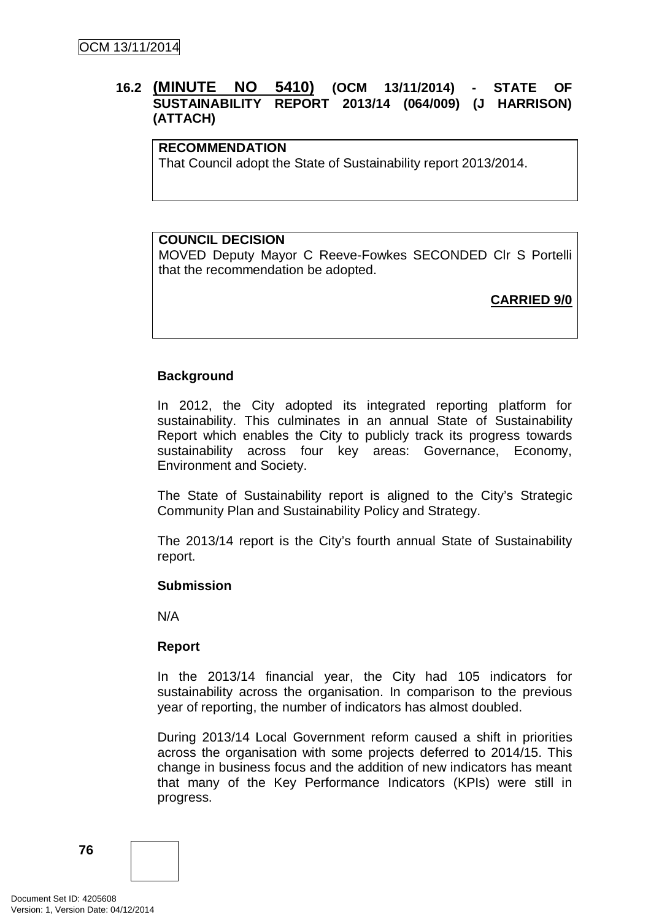# **16.2 (MINUTE NO 5410) (OCM 13/11/2014) - STATE OF SUSTAINABILITY REPORT 2013/14 (064/009) (J HARRISON) (ATTACH)**

## **RECOMMENDATION**

That Council adopt the State of Sustainability report 2013/2014.

#### **COUNCIL DECISION**

MOVED Deputy Mayor C Reeve-Fowkes SECONDED Clr S Portelli that the recommendation be adopted.

## **CARRIED 9/0**

#### **Background**

In 2012, the City adopted its integrated reporting platform for sustainability. This culminates in an annual State of Sustainability Report which enables the City to publicly track its progress towards sustainability across four key areas: Governance, Economy, Environment and Society.

The State of Sustainability report is aligned to the City's Strategic Community Plan and Sustainability Policy and Strategy.

The 2013/14 report is the City's fourth annual State of Sustainability report.

#### **Submission**

N/A

#### **Report**

In the 2013/14 financial year, the City had 105 indicators for sustainability across the organisation. In comparison to the previous year of reporting, the number of indicators has almost doubled.

During 2013/14 Local Government reform caused a shift in priorities across the organisation with some projects deferred to 2014/15. This change in business focus and the addition of new indicators has meant that many of the Key Performance Indicators (KPIs) were still in progress.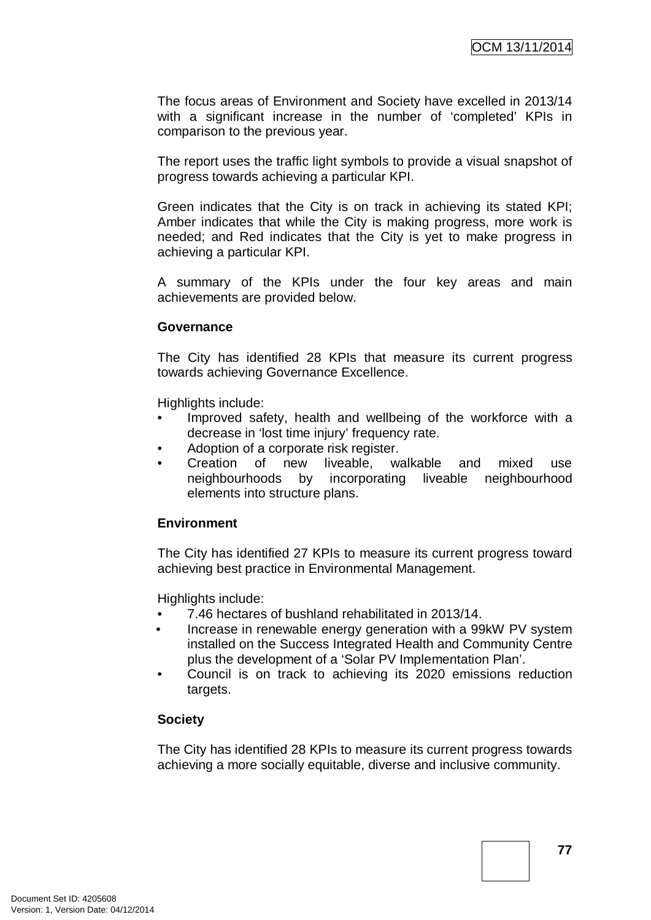The focus areas of Environment and Society have excelled in 2013/14 with a significant increase in the number of 'completed' KPIs in comparison to the previous year.

The report uses the traffic light symbols to provide a visual snapshot of progress towards achieving a particular KPI.

Green indicates that the City is on track in achieving its stated KPI; Amber indicates that while the City is making progress, more work is needed; and Red indicates that the City is yet to make progress in achieving a particular KPI.

A summary of the KPIs under the four key areas and main achievements are provided below.

#### **Governance**

The City has identified 28 KPIs that measure its current progress towards achieving Governance Excellence.

Highlights include:

- Improved safety, health and wellbeing of the workforce with a decrease in 'lost time injury' frequency rate.
- Adoption of a corporate risk register.
- Creation of new liveable, walkable and mixed use neighbourhoods by incorporating liveable neighbourhood elements into structure plans.

#### **Environment**

The City has identified 27 KPIs to measure its current progress toward achieving best practice in Environmental Management.

Highlights include:

- 7.46 hectares of bushland rehabilitated in 2013/14.
- Increase in renewable energy generation with a 99kW PV system installed on the Success Integrated Health and Community Centre plus the development of a 'Solar PV Implementation Plan'.
- Council is on track to achieving its 2020 emissions reduction targets.

## **Society**

The City has identified 28 KPIs to measure its current progress towards achieving a more socially equitable, diverse and inclusive community.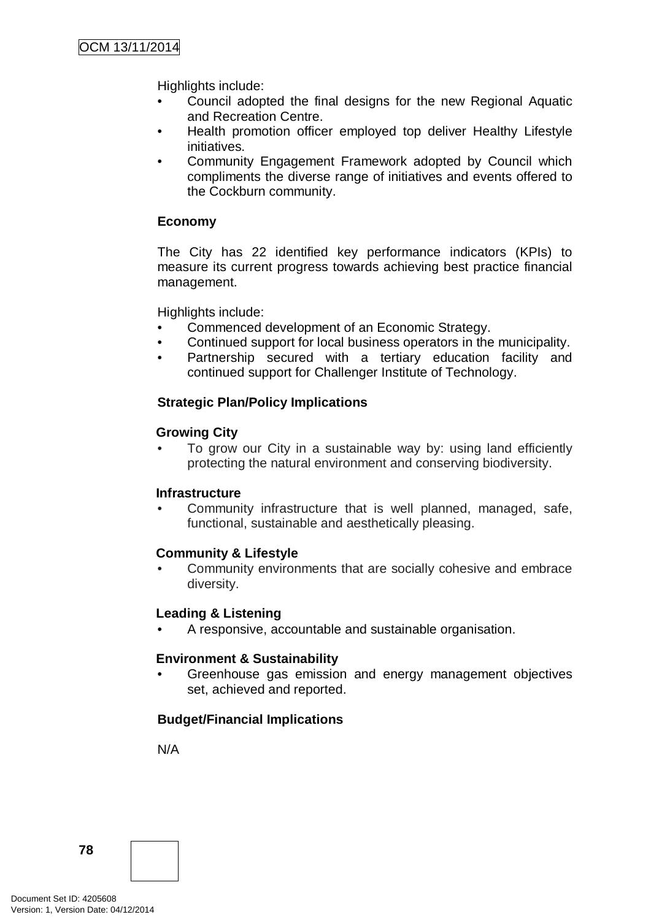Highlights include:

- Council adopted the final designs for the new Regional Aquatic and Recreation Centre.
- Health promotion officer employed top deliver Healthy Lifestyle initiatives.
- Community Engagement Framework adopted by Council which compliments the diverse range of initiatives and events offered to the Cockburn community.

# **Economy**

The City has 22 identified key performance indicators (KPIs) to measure its current progress towards achieving best practice financial management.

Highlights include:

- Commenced development of an Economic Strategy.
- Continued support for local business operators in the municipality.
- Partnership secured with a tertiary education facility and continued support for Challenger Institute of Technology.

# **Strategic Plan/Policy Implications**

## **Growing City**

• To grow our City in a sustainable way by: using land efficiently protecting the natural environment and conserving biodiversity.

## **Infrastructure**

• Community infrastructure that is well planned, managed, safe, functional, sustainable and aesthetically pleasing.

# **Community & Lifestyle**

• Community environments that are socially cohesive and embrace diversity.

## **Leading & Listening**

• A responsive, accountable and sustainable organisation.

## **Environment & Sustainability**

• Greenhouse gas emission and energy management objectives set, achieved and reported.

# **Budget/Financial Implications**

N/A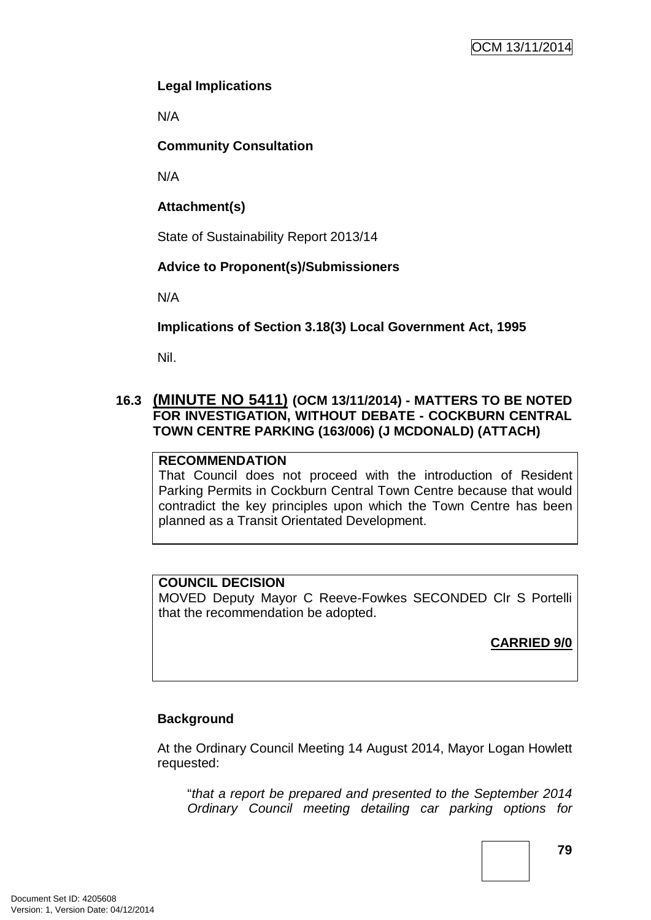# **Legal Implications**

N/A

# **Community Consultation**

N/A

**Attachment(s)**

State of Sustainability Report 2013/14

# **Advice to Proponent(s)/Submissioners**

N/A

# **Implications of Section 3.18(3) Local Government Act, 1995**

Nil.

# **16.3 (MINUTE NO 5411) (OCM 13/11/2014) - MATTERS TO BE NOTED FOR INVESTIGATION, WITHOUT DEBATE - COCKBURN CENTRAL TOWN CENTRE PARKING (163/006) (J MCDONALD) (ATTACH)**

## **RECOMMENDATION**

That Council does not proceed with the introduction of Resident Parking Permits in Cockburn Central Town Centre because that would contradict the key principles upon which the Town Centre has been planned as a Transit Orientated Development.

# **COUNCIL DECISION**

MOVED Deputy Mayor C Reeve-Fowkes SECONDED Clr S Portelli that the recommendation be adopted.

**CARRIED 9/0**

# **Background**

At the Ordinary Council Meeting 14 August 2014, Mayor Logan Howlett requested:

"*that a report be prepared and presented to the September 2014 Ordinary Council meeting detailing car parking options for*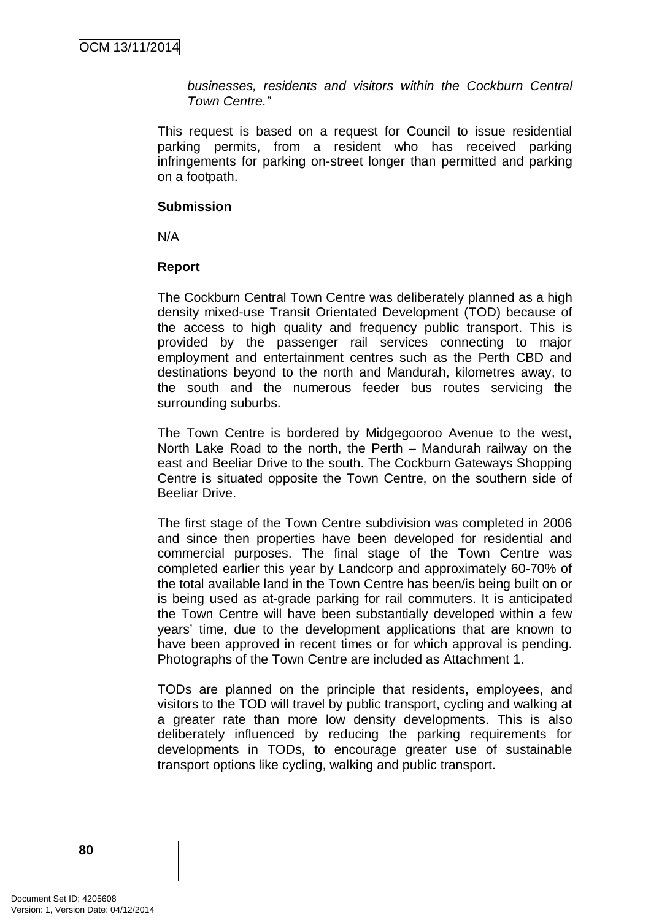*businesses, residents and visitors within the Cockburn Central Town Centre."* 

This request is based on a request for Council to issue residential parking permits, from a resident who has received parking infringements for parking on-street longer than permitted and parking on a footpath.

#### **Submission**

N/A

# **Report**

The Cockburn Central Town Centre was deliberately planned as a high density mixed-use Transit Orientated Development (TOD) because of the access to high quality and frequency public transport. This is provided by the passenger rail services connecting to major employment and entertainment centres such as the Perth CBD and destinations beyond to the north and Mandurah, kilometres away, to the south and the numerous feeder bus routes servicing the surrounding suburbs.

The Town Centre is bordered by Midgegooroo Avenue to the west, North Lake Road to the north, the Perth – Mandurah railway on the east and Beeliar Drive to the south. The Cockburn Gateways Shopping Centre is situated opposite the Town Centre, on the southern side of Beeliar Drive.

The first stage of the Town Centre subdivision was completed in 2006 and since then properties have been developed for residential and commercial purposes. The final stage of the Town Centre was completed earlier this year by Landcorp and approximately 60-70% of the total available land in the Town Centre has been/is being built on or is being used as at-grade parking for rail commuters. It is anticipated the Town Centre will have been substantially developed within a few years' time, due to the development applications that are known to have been approved in recent times or for which approval is pending. Photographs of the Town Centre are included as Attachment 1.

TODs are planned on the principle that residents, employees, and visitors to the TOD will travel by public transport, cycling and walking at a greater rate than more low density developments. This is also deliberately influenced by reducing the parking requirements for developments in TODs, to encourage greater use of sustainable transport options like cycling, walking and public transport.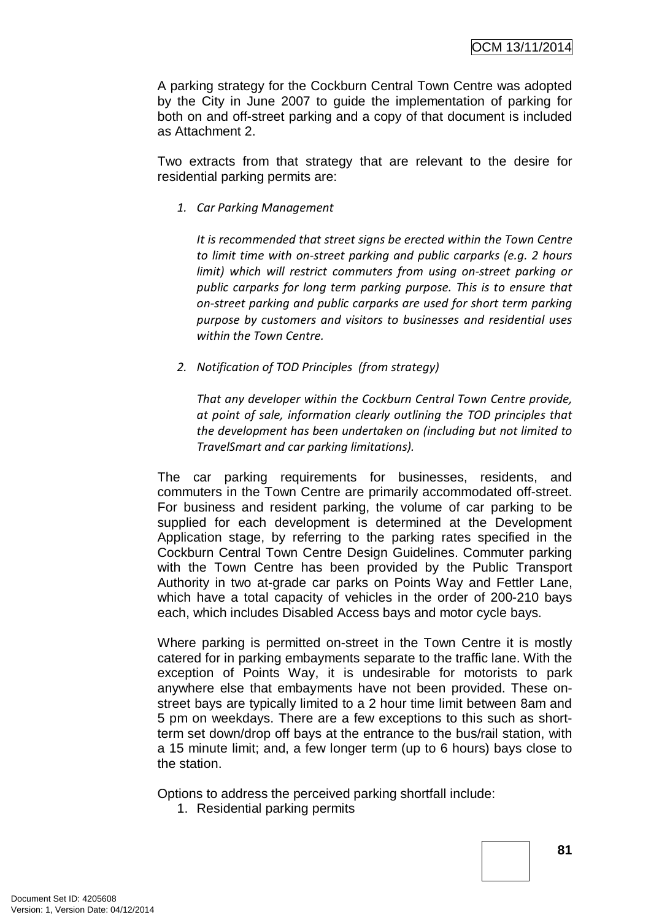A parking strategy for the Cockburn Central Town Centre was adopted by the City in June 2007 to guide the implementation of parking for both on and off-street parking and a copy of that document is included as Attachment 2.

Two extracts from that strategy that are relevant to the desire for residential parking permits are:

*1. Car Parking Management* 

*It is recommended that street signs be erected within the Town Centre to limit time with on-street parking and public carparks (e.g. 2 hours limit) which will restrict commuters from using on-street parking or public carparks for long term parking purpose. This is to ensure that on-street parking and public carparks are used for short term parking purpose by customers and visitors to businesses and residential uses within the Town Centre.* 

*2. Notification of TOD Principles (from strategy)*

*That any developer within the Cockburn Central Town Centre provide, at point of sale, information clearly outlining the TOD principles that the development has been undertaken on (including but not limited to TravelSmart and car parking limitations).* 

The car parking requirements for businesses, residents, and commuters in the Town Centre are primarily accommodated off-street. For business and resident parking, the volume of car parking to be supplied for each development is determined at the Development Application stage, by referring to the parking rates specified in the Cockburn Central Town Centre Design Guidelines. Commuter parking with the Town Centre has been provided by the Public Transport Authority in two at-grade car parks on Points Way and Fettler Lane, which have a total capacity of vehicles in the order of 200-210 bays each, which includes Disabled Access bays and motor cycle bays.

Where parking is permitted on-street in the Town Centre it is mostly catered for in parking embayments separate to the traffic lane. With the exception of Points Way, it is undesirable for motorists to park anywhere else that embayments have not been provided. These onstreet bays are typically limited to a 2 hour time limit between 8am and 5 pm on weekdays. There are a few exceptions to this such as shortterm set down/drop off bays at the entrance to the bus/rail station, with a 15 minute limit; and, a few longer term (up to 6 hours) bays close to the station.

Options to address the perceived parking shortfall include:

1. Residential parking permits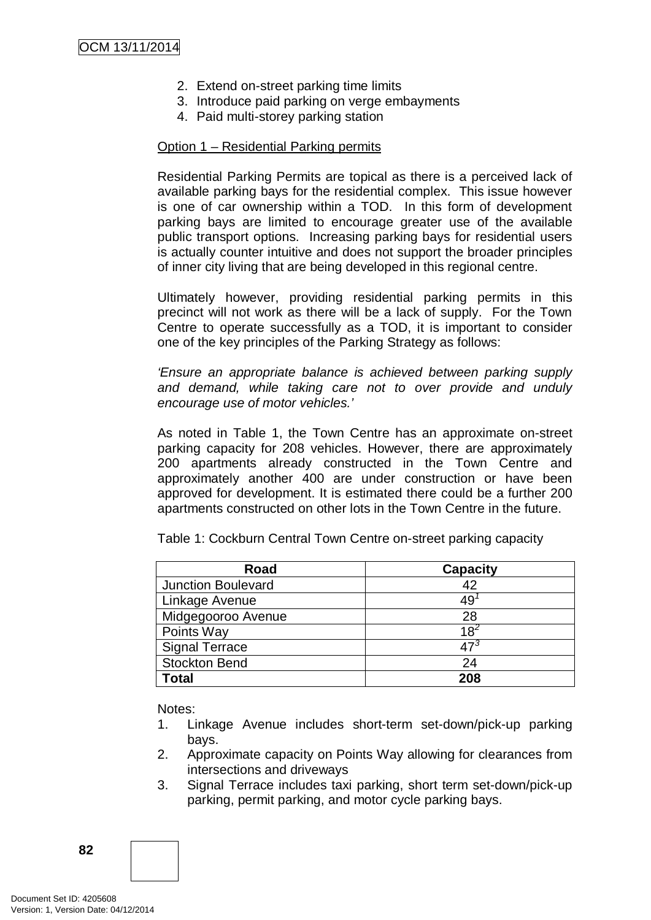- 2. Extend on-street parking time limits
- 3. Introduce paid parking on verge embayments
- 4. Paid multi-storey parking station

#### Option 1 – Residential Parking permits

Residential Parking Permits are topical as there is a perceived lack of available parking bays for the residential complex. This issue however is one of car ownership within a TOD. In this form of development parking bays are limited to encourage greater use of the available public transport options. Increasing parking bays for residential users is actually counter intuitive and does not support the broader principles of inner city living that are being developed in this regional centre.

Ultimately however, providing residential parking permits in this precinct will not work as there will be a lack of supply. For the Town Centre to operate successfully as a TOD, it is important to consider one of the key principles of the Parking Strategy as follows:

*'Ensure an appropriate balance is achieved between parking supply and demand, while taking care not to over provide and unduly encourage use of motor vehicles.'* 

As noted in Table 1, the Town Centre has an approximate on-street parking capacity for 208 vehicles. However, there are approximately 200 apartments already constructed in the Town Centre and approximately another 400 are under construction or have been approved for development. It is estimated there could be a further 200 apartments constructed on other lots in the Town Centre in the future.

| Road                      | <b>Capacity</b> |
|---------------------------|-----------------|
| <b>Junction Boulevard</b> | 42              |
| Linkage Avenue            | 49              |
| Midgegooroo Avenue        | 28              |
| Points Way                | $18^{2}$        |
| <b>Signal Terrace</b>     | $47^{\circ}$    |
| <b>Stockton Bend</b>      | 24              |
| Total                     | 208             |

Table 1: Cockburn Central Town Centre on-street parking capacity

Notes:

- 1. Linkage Avenue includes short-term set-down/pick-up parking bays.
- 2. Approximate capacity on Points Way allowing for clearances from intersections and driveways
- 3. Signal Terrace includes taxi parking, short term set-down/pick-up parking, permit parking, and motor cycle parking bays.

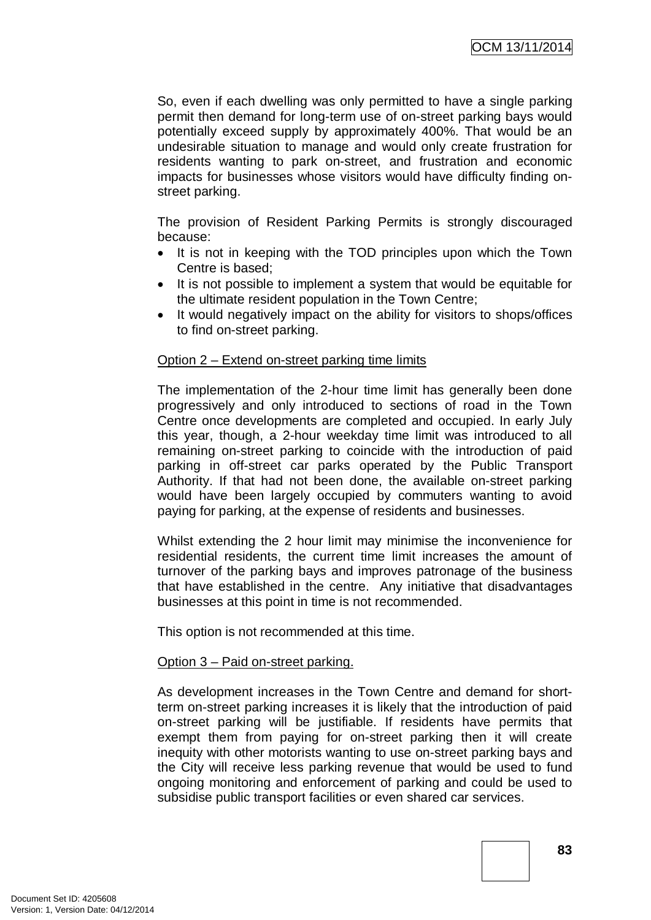So, even if each dwelling was only permitted to have a single parking permit then demand for long-term use of on-street parking bays would potentially exceed supply by approximately 400%. That would be an undesirable situation to manage and would only create frustration for residents wanting to park on-street, and frustration and economic impacts for businesses whose visitors would have difficulty finding onstreet parking.

The provision of Resident Parking Permits is strongly discouraged because:

- It is not in keeping with the TOD principles upon which the Town Centre is based;
- It is not possible to implement a system that would be equitable for the ultimate resident population in the Town Centre;
- It would negatively impact on the ability for visitors to shops/offices to find on-street parking.

## Option 2 – Extend on-street parking time limits

The implementation of the 2-hour time limit has generally been done progressively and only introduced to sections of road in the Town Centre once developments are completed and occupied. In early July this year, though, a 2-hour weekday time limit was introduced to all remaining on-street parking to coincide with the introduction of paid parking in off-street car parks operated by the Public Transport Authority. If that had not been done, the available on-street parking would have been largely occupied by commuters wanting to avoid paying for parking, at the expense of residents and businesses.

Whilst extending the 2 hour limit may minimise the inconvenience for residential residents, the current time limit increases the amount of turnover of the parking bays and improves patronage of the business that have established in the centre. Any initiative that disadvantages businesses at this point in time is not recommended.

This option is not recommended at this time.

## Option 3 – Paid on-street parking.

As development increases in the Town Centre and demand for shortterm on-street parking increases it is likely that the introduction of paid on-street parking will be justifiable. If residents have permits that exempt them from paying for on-street parking then it will create inequity with other motorists wanting to use on-street parking bays and the City will receive less parking revenue that would be used to fund ongoing monitoring and enforcement of parking and could be used to subsidise public transport facilities or even shared car services.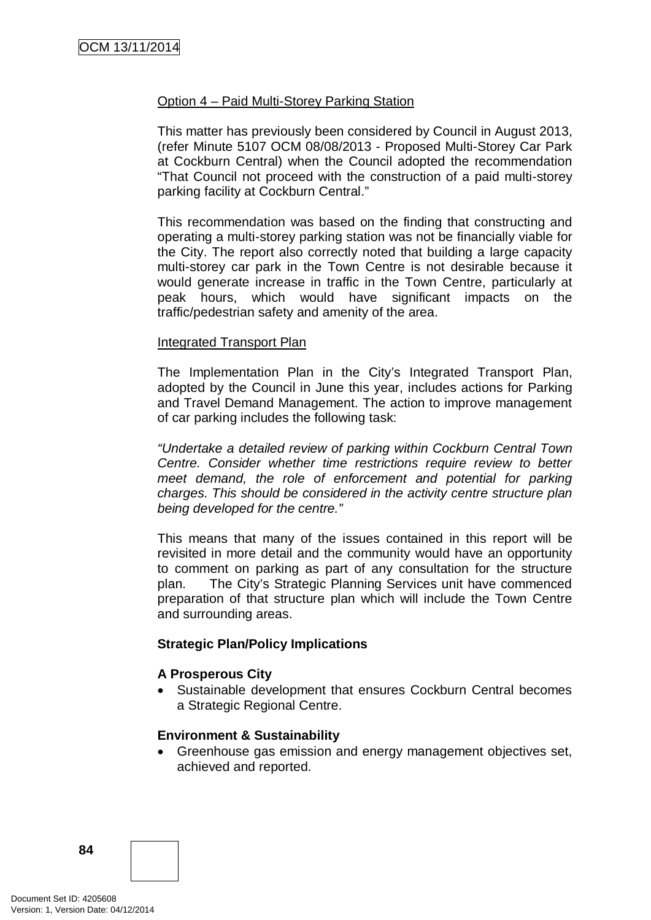#### Option 4 – Paid Multi-Storey Parking Station

This matter has previously been considered by Council in August 2013, (refer Minute 5107 OCM 08/08/2013 - Proposed Multi-Storey Car Park at Cockburn Central) when the Council adopted the recommendation "That Council not proceed with the construction of a paid multi-storey parking facility at Cockburn Central."

This recommendation was based on the finding that constructing and operating a multi-storey parking station was not be financially viable for the City. The report also correctly noted that building a large capacity multi-storey car park in the Town Centre is not desirable because it would generate increase in traffic in the Town Centre, particularly at peak hours, which would have significant impacts on the traffic/pedestrian safety and amenity of the area.

#### Integrated Transport Plan

The Implementation Plan in the City's Integrated Transport Plan, adopted by the Council in June this year, includes actions for Parking and Travel Demand Management. The action to improve management of car parking includes the following task:

*"Undertake a detailed review of parking within Cockburn Central Town Centre. Consider whether time restrictions require review to better meet demand, the role of enforcement and potential for parking charges. This should be considered in the activity centre structure plan being developed for the centre."* 

This means that many of the issues contained in this report will be revisited in more detail and the community would have an opportunity to comment on parking as part of any consultation for the structure plan. The City's Strategic Planning Services unit have commenced preparation of that structure plan which will include the Town Centre and surrounding areas.

#### **Strategic Plan/Policy Implications**

#### **A Prosperous City**

• Sustainable development that ensures Cockburn Central becomes a Strategic Regional Centre.

## **Environment & Sustainability**

• Greenhouse gas emission and energy management objectives set, achieved and reported.

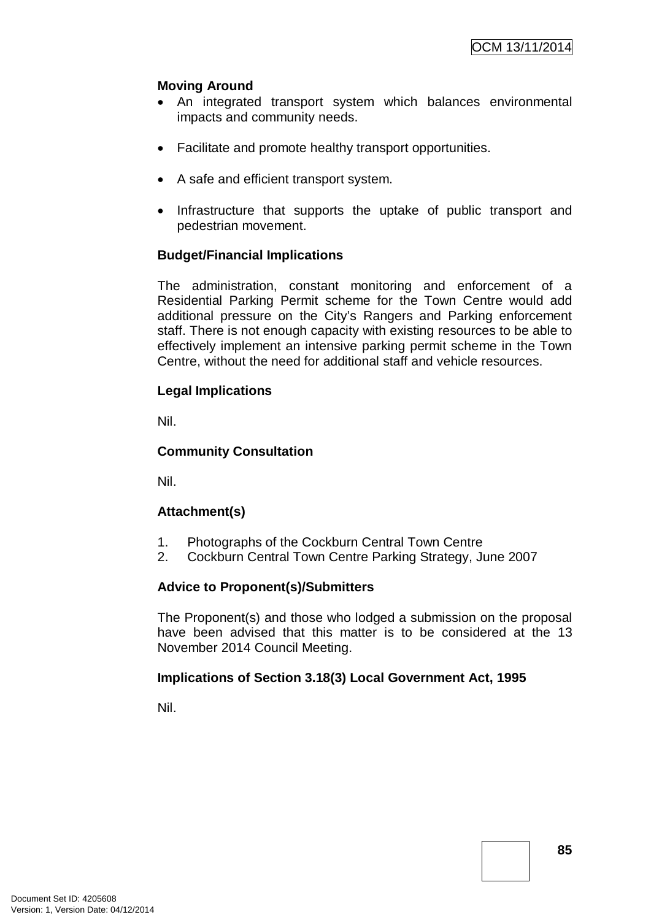# **Moving Around**

- An integrated transport system which balances environmental impacts and community needs.
- Facilitate and promote healthy transport opportunities.
- A safe and efficient transport system.
- Infrastructure that supports the uptake of public transport and pedestrian movement.

# **Budget/Financial Implications**

The administration, constant monitoring and enforcement of a Residential Parking Permit scheme for the Town Centre would add additional pressure on the City's Rangers and Parking enforcement staff. There is not enough capacity with existing resources to be able to effectively implement an intensive parking permit scheme in the Town Centre, without the need for additional staff and vehicle resources.

# **Legal Implications**

Nil.

# **Community Consultation**

Nil.

# **Attachment(s)**

- 1. Photographs of the Cockburn Central Town Centre
- 2. Cockburn Central Town Centre Parking Strategy, June 2007

# **Advice to Proponent(s)/Submitters**

The Proponent(s) and those who lodged a submission on the proposal have been advised that this matter is to be considered at the 13 November 2014 Council Meeting.

## **Implications of Section 3.18(3) Local Government Act, 1995**

Nil.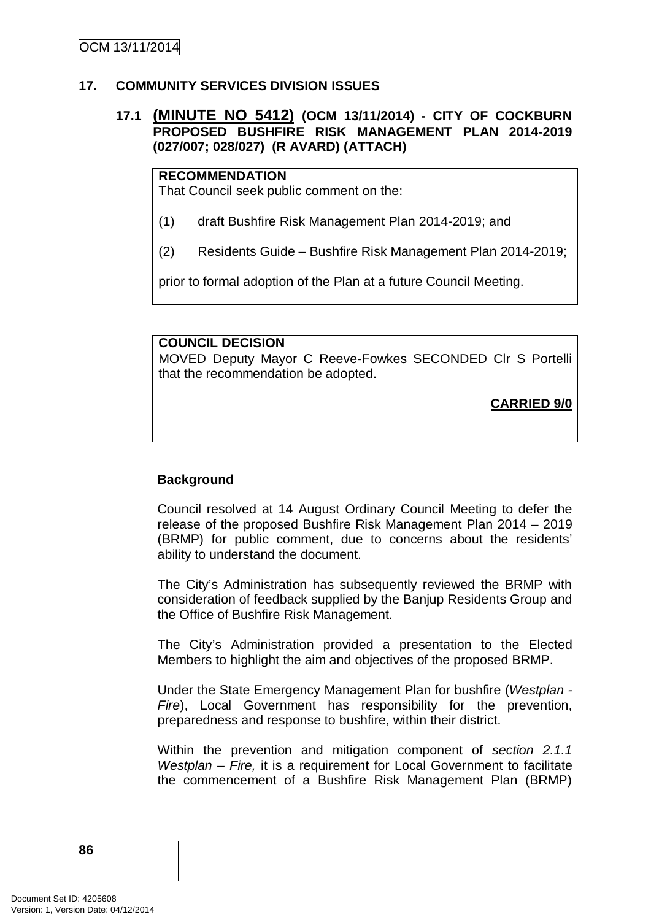# OCM 13/11/2014

#### **17. COMMUNITY SERVICES DIVISION ISSUES**

# **17.1 (MINUTE NO 5412) (OCM 13/11/2014) - CITY OF COCKBURN PROPOSED BUSHFIRE RISK MANAGEMENT PLAN 2014-2019 (027/007; 028/027) (R AVARD) (ATTACH)**

# **RECOMMENDATION**

That Council seek public comment on the:

- (1) draft Bushfire Risk Management Plan 2014-2019; and
- (2) Residents Guide Bushfire Risk Management Plan 2014-2019;

prior to formal adoption of the Plan at a future Council Meeting.

## **COUNCIL DECISION**

MOVED Deputy Mayor C Reeve-Fowkes SECONDED Clr S Portelli that the recommendation be adopted.

# **CARRIED 9/0**

## **Background**

Council resolved at 14 August Ordinary Council Meeting to defer the release of the proposed Bushfire Risk Management Plan 2014 – 2019 (BRMP) for public comment, due to concerns about the residents' ability to understand the document.

The City's Administration has subsequently reviewed the BRMP with consideration of feedback supplied by the Banjup Residents Group and the Office of Bushfire Risk Management.

The City's Administration provided a presentation to the Elected Members to highlight the aim and objectives of the proposed BRMP.

Under the State Emergency Management Plan for bushfire (*Westplan - Fire*), Local Government has responsibility for the prevention, preparedness and response to bushfire, within their district.

Within the prevention and mitigation component of *section 2.1.1 Westplan – Fire,* it is a requirement for Local Government to facilitate the commencement of a Bushfire Risk Management Plan (BRMP)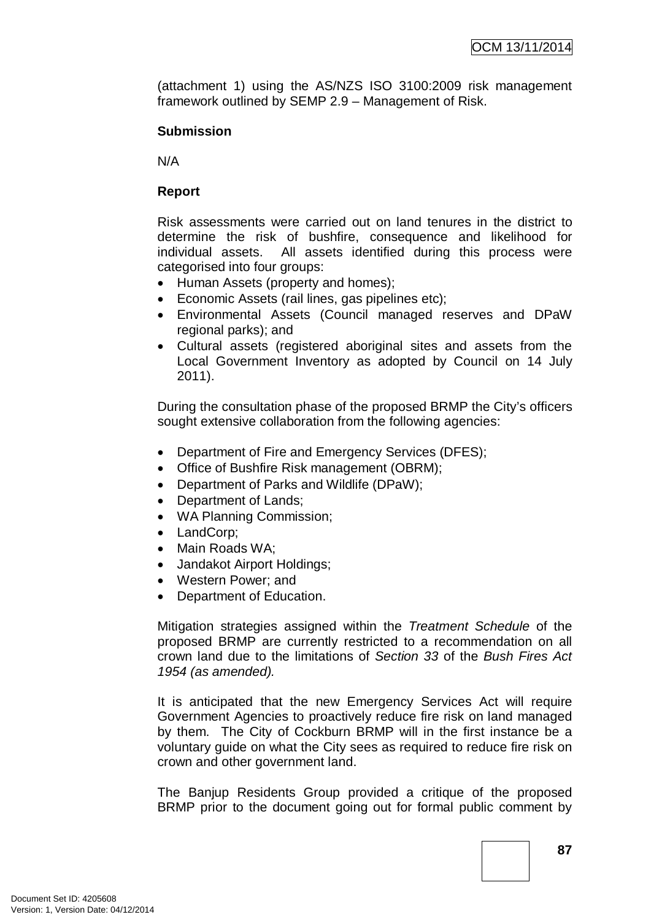(attachment 1) using the AS/NZS ISO 3100:2009 risk management framework outlined by SEMP 2.9 – Management of Risk.

# **Submission**

N/A

# **Report**

Risk assessments were carried out on land tenures in the district to determine the risk of bushfire, consequence and likelihood for individual assets. All assets identified during this process were categorised into four groups:

- Human Assets (property and homes);
- Economic Assets (rail lines, gas pipelines etc);
- Environmental Assets (Council managed reserves and DPaW regional parks); and
- Cultural assets (registered aboriginal sites and assets from the Local Government Inventory as adopted by Council on 14 July 2011).

During the consultation phase of the proposed BRMP the City's officers sought extensive collaboration from the following agencies:

- Department of Fire and Emergency Services (DFES);
- Office of Bushfire Risk management (OBRM);
- Department of Parks and Wildlife (DPaW);
- Department of Lands:
- WA Planning Commission;
- LandCorp:
- Main Roads WA;
- Jandakot Airport Holdings;
- Western Power; and
- Department of Education.

Mitigation strategies assigned within the *Treatment Schedule* of the proposed BRMP are currently restricted to a recommendation on all crown land due to the limitations of *Section 33* of the *Bush Fires Act 1954 (as amended).*

It is anticipated that the new Emergency Services Act will require Government Agencies to proactively reduce fire risk on land managed by them. The City of Cockburn BRMP will in the first instance be a voluntary guide on what the City sees as required to reduce fire risk on crown and other government land.

The Banjup Residents Group provided a critique of the proposed BRMP prior to the document going out for formal public comment by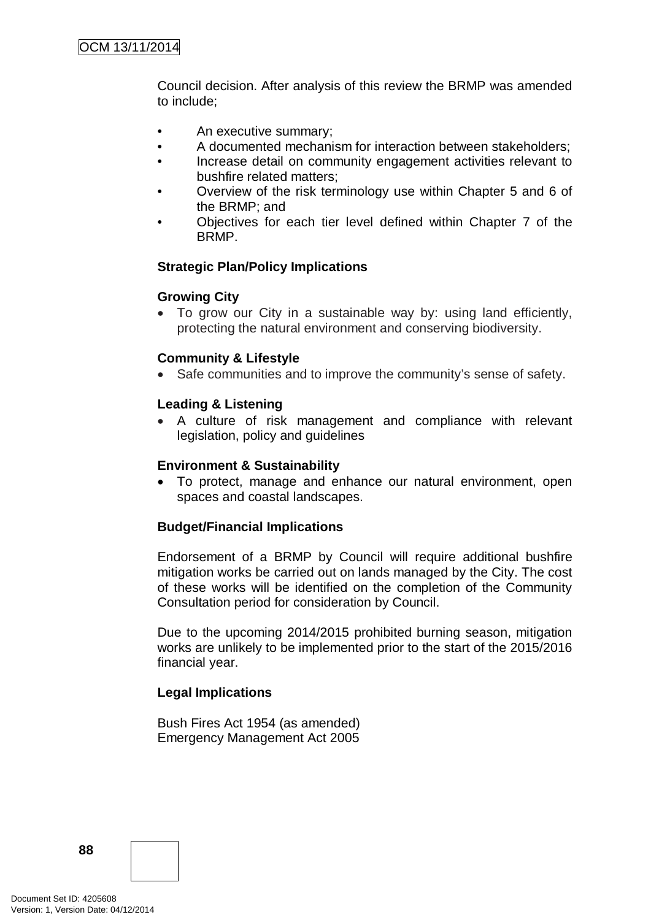Council decision. After analysis of this review the BRMP was amended to include;

- An executive summary;
- A documented mechanism for interaction between stakeholders;
- Increase detail on community engagement activities relevant to bushfire related matters;
- Overview of the risk terminology use within Chapter 5 and 6 of the BRMP; and
- Objectives for each tier level defined within Chapter 7 of the BRMP.

## **Strategic Plan/Policy Implications**

## **Growing City**

• To grow our City in a sustainable way by: using land efficiently, protecting the natural environment and conserving biodiversity.

# **Community & Lifestyle**

Safe communities and to improve the community's sense of safety.

## **Leading & Listening**

• A culture of risk management and compliance with relevant legislation, policy and guidelines

## **Environment & Sustainability**

• To protect, manage and enhance our natural environment, open spaces and coastal landscapes.

## **Budget/Financial Implications**

Endorsement of a BRMP by Council will require additional bushfire mitigation works be carried out on lands managed by the City. The cost of these works will be identified on the completion of the Community Consultation period for consideration by Council.

Due to the upcoming 2014/2015 prohibited burning season, mitigation works are unlikely to be implemented prior to the start of the 2015/2016 financial year.

## **Legal Implications**

Bush Fires Act 1954 (as amended) Emergency Management Act 2005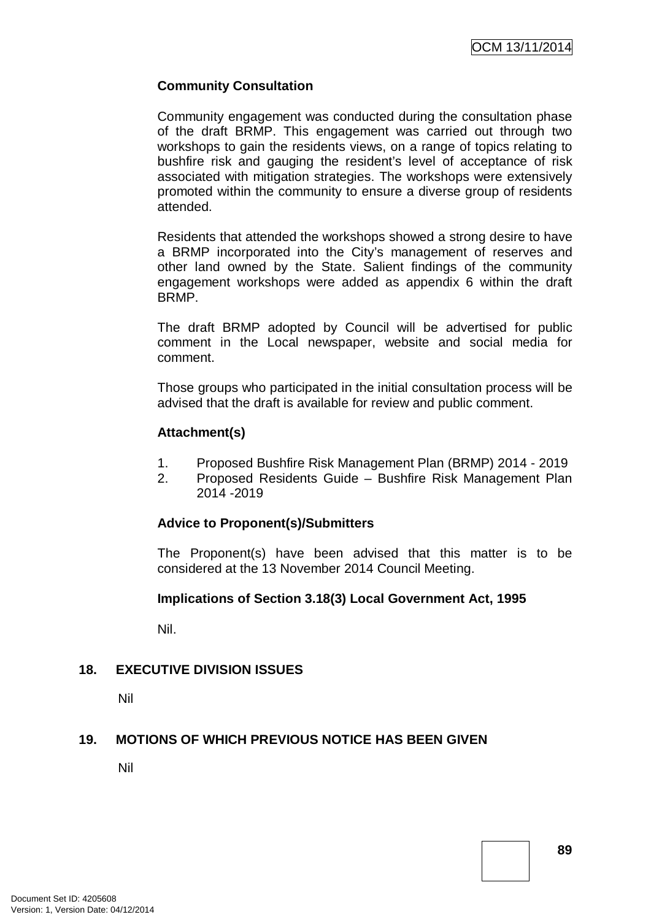## **Community Consultation**

Community engagement was conducted during the consultation phase of the draft BRMP. This engagement was carried out through two workshops to gain the residents views, on a range of topics relating to bushfire risk and gauging the resident's level of acceptance of risk associated with mitigation strategies. The workshops were extensively promoted within the community to ensure a diverse group of residents attended.

Residents that attended the workshops showed a strong desire to have a BRMP incorporated into the City's management of reserves and other land owned by the State. Salient findings of the community engagement workshops were added as appendix 6 within the draft BRMP.

The draft BRMP adopted by Council will be advertised for public comment in the Local newspaper, website and social media for comment.

Those groups who participated in the initial consultation process will be advised that the draft is available for review and public comment.

#### **Attachment(s)**

- 1. Proposed Bushfire Risk Management Plan (BRMP) 2014 2019
- 2. Proposed Residents Guide Bushfire Risk Management Plan 2014 -2019

#### **Advice to Proponent(s)/Submitters**

The Proponent(s) have been advised that this matter is to be considered at the 13 November 2014 Council Meeting.

#### **Implications of Section 3.18(3) Local Government Act, 1995**

Nil.

#### **18. EXECUTIVE DIVISION ISSUES**

Nil

#### **19. MOTIONS OF WHICH PREVIOUS NOTICE HAS BEEN GIVEN**

Nil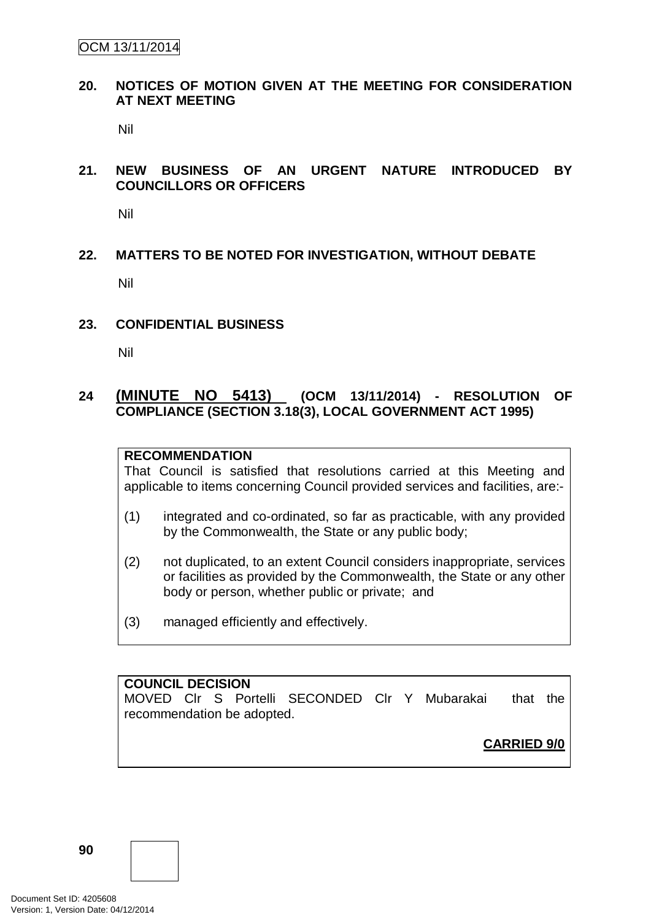## **20. NOTICES OF MOTION GIVEN AT THE MEETING FOR CONSIDERATION AT NEXT MEETING**

Nil

# **21. NEW BUSINESS OF AN URGENT NATURE INTRODUCED BY COUNCILLORS OR OFFICERS**

Nil

# **22. MATTERS TO BE NOTED FOR INVESTIGATION, WITHOUT DEBATE** Nil

## **23. CONFIDENTIAL BUSINESS**

Nil

# **24 (MINUTE NO 5413) (OCM 13/11/2014) - RESOLUTION OF COMPLIANCE (SECTION 3.18(3), LOCAL GOVERNMENT ACT 1995)**

# **RECOMMENDATION**

That Council is satisfied that resolutions carried at this Meeting and applicable to items concerning Council provided services and facilities, are:-

- (1) integrated and co-ordinated, so far as practicable, with any provided by the Commonwealth, the State or any public body;
- (2) not duplicated, to an extent Council considers inappropriate, services or facilities as provided by the Commonwealth, the State or any other body or person, whether public or private; and
- (3) managed efficiently and effectively.

# **COUNCIL DECISION**

MOVED Clr S Portelli SECONDED Clr Y Mubarakai that the recommendation be adopted.

**CARRIED 9/0**